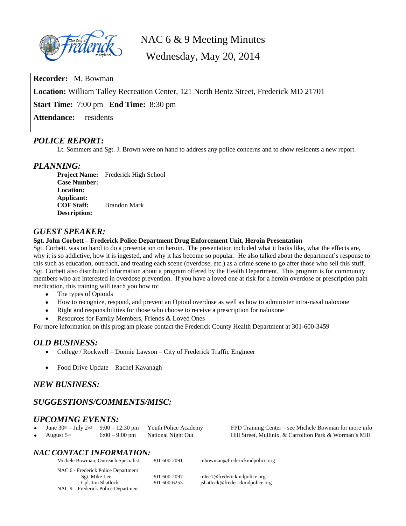

NAC 6 & 9 Meeting Minutes

Wednesday, May 20, 2014

**Recorder:** M. Bowman

**Location:** William Talley Recreation Center, 121 North Bentz Street, Frederick MD 21701

**Start Time:** 7:00 pm **End Time:** 8:30 pm

**Attendance:** residents

## *POLICE REPORT:*

Lt. Sommers and Sgt. J. Brown were on hand to address any police concerns and to show residents a new report.

## *PLANNING:*

**Project Name:** Frederick High School **Case Number: Location: Applicant: COF Staff:** Brandon Mark **Description:**

## *GUEST SPEAKER:*

#### **Sgt. John Corbett – Frederick Police Department Drug Enforcement Unit, Heroin Presentation**

Sgt. Corbett. was on hand to do a presentation on heroin. The presentation included what it looks like, what the effects are, why it is so addictive, how it is ingested, and why it has become so popular. He also talked about the department's response to this such as education, outreach, and treating each scene (overdose, etc.) as a crime scene to go after those who sell this stuff. Sgt. Corbett also distributed information about a program offered by the Health Department. This program is for community members who are interested in overdose prevention. If you have a loved one at risk for a heroin overdose or prescription pain medication, this training will teach you how to:

- The types of Opioids
- How to recognize, respond, and prevent an Opioid overdose as well as how to administer intra-nasal naloxone
- Right and responsibilities for those who choose to receive a prescription for naloxone
- Resources for Family Members, Friends & Loved Ones

For more information on this program please contact the Frederick County Health Department at 301-600-3459

## *OLD BUSINESS:*

- College / Rockwell Donnie Lawson City of Frederick Traffic Engineer
- Food Drive Update Rachel Kavanagh

## *NEW BUSINESS:*

# *SUGGESTIONS/COMMENTS/MISC:*

# *UPCOMING EVENTS:*<br>• June 30th – July 2nd 9:00 – 12:30 pm

- -

Youth Police Academy FPD Training Center – see Michele Bowman for more info August 5th 6:00 – 9:00 pm National Night Out Hill Street, Mullinix, & Carrollton Park & Worman's Mill

## *NAC CONTACT INFORMATION:*

NAC 9 – Frederick Police Department

Michele Bowman, Outreach Specialist 301-600-2091 [mbowman@frederickmdpolice.](mailto:mbowman@frederickmdpolice.)org NAC 6 - Frederick Police Department Sgt. Mike Lee 301-600-2097 mlee1@frederickmdpolice.org<br>
Cpl. Jon Shatlock 301-600-6253 jshatlock@frederickmdpolice.org jshatlock@frederickmdpolice.org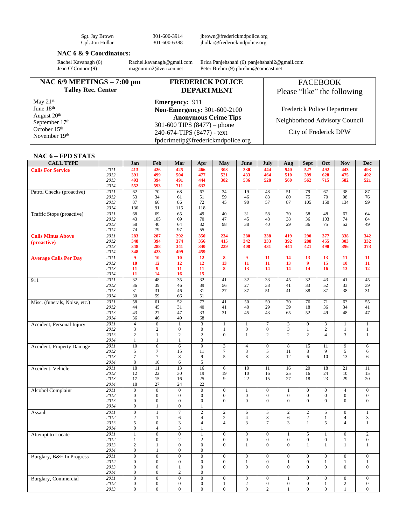Sgt. Jay Brown 301-600-3914 jbrown@frederickmdpolice.org Cpl. Jon Hollar 301-600-6388 jhollar@frederickmdpolice.org

#### **NAC 6 & 9 Coordinators:**

Rachel Kavanagh (6) [Rachel.kavanagh@gmail.com](mailto:Rachel.kavanagh@gmail.com) Erica Panjehshahi (6) [panjehshahi2@gmail.com](mailto:panjehshahi2@gmail.com) Jean O'Connor (9) magnumm2@verizon.net Peter Brehm (9) pbrehm@comcast.net Peter Brehm (9) pbrehm@comcast.net

| NAC $6/9$ MEETINGS $- 7:00$ pm              | <b>FREDERICK POLICE</b>                                         | <b>FACEBOOK</b>               |
|---------------------------------------------|-----------------------------------------------------------------|-------------------------------|
| <b>Talley Rec. Center</b>                   | <b>DEPARTMENT</b>                                               | Please "like" the following   |
| May $21st$                                  | <b>Emergency: 911</b>                                           |                               |
| June $18th$                                 | <b>Non-Emergency: 301-600-2100</b>                              | Frederick Police Department   |
| August 20 <sup>th</sup><br>September $17th$ | <b>Anonymous Crime Tips</b><br>301-600 TIPS $(8477)$ – phone    | Neighborhood Advisory Council |
| October $15th$<br>November 19th             | 240-674-TIPS (8477) - text<br>fpdcrimetip@frederickmdpolice.org | City of Frederick DPW         |

### **NAC 6 – FPD STATS**

| <b>CALL TYPE</b>              |              | Jan                              | Feb                              | Mar                 | Apr                              | May                              | June                | July             | Aug                     | Sept                           | Oct                     | Nov                            | Dec               |
|-------------------------------|--------------|----------------------------------|----------------------------------|---------------------|----------------------------------|----------------------------------|---------------------|------------------|-------------------------|--------------------------------|-------------------------|--------------------------------|-------------------|
| <b>Calls For Service</b>      | 2011         | 413                              | 426                              | 425                 | 466                              | 308                              | 330                 | 444              | 540                     | 527                            | 492                     | 443                            | 493               |
|                               | 2012         | 391                              | 499                              | 504                 | 477                              | 521                              | 433                 | 464              | 510                     | 399                            | 628                     | 475                            | 492               |
|                               | 2013         | 493                              | 394                              | 491                 | 444                              | 382                              | 536                 | 528              | 560                     | 562                            | 715                     | 582                            | 521               |
|                               | 2014         | 552                              | 593                              | 711                 | 632                              |                                  |                     |                  |                         |                                |                         |                                |                   |
| Patrol Checks (proactive)     | 2011         | 62                               | 70                               | 68                  | 67                               | $\overline{34}$                  | 19                  | 48               | $\overline{51}$         | 79                             | 67                      | 38                             | 87                |
|                               | 2012         | 53                               | 34                               | 61                  | 51                               | 59                               | 46                  | 83               | 80                      | 75                             | 70                      | 98                             | 76                |
|                               | 2013         | 87                               | 66                               | 86                  | 72                               | 45                               | 90                  | 57               | 87                      | 105                            | 150                     | 134                            | 99                |
|                               | 2014         | 130                              | 91                               | 115                 | 118                              |                                  |                     |                  |                         |                                |                         |                                |                   |
| Traffic Stops (proactive)     | 2011         | 68                               | 69                               | 65                  | 49                               | 40                               | 31                  | 58               | 70                      | 58                             | 48                      | 67                             | 64                |
|                               | 2012<br>2013 | 43                               | 105<br>40                        | 69                  | 70<br>32                         | 47                               | 45<br>38            | 48<br>40         | 38<br>29                | 36                             | 103<br>75               | 74<br>52                       | 84<br>49          |
|                               | 2014         | 58<br>74                         | 79                               | 64<br>97            | 55                               | 98                               |                     |                  |                         | 36                             |                         |                                |                   |
| <b>Calls Minus Above</b>      | 2011         | 283                              | 287                              | 292                 | 350                              | 234                              | 280                 | 338              | 419                     | 290                            | 377                     | 338                            | 342               |
|                               | 2012         | 348                              | 394                              | 374                 | 356                              | 415                              | 342                 | 333              | 392                     | 288                            | 455                     | 303                            | 332               |
| (proactive)                   | 2013         | 348                              | 288                              | 341                 | 340                              | 239                              | 408                 | 431              | 444                     | 421                            | 490                     | 396                            | 373               |
|                               | 2014         | 348                              | 423                              | 499                 | 459                              |                                  |                     |                  |                         |                                |                         |                                |                   |
| <b>Average Calls Per Day</b>  | 2011         | $\overline{9}$                   | $\overline{10}$                  | 10                  | 12                               | $\overline{\mathbf{8}}$          | $\overline{9}$      | 11               | 14                      | 13                             | 13                      | $\overline{11}$                | 11                |
|                               | 2012         | 10                               | 12                               | 12                  | 12                               | 13                               | 11                  | 11               | 13                      | $\boldsymbol{9}$               | 15                      | 10                             | 11                |
|                               | 2013         | 11                               | 9                                | 11                  | 11                               | 8                                | 13                  | 14               | 14                      | 14                             | 16                      | 13                             | 12                |
|                               | 2014         | 11                               | 14                               | 16                  | 15                               |                                  |                     |                  |                         |                                |                         |                                |                   |
| 911                           | 2011         | $\overline{32}$                  | 48                               | $\overline{35}$     | $\overline{32}$                  | 41                               | $\overline{32}$     | $\overline{33}$  | 45                      | $\overline{32}$                | 43                      | 41                             | 45                |
|                               | 2012         | 36                               | 39                               | 46                  | 39                               | 56                               | 27                  | 38               | 41                      | 33                             | 52                      | 33                             | 39                |
|                               | 2013         | 31                               | 31                               | 46                  | 31                               | 27                               | 37                  | 51               | 41                      | 38                             | 37                      | 38                             | 31                |
|                               | 2014         | 30                               | 59                               | 66                  | 51                               |                                  |                     |                  |                         |                                |                         |                                |                   |
| Misc. (funerals, Noise, etc.) | 2011         | 58                               | 61                               | 52                  | 77                               | 41                               | 50                  | 50               | 70                      | 76                             | 71                      | 63                             | 55                |
|                               | 2012         | 44                               | 45                               | 31                  | 40                               | 41                               | 40                  | 29               | 39                      | 18                             | 36                      | 34                             | 41                |
|                               | 2013         | 43<br>36                         | 27<br>46                         | 47<br>49            | 33<br>68                         | 31                               | 45                  | 43               | 65                      | 52                             | 49                      | 48                             | 47                |
|                               | 2014<br>2011 | $\overline{4}$                   | $\overline{0}$                   | $\overline{1}$      | $\overline{\mathbf{3}}$          | $\mathbf{1}$                     | $\mathbf{1}$        | 7                | $\overline{\mathbf{3}}$ | $\overline{0}$                 | $\overline{\mathbf{3}}$ | $\overline{1}$                 | $\overline{1}$    |
| Accident, Personal Injury     | 2012         | 3                                | $\sqrt{2}$                       | $\overline{0}$      | $\boldsymbol{0}$                 | 1                                | $\boldsymbol{0}$    | $\boldsymbol{0}$ | $\mathfrak{Z}$          | $\mathbf{1}$                   | $\overline{c}$          | $\mathbf{1}$                   | $\mathbf{1}$      |
|                               | 2013         | $\mathbf{2}$                     | $\mathbf{1}$                     | $\overline{c}$      | $\overline{c}$                   | $\mathbf{0}$                     | $\mathbf{1}$        | $\overline{c}$   | $\overline{c}$          | $\overline{c}$                 | $\overline{4}$          | 3                              | $\mathbf{1}$      |
|                               | 2014         | $\mathbf{1}$                     | $\mathbf{1}$                     | $\mathbf{1}$        | 3                                |                                  |                     |                  |                         |                                |                         |                                |                   |
| Accident, Property Damage     | 2011         | 10                               | 6                                | 6                   | $\overline{9}$                   | $\overline{\mathbf{3}}$          | $\overline{4}$      | $\overline{0}$   | $\overline{8}$          | 15                             | 11                      | $\overline{9}$                 | 6                 |
|                               | 2012         | 5                                | $\overline{7}$                   | 15                  | 11                               | $\overline{7}$                   | $\mathfrak{Z}$      | 5                | 11                      | 8                              | 9                       | 5                              | 6                 |
|                               | 2013         | $\tau$                           | $\tau$                           | 8                   | 9                                | 5                                | $\,8\,$             | 3                | 12                      | 6                              | 10                      | 13                             | 6                 |
|                               | 2014         | 8                                | 10                               | 6                   | 5                                |                                  |                     |                  |                         |                                |                         |                                |                   |
| Accident, Vehicle             | 2011         | 18                               | 11                               | 13                  | 16                               | $\overline{6}$                   | $\overline{10}$     | $\overline{11}$  | 16                      | $\overline{20}$                | 18                      | $\overline{21}$                | $\overline{11}$   |
|                               | 2012         | 12                               | 22                               | 30                  | 19                               | 19                               | 10                  | 16               | 25                      | 16                             | 24                      | 10                             | 15                |
|                               | 2013         | 17                               | 15                               | 16                  | 25                               | 9                                | 22                  | 15               | 27                      | 18                             | 23                      | 29                             | 20                |
|                               | 2014         | 18                               | 27                               | 24                  | 22                               |                                  |                     |                  |                         |                                |                         |                                |                   |
| <b>Alcohol Complaint</b>      | 2011         | $\overline{0}$                   | $\overline{0}$                   | $\overline{0}$      | $\overline{0}$                   | $\overline{0}$                   | $\mathbf{1}$        | $\overline{0}$   | $\overline{1}$          | $\overline{0}$                 | $\overline{0}$          | $\overline{4}$                 | $\overline{0}$    |
|                               | 2012         | $\boldsymbol{0}$                 | $\boldsymbol{0}$                 | $\overline{0}$      | $\boldsymbol{0}$                 | $\boldsymbol{0}$                 | $\boldsymbol{0}$    | $\boldsymbol{0}$ | $\boldsymbol{0}$        | $\boldsymbol{0}$               | $\overline{0}$          | $\boldsymbol{0}$               | $\boldsymbol{0}$  |
|                               | 2013         | $\boldsymbol{0}$<br>$\mathbf{0}$ | $\boldsymbol{0}$<br>$\mathbf{1}$ | $\boldsymbol{0}$    | $\boldsymbol{0}$                 | $\mathbf{0}$                     | $\overline{0}$      | $\overline{0}$   | $\overline{0}$          | $\overline{0}$                 | $\overline{0}$          | $\boldsymbol{0}$               | $\boldsymbol{0}$  |
|                               | 2014         |                                  |                                  | $\boldsymbol{0}$    | 1                                |                                  |                     |                  |                         |                                |                         |                                |                   |
| Assault                       | 2011<br>2012 | $\overline{0}$<br>$\mathbf{2}$   | $\mathbf{1}$<br>$\mathbf{1}$     | $\overline{7}$<br>6 | $\overline{2}$<br>$\overline{4}$ | $\overline{c}$<br>$\overline{c}$ | 6<br>$\overline{4}$ | 5<br>3           | $\sqrt{2}$<br>6         | $\overline{c}$<br>$\mathbf{2}$ | 5<br>$\mathbf{1}$       | $\mathbf{0}$<br>$\overline{4}$ | $\mathbf{1}$<br>3 |
|                               | 2013         | 5                                | $\mathbf{0}$                     | 3                   | $\overline{4}$                   | $\overline{4}$                   | 3                   | $\overline{7}$   | 3                       | 1                              | 5                       | $\overline{4}$                 | $\mathbf{1}$      |
|                               | 2014         | $\Omega$                         | $\overline{4}$                   | 3                   | 1                                |                                  |                     |                  |                         |                                |                         |                                |                   |
| Attempt to Locate             | 2011         | $\overline{1}$                   | $\overline{0}$                   | $\overline{0}$      | $\mathbf{1}$                     | $\overline{0}$                   | $\overline{0}$      | $\overline{0}$   | $\overline{1}$          | $\overline{5}$                 | $\overline{1}$          | $\overline{0}$                 | $\overline{2}$    |
|                               | 2012         | $\mathbf{1}$                     | $\overline{0}$                   | $\overline{c}$      | $\sqrt{2}$                       | $\overline{0}$                   | $\boldsymbol{0}$    | $\boldsymbol{0}$ | $\boldsymbol{0}$        | $\boldsymbol{0}$               | $\boldsymbol{0}$        | $\mathbf{1}$                   | $\boldsymbol{0}$  |
|                               | 2013         | $\mathbf{2}$                     | $\mathbf{1}$                     | $\boldsymbol{0}$    | $\boldsymbol{0}$                 | $\mathbf{0}$                     | $\mathbf{1}$        | $\overline{0}$   | $\overline{0}$          | 1                              | $\mathbf{1}$            | $\mathbf{1}$                   | $\mathbf{1}$      |
|                               | 2014         | $\overline{0}$                   | 1                                | $\overline{0}$      | $\mathbf{0}$                     |                                  |                     |                  |                         |                                |                         |                                |                   |
| Burglary, B&E In Progress     | 2011         | $\overline{0}$                   | $\overline{0}$                   | $\overline{0}$      | $\theta$                         | $\overline{0}$                   | $\overline{0}$      | $\overline{0}$   | $\overline{0}$          | $\overline{0}$                 | $\mathbf{0}$            | $\mathbf{0}$                   | $\mathbf{0}$      |
|                               | 2012         | $\mathbf{0}$                     | $\mathbf{0}$                     | $\overline{0}$      | $\mathbf{0}$                     | $\mathbf{0}$                     | $\mathbf{1}$        | $\overline{0}$   | $1\,$                   | $\overline{0}$                 | $\mathbf{1}$            | $\mathbf{1}$                   | $\mathbf{1}$      |
|                               | 2013         | $\boldsymbol{0}$                 | $\boldsymbol{0}$                 | $\mathbf{1}$        | $\boldsymbol{0}$                 | $\Omega$                         | $\boldsymbol{0}$    | $\overline{0}$   | $\boldsymbol{0}$        | $\Omega$                       | $\Omega$                | $\boldsymbol{0}$               | $\boldsymbol{0}$  |
|                               | 2014         | $\mathbf{0}$                     | $\overline{0}$                   | $\overline{c}$      | $\overline{0}$                   |                                  |                     |                  |                         |                                |                         |                                |                   |
| <b>Burglary</b> , Commercial  | 2011         | $\overline{0}$                   | $\overline{0}$                   | $\overline{0}$      | $\overline{0}$                   | $\overline{0}$                   | $\overline{0}$      | $\overline{0}$   | $\overline{1}$          | $\overline{0}$                 | $\overline{0}$          | $\overline{0}$                 | $\overline{0}$    |
|                               | 2012         | $\overline{0}$                   | $\boldsymbol{0}$                 | $\overline{0}$      | $\mathbf{0}$                     | 1                                | $\mathbf{2}$        | $\overline{0}$   | $\boldsymbol{0}$        | $\overline{0}$                 | $\mathbf{1}$            | $\mathbf{2}$                   | $\mathbf{0}$      |
|                               | 2013         | $\overline{0}$                   | $\theta$                         | $\Omega$            | $\Omega$                         | $\Omega$                         | $\theta$            | $\overline{c}$   | 1                       | $\theta$                       | $\Omega$                | $\mathbf{1}$                   | $\mathbf{0}$      |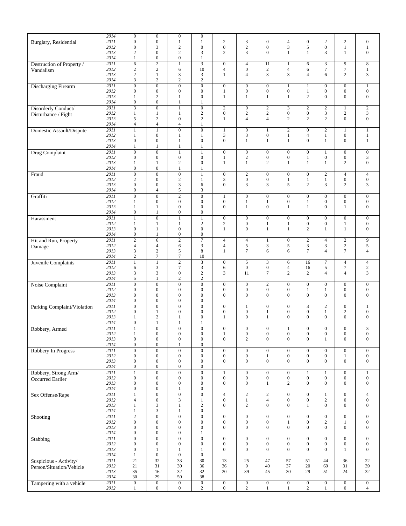|                             | 2014              | $\mathbf{0}$     | $\boldsymbol{0}$ | $\boldsymbol{0}$ | $\boldsymbol{0}$        |                  |                  |                  |                  |                   |                                |                  |                    |
|-----------------------------|-------------------|------------------|------------------|------------------|-------------------------|------------------|------------------|------------------|------------------|-------------------|--------------------------------|------------------|--------------------|
| Burglary, Residential       | 2011              | $\boldsymbol{0}$ | $\overline{0}$   | $\mathbf{1}$     | $\mathbf{1}$            | $\overline{c}$   | $\mathfrak{Z}$   | $\boldsymbol{0}$ | $\overline{4}$   | $\mathbf{0}$      | $\overline{2}$                 | $\sqrt{2}$       | $\boldsymbol{0}$   |
|                             | 2012              | $\boldsymbol{0}$ | 3                | $\overline{c}$   | $\boldsymbol{0}$        | $\boldsymbol{0}$ | $\sqrt{2}$       | $\boldsymbol{0}$ | 3                | 5                 | $\mathbf{0}$                   | $\mathbf{1}$     | $\mathbf{1}$       |
|                             | 2013              | $\overline{c}$   | $\boldsymbol{0}$ | $\overline{c}$   | 3                       | $\overline{c}$   | 3                | $\overline{0}$   | 1                | 1                 | 3                              | $\mathbf{1}$     | $\boldsymbol{0}$   |
|                             | 2014              | 1                | $\boldsymbol{0}$ | $\mathbf{0}$     | 1                       |                  |                  |                  |                  |                   |                                |                  |                    |
| Destruction of Property /   | 2011              | $\overline{6}$   | $\overline{2}$   | $\mathbf{1}$     | $\overline{\mathbf{3}}$ | $\mathbf{0}$     | $\overline{4}$   | 11               | $\mathbf{1}$     | 6                 | 3                              | 9                | $\overline{\bf 8}$ |
|                             | 2012              | $\overline{c}$   | $\mathfrak{2}$   | 6                | 10                      | $\overline{4}$   | $\boldsymbol{0}$ | $\sqrt{2}$       | $\overline{4}$   | 6                 | $\tau$                         | $\boldsymbol{7}$ | $\mathbf{1}$       |
| Vandalism                   | 2013              | $\boldsymbol{2}$ | $\mathbf{1}$     | 3                | 3                       | 1                | $\overline{4}$   | 3                | 3                | 4                 | 6                              | $\mathbf{2}$     | 3                  |
|                             | 2014              | 3                | $\sqrt{2}$       | $\overline{c}$   | $\mathbf{2}$            |                  |                  |                  |                  |                   |                                |                  |                    |
|                             |                   |                  |                  |                  |                         |                  |                  |                  |                  |                   |                                |                  |                    |
| <b>Discharging Firearm</b>  | 2011              | $\boldsymbol{0}$ | $\boldsymbol{0}$ | $\overline{0}$   | $\boldsymbol{0}$        | $\boldsymbol{0}$ | $\mathbf{0}$     | $\overline{0}$   | $\mathbf{1}$     | $\mathbf{1}$      | $\mathbf{0}$                   | $\boldsymbol{0}$ | $\mathbf{1}$       |
|                             | 2012              | $\boldsymbol{0}$ | $\boldsymbol{0}$ | $\overline{0}$   | $\boldsymbol{0}$        | $\mathbf{1}$     | $\boldsymbol{0}$ | $\boldsymbol{0}$ | $\boldsymbol{0}$ | $\mathbf{1}$      | $\overline{0}$                 | $\boldsymbol{0}$ | $\boldsymbol{0}$   |
|                             | 2013              | 1                | $\mathbf{2}$     | 1                | $\boldsymbol{0}$        | 1                | $\mathbf{1}$     | 1                | $\mathbf{1}$     | $\overline{c}$    | $\overline{0}$                 | $\mathbf{0}$     | $\mathbf{0}$       |
|                             | 2014              | $\boldsymbol{0}$ | $\boldsymbol{0}$ | $\mathbf{1}$     | $\mathbf{1}$            |                  |                  |                  |                  |                   |                                |                  |                    |
| Disorderly Conduct/         | $\overline{2011}$ | $\overline{3}$   | $\overline{0}$   | $\mathbf{1}$     | $\boldsymbol{0}$        | $\sqrt{2}$       | $\boldsymbol{0}$ | $\sqrt{2}$       | 3                | $\sqrt{2}$        | $\sqrt{2}$                     | $\mathbf{1}$     | $\overline{2}$     |
| Disturbance / Fight         | 2012              | 1                | $\mathbf{1}$     | 1                | $\sqrt{2}$              | $\mathbf{0}$     | $\sqrt{2}$       | $\sqrt{2}$       | $\boldsymbol{0}$ | $\boldsymbol{0}$  | 3                              | $\sqrt{2}$       | $\mathfrak{Z}$     |
|                             | 2013              | 5                | $\mathfrak{2}$   | $\boldsymbol{0}$ | $\mathbf{2}$            | 1                | $\overline{4}$   | $\overline{4}$   | 2                | $\overline{c}$    | $\mathbf{2}$                   | $\boldsymbol{0}$ | $\mathbf{0}$       |
|                             | 2014              | $\overline{4}$   | $\overline{4}$   | $\overline{4}$   | $\mathbf{1}$            |                  |                  |                  |                  |                   |                                |                  |                    |
| Domestic Assault/Dispute    | 2011              | $\mathbf{1}$     | $\mathbf{1}$     | $\overline{0}$   | $\boldsymbol{0}$        | 1                | $\boldsymbol{0}$ | $\mathbf{1}$     | $\sqrt{2}$       | $\boldsymbol{0}$  | $\overline{c}$                 | $\mathbf{1}$     | $\mathbf{1}$       |
|                             | 2012              | 1                | $\mathbf{0}$     | 1                | 1                       | $\mathfrak{Z}$   | 3                | $\boldsymbol{0}$ | $\mathbf{1}$     | 4                 | $\mathbf{1}$                   | $\boldsymbol{0}$ | $\mathbf{1}$       |
|                             | 2013              | $\boldsymbol{0}$ | $\boldsymbol{0}$ | $\mathbf{1}$     | $\boldsymbol{0}$        | $\mathbf{0}$     | $\mathbf{1}$     | $\mathbf{1}$     | $\mathbf{1}$     | $\overline{0}$    | $\mathbf{1}$                   | $\boldsymbol{0}$ | $\mathbf{1}$       |
|                             | 2014              | 1                | $\mathbf{1}$     | $\mathbf{1}$     | 1                       |                  |                  |                  |                  |                   |                                |                  |                    |
| Drug Complaint              | 2011              | $\boldsymbol{0}$ | $\overline{0}$   | $\mathbf{1}$     | $\mathbf{1}$            | $\boldsymbol{0}$ | $\mathbf{0}$     | $\boldsymbol{0}$ | $\boldsymbol{0}$ | $\boldsymbol{0}$  | $\mathbf{1}$                   | $\boldsymbol{0}$ | $\boldsymbol{0}$   |
|                             | 2012              | $\boldsymbol{0}$ | $\boldsymbol{0}$ | $\mathbf{0}$     | $\boldsymbol{0}$        | 1                | $\sqrt{2}$       | $\boldsymbol{0}$ | $\boldsymbol{0}$ | $\mathbf{1}$      | $\boldsymbol{0}$               | $\boldsymbol{0}$ | 3                  |
|                             | 2013              | $\mathbf{1}$     | $\mathbf{1}$     | 2                | $\boldsymbol{0}$        | 1                | $\mathbf{1}$     | $\overline{c}$   | $\mathbf{1}$     | 1                 | $\mathbf{1}$                   | 2                | $\mathbf{0}$       |
|                             | 2014              | $\boldsymbol{0}$ | $\boldsymbol{0}$ | 1                | 1                       |                  |                  |                  |                  |                   |                                |                  |                    |
|                             | 2011              | $\overline{0}$   | $\overline{0}$   | $\boldsymbol{0}$ | $\mathbf{1}$            | $\boldsymbol{0}$ | $\overline{c}$   | $\mathbf{0}$     | $\boldsymbol{0}$ | $\boldsymbol{0}$  | $\overline{c}$                 | $\overline{4}$   | $\overline{4}$     |
| Fraud                       | 2012              | $\boldsymbol{2}$ | $\boldsymbol{0}$ | $\overline{c}$   | 1                       | 3                | $\boldsymbol{0}$ | $\boldsymbol{0}$ | $\mathbf{1}$     | $\mathbf{1}$      | $\mathbf{1}$                   | $\boldsymbol{0}$ | $\boldsymbol{0}$   |
|                             | 2013              | $\overline{0}$   | $\boldsymbol{0}$ | 3                | 6                       | $\overline{0}$   | 3                | 3                | 5                | $\overline{c}$    | 3                              | $\mathbf{2}$     | 3                  |
|                             | 2014              | $\boldsymbol{0}$ | $\overline{4}$   | 5                | $\mathfrak{Z}$          |                  |                  |                  |                  |                   |                                |                  |                    |
|                             |                   |                  |                  |                  |                         |                  |                  |                  |                  |                   |                                |                  |                    |
| Graffiti                    | 2011              | $\boldsymbol{0}$ | $\overline{0}$   | $\overline{2}$   | $\overline{0}$          | 1                | $\mathbf{0}$     | $\boldsymbol{0}$ | $\boldsymbol{0}$ | $\boldsymbol{0}$  | $\mathbf{0}$                   | $\boldsymbol{0}$ | $\overline{0}$     |
|                             | 2012              | 1                | $\boldsymbol{0}$ | $\mathbf{0}$     | $\boldsymbol{0}$        | $\boldsymbol{0}$ | $\mathbf{1}$     | $\mathbf{1}$     | $\boldsymbol{0}$ | $\mathbf{1}$      | $\boldsymbol{0}$               | $\boldsymbol{0}$ | $\mathbf{0}$       |
|                             | 2013              | $\mathbf{1}$     | $\mathbf{1}$     | $\boldsymbol{0}$ | $\mathbf{0}$            | $\mathbf{0}$     | $\mathbf{1}$     | $\mathbf{0}$     | $\mathbf{1}$     | $\mathbf{1}$      | $\overline{0}$                 | $\mathbf{1}$     | $\mathbf{0}$       |
|                             | 2014              | $\boldsymbol{0}$ | $\mathbf{1}$     | $\boldsymbol{0}$ | $\boldsymbol{0}$        |                  |                  |                  |                  |                   |                                |                  |                    |
| Harassment                  | 2011              | $\mathbf{1}$     | $\overline{0}$   | $\mathbf{1}$     | $\mathbf{1}$            | $\boldsymbol{0}$ | $\mathbf{0}$     | $\boldsymbol{0}$ | $\boldsymbol{0}$ | $\boldsymbol{0}$  | $\mathbf{0}$                   | $\boldsymbol{0}$ | $\mathbf{0}$       |
|                             | 2012              | $\mathbf{1}$     | $\mathbf{1}$     | $\mathbf{1}$     | $\mathbf{2}$            | $\boldsymbol{2}$ | $\boldsymbol{0}$ | $\mathbf{1}$     | $\mathbf{1}$     | $\boldsymbol{0}$  | $\boldsymbol{0}$               | $\mathbf{1}$     | $\boldsymbol{0}$   |
|                             | 2013              | $\mathbf{0}$     | $\mathbf{1}$     | $\boldsymbol{0}$ | $\boldsymbol{0}$        | $\mathbf{1}$     | $\overline{0}$   | $\mathbf{1}$     | $\mathbf{1}$     | $\overline{c}$    | $\mathbf{1}$                   | $\mathbf{1}$     | $\mathbf{0}$       |
|                             | 2014              | $\boldsymbol{0}$ | $\mathbf{1}$     | $\boldsymbol{0}$ | $\boldsymbol{0}$        |                  |                  |                  |                  |                   |                                |                  |                    |
| Hit and Run, Property       | 2011              | $\overline{c}$   | 6                | $\overline{2}$   | $\overline{7}$          | $\overline{4}$   | $\overline{4}$   | 1                | $\boldsymbol{0}$ | $\sqrt{2}$        | $\overline{4}$                 | $\sqrt{2}$       | 9                  |
| Damage                      | 2012              | $\overline{4}$   | $\overline{4}$   | 6                | $\mathfrak{Z}$          | $\overline{4}$   | 5                | 3                | 5                | 3                 | 3                              | $\sqrt{2}$       | $\sqrt{5}$         |
|                             | 2013              | 3                | $\sqrt{2}$       | 5                | 8                       | $\mathbf{1}$     | $\overline{7}$   | 6                | 6                | $\overline{7}$    | $\overline{4}$                 | $\boldsymbol{7}$ | $\overline{4}$     |
|                             | 2014              | $\overline{c}$   | $\tau$           | $\tau$           | 10                      |                  |                  |                  |                  |                   |                                |                  |                    |
| Juvenile Complaints         | 2011              | $\mathbf{1}$     | $\mathbf{1}$     | $\overline{2}$   | $\overline{\mathbf{3}}$ | $\boldsymbol{0}$ | 5                | 3                | 6                | 16                | $\tau$                         | $\overline{4}$   | $\overline{4}$     |
|                             | 2012              | 6                | $\mathfrak{Z}$   | $\tau$           | $\mathfrak{Z}$          | 6                | $\boldsymbol{0}$ | $\boldsymbol{0}$ | $\overline{4}$   | 16                | 5                              | $\tau$           | $\overline{c}$     |
|                             | 2013              | 3                | 3                | $\boldsymbol{0}$ | $\sqrt{2}$              | 3                | 11               | 7                | 2                | $\overline{c}$    | $\overline{4}$                 | $\overline{4}$   | 3                  |
|                             | 2014              | 5                | $\mathbf{1}$     | $\overline{c}$   | $\mathbf{2}$            |                  |                  |                  |                  |                   |                                |                  |                    |
|                             | 2011              | $\boldsymbol{0}$ | $\boldsymbol{0}$ | $\mathbf{0}$     | $\boldsymbol{0}$        | $\boldsymbol{0}$ | $\mathbf{0}$     | $\overline{c}$   | $\boldsymbol{0}$ | $\boldsymbol{0}$  | $\overline{0}$                 | $\boldsymbol{0}$ | $\boldsymbol{0}$   |
| Noise Complaint             | 2012              | $\boldsymbol{0}$ | $\boldsymbol{0}$ | $\overline{0}$   | $\boldsymbol{0}$        | $\boldsymbol{0}$ | $\boldsymbol{0}$ | $\boldsymbol{0}$ | $\boldsymbol{0}$ |                   |                                | $\boldsymbol{0}$ | $\boldsymbol{0}$   |
|                             | 2013              | $\boldsymbol{0}$ | $\boldsymbol{0}$ | $\overline{0}$   | $\mathbf{0}$            | $\mathbf{0}$     | $\boldsymbol{0}$ | $\mathbf{0}$     | $\mathbf{0}$     | 1<br>$\mathbf{0}$ | $\mathbf{1}$<br>$\overline{0}$ | $\mathbf{0}$     | $\mathbf{0}$       |
|                             |                   |                  |                  |                  |                         |                  |                  |                  |                  |                   |                                |                  |                    |
|                             | 2014              | $\overline{0}$   | $\mathbf{0}$     | $\overline{0}$   | $\boldsymbol{0}$        |                  |                  |                  |                  |                   |                                |                  |                    |
| Parking Complaint/Violation | 2011              | $\overline{0}$   | $\overline{0}$   | $\overline{0}$   | $\overline{0}$          | $\boldsymbol{0}$ | $\mathbf{1}$     | $\boldsymbol{0}$ | $\boldsymbol{0}$ | 3                 | $\overline{c}$                 | $\boldsymbol{0}$ | $\mathbf{1}$       |
|                             | 2012              | $\boldsymbol{0}$ | 1                | $\boldsymbol{0}$ | $\boldsymbol{0}$        | $\boldsymbol{0}$ | $\boldsymbol{0}$ | 1                | $\boldsymbol{0}$ | $\boldsymbol{0}$  | 1                              | $\sqrt{2}$       | $\boldsymbol{0}$   |
|                             | 2013              | 1                | $\sqrt{2}$       | 1                | $\boldsymbol{0}$        | 1                | $\boldsymbol{0}$ | $\mathbf{1}$     | $\boldsymbol{0}$ | $\overline{0}$    | $\mathbf{0}$                   | $\boldsymbol{0}$ | $\boldsymbol{0}$   |
|                             | 2014              | $\boldsymbol{0}$ | 1                | 1                | 1                       |                  |                  |                  |                  |                   |                                |                  |                    |
| Robbery, Armed              | 2011              |                  | $\overline{0}$   | $\overline{0}$   | $\overline{0}$          | $\boldsymbol{0}$ | $\overline{0}$   | $\boldsymbol{0}$ |                  | $\overline{0}$    | $\overline{0}$                 | $\mathbf{0}$     | 3                  |
|                             | 2012              | $\mathbf{1}$     | $\boldsymbol{0}$ | $\mathbf{0}$     | $\boldsymbol{0}$        | $\mathbf{1}$     | $\boldsymbol{0}$ | $\boldsymbol{0}$ | $\boldsymbol{0}$ | $\boldsymbol{0}$  | $\boldsymbol{0}$               | $\boldsymbol{0}$ | $\boldsymbol{0}$   |
|                             | 2013              | $\boldsymbol{0}$ | $\boldsymbol{0}$ | $\overline{0}$   | $\boldsymbol{0}$        | $\mathbf{0}$     | $\overline{c}$   | $\mathbf{0}$     | $\overline{0}$   | $\mathbf{0}$      | $\mathbf{1}$                   | $\mathbf{0}$     | $\boldsymbol{0}$   |
|                             | 2014              | $\boldsymbol{0}$ | $\boldsymbol{0}$ | 1                | $\boldsymbol{0}$        |                  |                  |                  |                  |                   |                                |                  |                    |
| Robbery In Progress         | 2011              | $\overline{0}$   | $\overline{0}$   | $\overline{0}$   | $\overline{0}$          | $\overline{0}$   | $\overline{0}$   | $\overline{0}$   | $\overline{0}$   | $\overline{0}$    | $\overline{0}$                 | $\overline{0}$   | $\overline{0}$     |
|                             | 2012              | $\boldsymbol{0}$ | $\boldsymbol{0}$ | $\mathbf{0}$     | $\mathbf{0}$            | $\boldsymbol{0}$ | $\mathbf{0}$     | $\mathbf{1}$     | $\boldsymbol{0}$ | $\mathbf{0}$      | $\boldsymbol{0}$               | $\mathbf{1}$     | $\boldsymbol{0}$   |
|                             | 2013              | $\boldsymbol{0}$ | $\boldsymbol{0}$ | $\boldsymbol{0}$ | $\boldsymbol{0}$        | $\mathbf{0}$     | $\mathbf{0}$     | $\overline{0}$   | $\mathbf{0}$     | $\boldsymbol{0}$  | $\overline{0}$                 | $\mathbf{0}$     | $\boldsymbol{0}$   |
|                             | 2014              | $\boldsymbol{0}$ | $\boldsymbol{0}$ | $\mathbf{0}$     | $\boldsymbol{0}$        |                  |                  |                  |                  |                   |                                |                  |                    |
| Robbery, Strong Arm/        | 2011              | $\mathbf{1}$     | $\overline{0}$   | $\overline{0}$   | $\overline{0}$          | 1                | $\mathbf{0}$     | $\boldsymbol{0}$ | $\boldsymbol{0}$ | $\mathbf{1}$      | $\mathbf{1}$                   | $\overline{0}$   | $\mathbf{1}$       |
| <b>Occurred Earlier</b>     | 2012              | $\boldsymbol{0}$ | $\mathbf{0}$     | $\mathbf{0}$     | $\mathbf{0}$            | $\boldsymbol{0}$ | $\boldsymbol{0}$ | $\boldsymbol{0}$ | $\boldsymbol{0}$ | $\boldsymbol{0}$  | $\boldsymbol{0}$               | $\boldsymbol{0}$ | $\boldsymbol{0}$   |
|                             | 2013              | $\boldsymbol{0}$ | $\boldsymbol{0}$ | $\mathbf{0}$     | $\boldsymbol{0}$        | $\boldsymbol{0}$ | $\mathbf{0}$     | $\mathbf{1}$     | $\overline{2}$   | $\mathbf{0}$      | $\overline{0}$                 | $\overline{0}$   | $\mathbf{0}$       |
|                             | 2014              | $\boldsymbol{0}$ | $\boldsymbol{0}$ | 1                | $\boldsymbol{0}$        |                  |                  |                  |                  |                   |                                |                  |                    |
| Sex Offense/Rape            | 2011              | $\mathbf{1}$     | $\overline{0}$   | $\overline{0}$   | $\overline{0}$          | $\overline{4}$   | $\overline{2}$   | $\overline{c}$   | $\mathbf{0}$     | $\overline{0}$    | $\mathbf{1}$                   | $\mathbf{0}$     | $\overline{4}$     |
|                             | 2012              | $\overline{4}$   | $\boldsymbol{0}$ | 3                | $\mathbf{1}$            | $\boldsymbol{0}$ | $\,1$            | $\overline{4}$   | $\boldsymbol{0}$ | $\boldsymbol{0}$  | $\overline{c}$                 | $\boldsymbol{0}$ | $\mathbf{0}$       |
|                             | 2013              | $\mathbf{1}$     | 3                | $\mathbf{1}$     | $\boldsymbol{2}$        | $\boldsymbol{0}$ | $\overline{c}$   | $\overline{0}$   | $\mathbf{0}$     | $\mathbf{1}$      | $\overline{0}$                 | $\mathbf{0}$     | $\boldsymbol{0}$   |
|                             | 2014              | $\mathbf{1}$     | 3                | $\mathbf{1}$     | $\boldsymbol{0}$        |                  |                  |                  |                  |                   |                                |                  |                    |
|                             |                   |                  |                  |                  |                         |                  |                  |                  |                  |                   |                                |                  |                    |
| Shooting                    | 2011              | $\overline{2}$   | $\boldsymbol{0}$ | $\boldsymbol{0}$ | $\boldsymbol{0}$        | $\mathbf{0}$     | $\mathbf{0}$     | $\overline{0}$   | $\mathbf{0}$     | $\boldsymbol{0}$  | $\boldsymbol{0}$               | $\mathbf{0}$     | $\boldsymbol{0}$   |
|                             | 2012              | $\boldsymbol{0}$ | $\boldsymbol{0}$ | $\overline{0}$   | $\boldsymbol{0}$        | $\boldsymbol{0}$ | $\boldsymbol{0}$ | $\boldsymbol{0}$ | $\mathbf{1}$     | $\boldsymbol{0}$  | $\overline{c}$                 | $\mathbf{1}$     | $\boldsymbol{0}$   |
|                             | 2013              | $\boldsymbol{0}$ | $\boldsymbol{0}$ | $\boldsymbol{0}$ | $\boldsymbol{0}$        | $\boldsymbol{0}$ | $\boldsymbol{0}$ | $\boldsymbol{0}$ | $\mathbf{0}$     | $\mathbf{0}$      | $\overline{0}$                 | $\mathbf{0}$     | $\boldsymbol{0}$   |
|                             | 2014              | $\boldsymbol{0}$ | $\boldsymbol{0}$ | $\mathbf{0}$     | $\mathbf{1}$            |                  |                  |                  |                  |                   |                                |                  |                    |
| Stabbing                    | 2011              | $\boldsymbol{0}$ | $\overline{0}$   | $\boldsymbol{0}$ | $\boldsymbol{0}$        | $\boldsymbol{0}$ | $\boldsymbol{0}$ | $\mathbf{0}$     | $\mathbf{0}$     | $\boldsymbol{0}$  | $\overline{0}$                 | $\mathbf{0}$     | $\boldsymbol{0}$   |
|                             | 2012              | $\boldsymbol{0}$ | $\boldsymbol{0}$ | $\overline{0}$   | $\boldsymbol{0}$        | $\boldsymbol{0}$ | $\boldsymbol{0}$ | $\boldsymbol{0}$ | $\mathbf{0}$     | $\boldsymbol{0}$  | $\overline{0}$                 | $\boldsymbol{0}$ | $\overline{0}$     |
|                             | 2013              | $\boldsymbol{0}$ | $\mathbf{1}$     | $\mathbf{1}$     | $\mathbf{1}$            | $\mathbf{0}$     | $\boldsymbol{0}$ | $\boldsymbol{0}$ | $\mathbf{0}$     | $\boldsymbol{0}$  | $\overline{0}$                 | $\mathbf{1}$     | $\boldsymbol{0}$   |
|                             | 2014              | $\mathbf{1}$     | $\boldsymbol{0}$ | $\boldsymbol{0}$ | $\mathbf{0}$            |                  |                  |                  |                  |                   |                                |                  |                    |
| Suspicious - Activity/      | 2011              | $\overline{21}$  | 32               | 33               | 30                      | 13               | $25\,$           | 47               | 57               | 51                | 44                             | 36               | 22                 |
| Person/Situation/Vehicle    | 2012              | 21               | 31               | 30               | 36                      | 36               | $\overline{9}$   | 40               | 37               | 20                | 69                             | 31               | $39\,$             |
|                             | 2013              | 35               | 16               | 32               | 32                      | 20               | 39               | 45               | 30               | 29                | 51                             | 24               | 32                 |
|                             | 2014              | 30               | 29               | $50\,$           | 38                      |                  |                  |                  |                  |                   |                                |                  |                    |
| Tampering with a vehicle    | 2011              | $\overline{0}$   | $\overline{0}$   | $\overline{0}$   | $\overline{0}$          | $\boldsymbol{0}$ | $\overline{0}$   | $\boldsymbol{0}$ | $\boldsymbol{0}$ | $\boldsymbol{0}$  | $\boldsymbol{0}$               | $\boldsymbol{0}$ | $\boldsymbol{0}$   |
|                             | 2012              | $\mathbf{1}$     | $\boldsymbol{0}$ | $\boldsymbol{0}$ | $\overline{c}$          | $\boldsymbol{0}$ | $\sqrt{2}$       | $\mathbf{1}$     | $\mathbf{1}$     | $\mathfrak{2}$    | $\mathbf{1}$                   | $\mathbf{0}$     | $\overline{4}$     |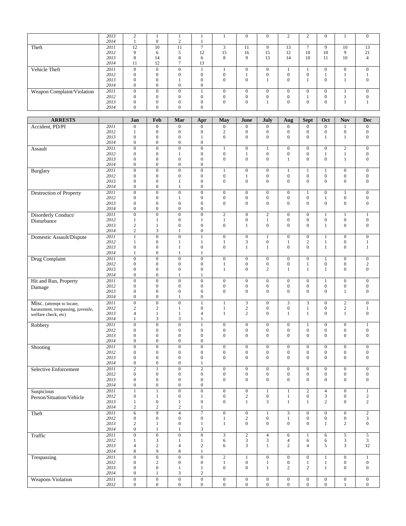|                            | 2013 |          |              |          |              |    | $\Omega$ | $\Omega$       | $\sim$   | $\sim$       | 0  |              | $\mathbf{0}$ |
|----------------------------|------|----------|--------------|----------|--------------|----|----------|----------------|----------|--------------|----|--------------|--------------|
|                            | 2014 |          | $\Omega$     |          |              |    |          |                |          |              |    |              |              |
| Theft                      | 2011 | 12       | 10           | 11       |              | e  | 11       | Q              | 13       |              | Q  | 10           | 13           |
|                            | 2012 | $\Omega$ | 6            |          | 12           | 15 | 16       | 15             | 12       | 10           | 10 | Q            | 21           |
|                            | 2013 | 8        | 14           | 8        | 6            | 8  | $\Omega$ | 13             | 14       | 10           | 11 | 10           |              |
|                            | 2014 | -11      | 12           |          | 13           |    |          |                |          |              |    |              |              |
| Vehicle Theft              | 2011 | $\Omega$ | $\mathbf{0}$ | 0        |              |    | 0        | $\overline{0}$ |          |              |    | $\mathbf{0}$ | O            |
|                            | 2012 |          | $\Omega$     |          | $\Omega$     |    |          |                |          | $\Omega$     |    |              |              |
|                            | 2013 |          | $\Omega$     |          | $\Omega$     | 0  | $\Omega$ |                | $\Omega$ |              | 0  |              |              |
|                            | 2014 | 0        | $\Omega$     | $\Omega$ | $\mathbf{0}$ |    |          |                |          |              |    |              |              |
| Weapon Complaint/Violation | 2011 | $\Omega$ | $\Omega$     | $\Omega$ |              |    | $\Omega$ | $\theta$       |          | $\Omega$     |    |              | $\Omega$     |
|                            | 2012 |          | $\Omega$     |          |              |    | 0        |                |          |              |    |              |              |
|                            | 2013 | $\Omega$ | $\Omega$     | ⌒        | $\Omega$     |    | $\Omega$ |                | $\Omega$ | $\mathbf{0}$ | 0  |              |              |
|                            | 2014 |          | $\Omega$     |          | $\Omega$     |    |          |                |          |              |    |              |              |

| Accident, PD/PI<br>2011<br>$\boldsymbol{0}$<br>$\boldsymbol{0}$<br>$\overline{0}$<br>$\boldsymbol{0}$<br>$\mathbf{0}$<br>$\overline{0}$<br>$\boldsymbol{0}$<br>$\mathbf{0}$<br>$\overline{0}$<br>$\overline{0}$<br>$\boldsymbol{0}$<br>1<br>$\boldsymbol{0}$<br>2012<br>$\boldsymbol{0}$<br>$\boldsymbol{0}$<br>$\sqrt{2}$<br>$\boldsymbol{0}$<br>$\boldsymbol{0}$<br>$\boldsymbol{0}$<br>$\boldsymbol{0}$<br>$\boldsymbol{0}$<br>$\boldsymbol{0}$<br>$\mathbf{0}$<br>1<br>2013<br>$\boldsymbol{0}$<br>$\boldsymbol{0}$<br>$\overline{0}$<br>$\overline{0}$<br>$\mathbf{0}$<br>$\overline{0}$<br>$\boldsymbol{0}$<br>$\boldsymbol{0}$<br>$\mathbf{1}$<br>$\overline{0}$<br>$\mathbf{1}$<br>$\mathbf{1}$<br>2014<br>$\boldsymbol{0}$<br>$\boldsymbol{0}$<br>$\overline{0}$<br>$\mathbf{0}$<br>2011<br>$\overline{0}$<br>$\overline{0}$<br>$\overline{0}$<br>$\overline{0}$<br>$\boldsymbol{0}$<br>$\mathbf{0}$<br>$\boldsymbol{0}$<br>$\mathbf{0}$<br>$\mathbf{2}$<br>$\mathbf{0}$<br>$\mathbf{1}$<br>1<br>Assault<br>$\boldsymbol{0}$<br>$\boldsymbol{0}$<br>$\boldsymbol{0}$<br>$\boldsymbol{0}$<br>$\boldsymbol{0}$<br>$\boldsymbol{0}$<br>$\boldsymbol{0}$<br>2012<br>$\boldsymbol{0}$<br>$\mathbf{1}$<br>$\mathbf{1}$<br>$\mathbf{1}$<br>$\mathbf{1}$<br>2013<br>$\boldsymbol{0}$<br>$\overline{0}$<br>$\overline{0}$<br>$\overline{0}$<br>$\boldsymbol{0}$<br>$\boldsymbol{0}$<br>$\boldsymbol{0}$<br>$\boldsymbol{0}$<br>$\mathbf{0}$<br>$\mathbf{0}$<br>$\mathbf{1}$<br>$\mathbf{1}$<br>2014<br>$\boldsymbol{0}$<br>$\boldsymbol{0}$<br>$\boldsymbol{0}$<br>$\boldsymbol{0}$<br>$\overline{2011}$<br>$\overline{0}$<br>$\overline{0}$<br>$\overline{0}$<br>$\overline{0}$<br>$\boldsymbol{0}$<br>$\boldsymbol{0}$<br>$\mathbf{0}$<br>$\boldsymbol{0}$<br><b>Burglary</b><br>$\mathbf{1}$<br>1<br>1<br>1<br>$\boldsymbol{0}$<br>$\boldsymbol{0}$<br>$\boldsymbol{0}$<br>2012<br>$\boldsymbol{0}$<br>$\boldsymbol{0}$<br>$\boldsymbol{0}$<br>$\boldsymbol{0}$<br>$\boldsymbol{0}$<br>$\mathbf{1}$<br>0<br>$\boldsymbol{0}$<br>$\mathbf{0}$<br>2013<br>$\overline{0}$<br>$\boldsymbol{0}$<br>$\overline{0}$<br>$\overline{0}$<br>$\boldsymbol{0}$<br>$\mathbf{0}$<br>$\overline{0}$<br>$\overline{0}$<br>$\overline{0}$<br>$\mathbf{0}$<br>$\mathbf{0}$<br>1<br>2014<br>$\boldsymbol{0}$<br>$\boldsymbol{0}$<br>$\boldsymbol{0}$<br>$\mathbf{1}$<br>$\overline{0}$<br>$\boldsymbol{0}$<br>$\boldsymbol{0}$<br><b>Destruction of Property</b><br>2011<br>$\boldsymbol{0}$<br>$\boldsymbol{0}$<br>$\boldsymbol{0}$<br>$\mathbf{0}$<br>$\boldsymbol{0}$<br>$\boldsymbol{0}$<br>1<br>$\boldsymbol{0}$<br>$\mathbf{1}$<br>$\boldsymbol{0}$<br>$\boldsymbol{0}$<br>$\boldsymbol{0}$<br>$\boldsymbol{0}$<br>$\boldsymbol{0}$<br>$\boldsymbol{0}$<br>2012<br>$\boldsymbol{0}$<br>$\mathbf{1}$<br>$\boldsymbol{0}$<br>$\boldsymbol{0}$<br>$\mathbf{0}$<br>$\mathbf{1}$<br>2013<br>$\overline{0}$<br>$\overline{0}$<br>$\overline{0}$<br>$\overline{0}$<br>$\overline{0}$<br>$\overline{0}$<br>$\mathbf{0}$<br>$\overline{0}$<br>$\overline{0}$<br>$\overline{0}$<br>$\mathbf{0}$<br>$\boldsymbol{0}$<br>2014<br>$\boldsymbol{0}$<br>$\boldsymbol{0}$<br>$\boldsymbol{0}$<br>$\boldsymbol{0}$<br>2011<br>$\overline{0}$<br>$\overline{0}$<br>Disorderly Conduct/<br>$\boldsymbol{0}$<br>$\boldsymbol{0}$<br>$\sqrt{2}$<br>$\mathbf{0}$<br>$\mathbf{2}$<br>$\boldsymbol{0}$<br>$\mathbf{0}$<br>$\mathbf{1}$<br>$\mathbf{1}$<br>$\mathbf{1}$<br>2012<br>$\boldsymbol{0}$<br>$\boldsymbol{0}$<br>$\boldsymbol{0}$<br>$\overline{0}$<br>$\boldsymbol{0}$<br>$\mathbf{0}$<br>$\mathbf{1}$<br>$\mathbf{1}$<br>$\mathbf{0}$<br>$\mathbf{1}$<br>$\mathbf{1}$<br>$\mathbf{1}$<br>Disturbance<br>$\boldsymbol{0}$<br>2013<br>$\sqrt{2}$<br>$\overline{0}$<br>$\boldsymbol{0}$<br>$\mathbf{0}$<br>$\overline{0}$<br>$\mathbf{0}$<br>$\mathbf{0}$<br>$\boldsymbol{0}$<br>$\mathbf{1}$<br>$\mathbf{1}$<br>1<br>$\sqrt{2}$<br>2014<br>3<br>$\boldsymbol{0}$<br>1<br>2011<br>$\overline{0}$<br>$\mathbf{1}$<br>$\boldsymbol{0}$<br>$\mathbf{1}$<br>$\boldsymbol{0}$<br>$\boldsymbol{0}$<br>$\mathbf{0}$<br>$\mathbf{0}$<br>$\boldsymbol{0}$<br>$\mathbf{0}$<br>Domestic Assault/Dispute<br>$\mathbf{1}$<br>$\mathbf{1}$<br>2012<br>$\boldsymbol{0}$<br>3<br>$\mathbf{0}$<br>$\mathbf{2}$<br>$\mathbf{1}$<br>$\boldsymbol{0}$<br>$\mathbf{1}$<br>$\mathbf{1}$<br>$\mathbf{1}$<br>$\mathbf{1}$<br>$\mathbf{1}$<br>1<br>2013<br>$\overline{0}$<br>$\overline{0}$<br>$\boldsymbol{0}$<br>$\overline{0}$<br>$\overline{0}$<br>$\mathbf{0}$<br>$\mathbf{1}$<br>$\mathbf{0}$<br>$\mathbf{1}$<br>$\mathbf{1}$<br>1<br>$\mathbf{1}$<br>2014<br>$\boldsymbol{0}$<br>$\mathbf{1}$<br>$\mathbf{1}$<br>$\mathbf{1}$<br>$\overline{0}$<br>2011<br>$\boldsymbol{0}$<br>$\boldsymbol{0}$<br>$\boldsymbol{0}$<br>$\boldsymbol{0}$<br>$\boldsymbol{0}$<br>$\boldsymbol{0}$<br>$\mathbf{0}$<br>$\boldsymbol{0}$<br>$\boldsymbol{0}$<br>$\boldsymbol{0}$<br>$\mathbf{1}$<br>Drug Complaint<br>$\sqrt{2}$<br>2012<br>$\boldsymbol{0}$<br>$\boldsymbol{0}$<br>$\boldsymbol{0}$<br>$\boldsymbol{0}$<br>$\boldsymbol{0}$<br>$\boldsymbol{0}$<br>$\boldsymbol{0}$<br>$\boldsymbol{0}$<br>$\boldsymbol{0}$<br>$\mathbf{1}$<br>1<br>$\mathbf{0}$<br>2013<br>$\boldsymbol{0}$<br>$\boldsymbol{0}$<br>$\boldsymbol{0}$<br>$\boldsymbol{0}$<br>1<br>$\mathbf{0}$<br>2<br>1<br>1<br>$\mathbf{1}$<br>$\mathbf{0}$<br>2014<br>$\overline{0}$<br>$\overline{0}$<br>1<br>1<br>$\overline{0}$<br>Hit and Run, Property<br>2011<br>$\boldsymbol{0}$<br>$\boldsymbol{0}$<br>$\overline{0}$<br>$\boldsymbol{0}$<br>$\boldsymbol{0}$<br>$\boldsymbol{0}$<br>$\boldsymbol{0}$<br>$\boldsymbol{0}$<br>$\mathbf{1}$<br>$\boldsymbol{0}$<br>$\mathbf{0}$<br>$\overline{0}$<br>$\boldsymbol{0}$<br>2012<br>$\boldsymbol{0}$<br>$\boldsymbol{0}$<br>$\boldsymbol{0}$<br>$\boldsymbol{0}$<br>$\boldsymbol{0}$<br>$\boldsymbol{0}$<br>$\boldsymbol{0}$<br>$\boldsymbol{0}$<br>$\boldsymbol{0}$<br>$\boldsymbol{0}$<br>Damage<br>2013<br>$\overline{0}$<br>$\overline{0}$<br>$\boldsymbol{0}$<br>$\overline{0}$<br>$\overline{0}$<br>$\overline{0}$<br>$\boldsymbol{0}$<br>$\mathbf{0}$<br>$\boldsymbol{0}$<br>$\mathbf{0}$<br>$\mathbf{0}$<br>$\mathbf{1}$<br>2014<br>$\boldsymbol{0}$<br>$\boldsymbol{0}$<br>$\boldsymbol{0}$<br>$\mathbf{1}$<br>2011<br>$\overline{0}$<br>$\overline{3}$<br>$\overline{2}$<br>$\boldsymbol{0}$<br>$\boldsymbol{0}$<br>1<br>$\mathbf{1}$<br>3<br>$\boldsymbol{0}$<br>3<br>$\overline{0}$<br>$\mathbf{0}$<br>Misc. (attempt to locate,<br>$\boldsymbol{0}$<br>$\sqrt{2}$<br>$\boldsymbol{0}$<br>2012<br>$\overline{c}$<br>$\overline{\mathbf{c}}$<br>$\mathbf{1}$<br>0<br>$\mathbf{1}$<br>$\mathbf{0}$<br>$\overline{c}$<br>$\mathbf{1}$<br>1<br>harassment, trespassing, juvenile,<br>2013<br>$\overline{4}$<br>$\mathbf{2}$<br>$\mathbf{0}$<br>$\overline{0}$<br>$\boldsymbol{0}$<br>$\mathbf{1}$<br>$\mathbf{1}$<br>$\overline{4}$<br>$\mathbf{1}$<br>$\mathbf{1}$<br>1<br>$\mathbf{1}$<br>welfare check, etc)<br>2014<br>3<br>3<br>$\mathbf{1}$<br>1<br>2011<br>$\overline{0}$<br>$\overline{0}$<br>$\overline{0}$<br>$\overline{0}$<br>$\overline{0}$<br>$\overline{0}$<br>$\overline{0}$<br>$\overline{1}$<br>$\overline{0}$<br>$\overline{0}$<br>$\overline{1}$<br>$\mathbf{1}$<br>Robbery<br>$\boldsymbol{0}$<br>2012<br>$\boldsymbol{0}$<br>$\boldsymbol{0}$<br>$\boldsymbol{0}$<br>$\boldsymbol{0}$<br>$\boldsymbol{0}$<br>$\boldsymbol{0}$<br>0<br>$\boldsymbol{0}$<br>$\boldsymbol{0}$<br>$\boldsymbol{0}$<br>$\mathbf{0}$<br>2013<br>$\overline{0}$<br>$\overline{0}$<br>$\overline{0}$<br>$\overline{0}$<br>$\overline{0}$<br>$\overline{0}$<br>$\mathbf{0}$<br>$\overline{0}$<br>$\overline{0}$<br>$\overline{0}$<br>$\mathbf{0}$<br>$\boldsymbol{0}$<br>2014<br>$\boldsymbol{0}$<br>$\boldsymbol{0}$<br>$\boldsymbol{0}$<br>$\boldsymbol{0}$<br>2011<br>$\overline{0}$<br>$\overline{0}$<br>$\overline{0}$<br>$\overline{0}$<br>$\overline{0}$<br>$\overline{0}$<br>$\overline{0}$<br>$\overline{0}$<br>$\boldsymbol{0}$<br>$\overline{0}$<br>$\boldsymbol{0}$<br>$\boldsymbol{0}$<br>Shooting<br>$\mathbf{0}$<br>2012<br>$\boldsymbol{0}$<br>$\boldsymbol{0}$<br>$\boldsymbol{0}$<br>$\boldsymbol{0}$<br>$\boldsymbol{0}$<br>$\boldsymbol{0}$<br>$\boldsymbol{0}$<br>$\boldsymbol{0}$<br>$\boldsymbol{0}$<br>$\boldsymbol{0}$<br>$\mathbf{0}$<br>2013<br>$\boldsymbol{0}$<br>$\overline{0}$<br>$\boldsymbol{0}$<br>$\overline{0}$<br>$\overline{0}$<br>$\mathbf{0}$<br>$\overline{0}$<br>$\overline{0}$<br>$\overline{0}$<br>$\mathbf{0}$<br>$\overline{0}$<br>$\mathbf{0}$<br>2014<br>$\boldsymbol{0}$<br>$\boldsymbol{0}$<br>$\boldsymbol{0}$<br>1<br>$\overline{2}$<br>$\overline{2}$<br>2011<br>$\overline{0}$<br>$\overline{0}$<br>$\overline{0}$<br>Selective Enforcement<br>$\mathbf{1}$<br>$\boldsymbol{0}$<br>$\mathbf{0}$<br>$\boldsymbol{0}$<br>$\boldsymbol{0}$<br>$\mathbf{0}$<br>$\mathbf{0}$<br>$\boldsymbol{0}$<br>$\boldsymbol{0}$<br>$\boldsymbol{0}$<br>$\boldsymbol{0}$<br>2012<br>$\boldsymbol{0}$<br>$\boldsymbol{0}$<br>$\boldsymbol{0}$<br>$\boldsymbol{0}$<br>$\boldsymbol{0}$<br>$\boldsymbol{0}$<br>$\boldsymbol{0}$<br>$\mathbf{0}$<br>$\boldsymbol{0}$<br>$\boldsymbol{0}$<br>$\boldsymbol{0}$<br>$\boldsymbol{0}$<br>$\overline{0}$<br>$\overline{0}$<br>$\overline{0}$<br>$\mathbf{0}$<br>$\boldsymbol{0}$<br>2013<br>$\boldsymbol{0}$<br>$\mathbf{0}$<br>$\overline{0}$<br>2014<br>$\boldsymbol{0}$<br>$\boldsymbol{0}$<br>$\boldsymbol{0}$<br>$\boldsymbol{0}$<br>2011<br>$\overline{0}$<br>$\boldsymbol{0}$<br>1<br>$\mathbf{1}$<br>$\boldsymbol{0}$<br>$\mathbf{0}$<br>$\mathbf{1}$<br>$\boldsymbol{2}$<br>$\overline{4}$<br>$\boldsymbol{0}$<br>$\mathbf{1}$<br>Suspicious<br>1<br>2012<br>$\overline{0}$<br>$\boldsymbol{0}$<br>$\boldsymbol{0}$<br>$\sqrt{2}$<br>$\boldsymbol{0}$<br>$\boldsymbol{0}$<br>3<br>$\boldsymbol{0}$<br>$\overline{c}$<br>$\mathbf{1}$<br>$\mathbf{1}$<br>$\mathbf{1}$<br>Person/Situation/Vehicle<br>$\overline{c}$<br>$\boldsymbol{0}$<br>2013<br>$\boldsymbol{0}$<br>3<br>$\overline{c}$<br>$\mathbf{0}$<br>$\mathbf{0}$<br>1<br>1<br>1<br>1<br>1<br>2014<br>$\overline{c}$<br>$\overline{c}$<br>2<br>$\mathbf{1}$<br>Theft<br>7<br>2011<br>6<br>9<br>4<br>$\theta$<br>$\theta$<br>1<br>3<br>$\theta$<br>$\mathbf{0}$<br>$\theta$<br>$\mathbf{z}$<br>$\mathfrak z$<br>2012<br>$\boldsymbol{0}$<br>$\boldsymbol{0}$<br>$\boldsymbol{0}$<br>$\boldsymbol{0}$<br>$\sqrt{2}$<br>$\boldsymbol{0}$<br>$\boldsymbol{0}$<br>$\boldsymbol{0}$<br>$\boldsymbol{0}$<br>$\mathbf{1}$<br>$\mathbf{1}$<br>2013<br>$\boldsymbol{0}$<br>$\overline{0}$<br>$\overline{c}$<br>$\boldsymbol{0}$<br>$\mathbf{1}$<br>$\mathbf{1}$<br>$\boldsymbol{0}$<br>$\mathbf{0}$<br>$\overline{0}$<br>$\mathbf{1}$<br>2<br>$\mathbf{1}$<br>2014<br>$\overline{0}$<br>3<br>$\mathbf{1}$<br>$\mathbf{1}$<br>2011<br>$\overline{0}$<br>$\overline{0}$<br>$\overline{5}$<br>$\boldsymbol{0}$<br>$\boldsymbol{0}$<br>3<br>$\overline{2}$<br>$\overline{4}$<br>$\sqrt{5}$<br>Traffic<br>6<br>$\mathbf{1}$<br>6<br>$\mathbf{3}$<br>2012<br>$\ensuremath{\mathfrak{Z}}$<br>$\mathfrak{Z}$<br>3<br>3<br>$\mathbf{1}$<br>$\mathbf{1}$<br>$\mathbf{1}$<br>6<br>4<br>6<br>6<br>12<br>2013<br>$\sqrt{2}$<br>$\boldsymbol{2}$<br>3<br>$\overline{c}$<br>$\overline{4}$<br>$\overline{4}$<br>$\overline{4}$<br>6<br>$\mathbf{1}$<br>5<br>3<br>9<br>2014<br>8<br>8<br>$\mathbf{1}$<br>$\overline{0}$<br>2011<br>$\overline{0}$<br>$\overline{0}$<br>$\overline{0}$<br>$\overline{2}$<br>Trespassing<br>$\mathbf{1}$<br>$\boldsymbol{0}$<br>$\boldsymbol{0}$<br>$\boldsymbol{0}$<br>$\mathbf{1}$<br>$\boldsymbol{0}$<br>$\mathbf{1}$<br>2012<br>$\overline{c}$<br>$\boldsymbol{0}$<br>$\overline{0}$<br>$\boldsymbol{0}$<br>$\boldsymbol{0}$<br>$\boldsymbol{0}$<br>$\mathbf{0}$<br>$\mathbf{0}$<br>$\mathbf{1}$<br>$\mathbf{1}$<br>$\mathbf{1}$<br>1<br>2013<br>$\boldsymbol{0}$<br>$\boldsymbol{0}$<br>$\boldsymbol{0}$<br>$\mathbf{0}$<br>$\overline{c}$<br>$\mathbf{2}$<br>$\mathbf{0}$<br>$\boldsymbol{0}$<br>$\mathbf{1}$<br>$\mathbf{1}$<br>$\mathbf{1}$<br>$\mathbf{1}$<br>2014<br>$\boldsymbol{0}$<br>3<br>$\overline{c}$<br>$\mathbf{1}$<br>2011<br>$\overline{0}$<br>$\overline{0}$<br>$\overline{0}$<br>$\overline{0}$<br><b>Weapons Violation</b><br>$\mathbf{0}$<br>$\boldsymbol{0}$<br>$\overline{0}$<br>$\boldsymbol{0}$<br>$\overline{0}$<br>$\overline{0}$<br>$\boldsymbol{0}$<br>$\overline{0}$ | <b>ARRESTS</b> |      | Jan            | Feb              | Mar          | Apr            | May            | June           | July           | Aug            | <b>Sept</b>    | Oct            | <b>Nov</b> | <b>Dec</b>     |
|------------------------------------------------------------------------------------------------------------------------------------------------------------------------------------------------------------------------------------------------------------------------------------------------------------------------------------------------------------------------------------------------------------------------------------------------------------------------------------------------------------------------------------------------------------------------------------------------------------------------------------------------------------------------------------------------------------------------------------------------------------------------------------------------------------------------------------------------------------------------------------------------------------------------------------------------------------------------------------------------------------------------------------------------------------------------------------------------------------------------------------------------------------------------------------------------------------------------------------------------------------------------------------------------------------------------------------------------------------------------------------------------------------------------------------------------------------------------------------------------------------------------------------------------------------------------------------------------------------------------------------------------------------------------------------------------------------------------------------------------------------------------------------------------------------------------------------------------------------------------------------------------------------------------------------------------------------------------------------------------------------------------------------------------------------------------------------------------------------------------------------------------------------------------------------------------------------------------------------------------------------------------------------------------------------------------------------------------------------------------------------------------------------------------------------------------------------------------------------------------------------------------------------------------------------------------------------------------------------------------------------------------------------------------------------------------------------------------------------------------------------------------------------------------------------------------------------------------------------------------------------------------------------------------------------------------------------------------------------------------------------------------------------------------------------------------------------------------------------------------------------------------------------------------------------------------------------------------------------------------------------------------------------------------------------------------------------------------------------------------------------------------------------------------------------------------------------------------------------------------------------------------------------------------------------------------------------------------------------------------------------------------------------------------------------------------------------------------------------------------------------------------------------------------------------------------------------------------------------------------------------------------------------------------------------------------------------------------------------------------------------------------------------------------------------------------------------------------------------------------------------------------------------------------------------------------------------------------------------------------------------------------------------------------------------------------------------------------------------------------------------------------------------------------------------------------------------------------------------------------------------------------------------------------------------------------------------------------------------------------------------------------------------------------------------------------------------------------------------------------------------------------------------------------------------------------------------------------------------------------------------------------------------------------------------------------------------------------------------------------------------------------------------------------------------------------------------------------------------------------------------------------------------------------------------------------------------------------------------------------------------------------------------------------------------------------------------------------------------------------------------------------------------------------------------------------------------------------------------------------------------------------------------------------------------------------------------------------------------------------------------------------------------------------------------------------------------------------------------------------------------------------------------------------------------------------------------------------------------------------------------------------------------------------------------------------------------------------------------------------------------------------------------------------------------------------------------------------------------------------------------------------------------------------------------------------------------------------------------------------------------------------------------------------------------------------------------------------------------------------------------------------------------------------------------------------------------------------------------------------------------------------------------------------------------------------------------------------------------------------------------------------------------------------------------------------------------------------------------------------------------------------------------------------------------------------------------------------------------------------------------------------------------------------------------------------------------------------------------------------------------------------------------------------------------------------------------------------------------------------------------------------------------------------------------------------------------------------------------------------------------------------------------------------------------------------------------------------------------------------------------------------------------------------------------------------------------------------------------------------------------------------------------------------------------------------------------------------------------------------------------------------------------------------------------------------------------------------------------------------------------------------------------------------------------------------------------------------------------------------------------------------------------------------------------------------------------------------------------------------------------------------------------------------------------------------------------------------------------------------------------------------------------------------------------------------------------------------------------------------------------------------------------------------------------------------------------------------------------------------------------------------------------------------------------------------------------------------------------------------------------------------------------------------------------------------------------------------------------------------------------------------------------------------------------------------------------------------------------------------------------------------------------------------------------------------------------------------------------------------------------------------------------------------------------------------------------------------------------------------------------------------------------------------------------------------------------------------------------------------------------------------------------------------------------------------------------------------------------------------------------------------------------------------------------------------------------------------------------------------------------------------------------------------------------------------------------------------------------------------------------------------------------------------------------------------------------------------------------------------------------------------------------------------------------------------------------------------------------------------------------------------------------------------------------------------------------------------------------------------------------------------------------------------------------------------------------------------------------------------------------------------------------------------------------------------------------------------------------------------------------------------------------------------------------------------------------------------------------------------------------------------------------------------------------------------------------------------------------------------------------------------------------------------------------------------------------------------------------------------------------------------------------------------------------------------------------------------------------------------------------------------------------------------------------------------------------------------------------------------------------------------------------------------------------------------------------------------------------------------------------------------------------------------------------------------------------------------------------------------------------------------------------------------------------------------------------------------------------------------------------------------------------------------------------------------------------------------------------------------------------------------------------------------------------------------------------------------------------------------------------------------------------------------------------------------------------------------------------------------------------------------------------------------------------------------------------------------------------------------------------------------------------------------------------------------------------------------------------------------------------------------------------------------------------------------------------------------------------------------------------------------------------------------------------------------------------------------------------------------------------------------------------------------------------------------------------------------------------------------------------------------------------------------------------------------------------------------------------------------------------------------------------------------------------------------------------------------------------------------------------------------------------------|----------------|------|----------------|------------------|--------------|----------------|----------------|----------------|----------------|----------------|----------------|----------------|------------|----------------|
|                                                                                                                                                                                                                                                                                                                                                                                                                                                                                                                                                                                                                                                                                                                                                                                                                                                                                                                                                                                                                                                                                                                                                                                                                                                                                                                                                                                                                                                                                                                                                                                                                                                                                                                                                                                                                                                                                                                                                                                                                                                                                                                                                                                                                                                                                                                                                                                                                                                                                                                                                                                                                                                                                                                                                                                                                                                                                                                                                                                                                                                                                                                                                                                                                                                                                                                                                                                                                                                                                                                                                                                                                                                                                                                                                                                                                                                                                                                                                                                                                                                                                                                                                                                                                                                                                                                                                                                                                                                                                                                                                                                                                                                                                                                                                                                                                                                                                                                                                                                                                                                                                                                                                                                                                                                                                                                                                                                                                                                                                                                                                                                                                                                                                                                                                                                                                                                                                                                                                                                                                                                                                                                                                                                                                                                                                                                                                                                                                                                                                                                                                                                                                                                                                                                                                                                                                                                                                                                                                                                                                                                                                                                                                                                                                                                                                                                                                                                                                                                                                                                                                                                                                                                                                                                                                                                                                                                                                                                                                                                                                                                                                                                                                                                                                                                                                                                                                                                                                                                                                                                                                                                                                                                                                                                                                                                                                                                                                                                                                                                                                                                                                                                                                                                                                                                                                                                                                                                                                                                                                                                                                                                                                                                                                                                                                                                                                                                                                                                                                                                                                                                                                                                                                                                                                                                                                                                                                                                                                                                                                                                                                                                                                                                                                                                                                                                                                                                                                                                                                                                                                                                                                                                                                                                                                                                                                                                                                                                                                                                                                                                                                                                                                                                                                                                                                                                                                                                                                                                                                                                                                                                                                                                                                                                                                                                                                                                                                                                                                  |                |      |                |                  |              |                |                |                |                |                |                |                |            |                |
|                                                                                                                                                                                                                                                                                                                                                                                                                                                                                                                                                                                                                                                                                                                                                                                                                                                                                                                                                                                                                                                                                                                                                                                                                                                                                                                                                                                                                                                                                                                                                                                                                                                                                                                                                                                                                                                                                                                                                                                                                                                                                                                                                                                                                                                                                                                                                                                                                                                                                                                                                                                                                                                                                                                                                                                                                                                                                                                                                                                                                                                                                                                                                                                                                                                                                                                                                                                                                                                                                                                                                                                                                                                                                                                                                                                                                                                                                                                                                                                                                                                                                                                                                                                                                                                                                                                                                                                                                                                                                                                                                                                                                                                                                                                                                                                                                                                                                                                                                                                                                                                                                                                                                                                                                                                                                                                                                                                                                                                                                                                                                                                                                                                                                                                                                                                                                                                                                                                                                                                                                                                                                                                                                                                                                                                                                                                                                                                                                                                                                                                                                                                                                                                                                                                                                                                                                                                                                                                                                                                                                                                                                                                                                                                                                                                                                                                                                                                                                                                                                                                                                                                                                                                                                                                                                                                                                                                                                                                                                                                                                                                                                                                                                                                                                                                                                                                                                                                                                                                                                                                                                                                                                                                                                                                                                                                                                                                                                                                                                                                                                                                                                                                                                                                                                                                                                                                                                                                                                                                                                                                                                                                                                                                                                                                                                                                                                                                                                                                                                                                                                                                                                                                                                                                                                                                                                                                                                                                                                                                                                                                                                                                                                                                                                                                                                                                                                                                                                                                                                                                                                                                                                                                                                                                                                                                                                                                                                                                                                                                                                                                                                                                                                                                                                                                                                                                                                                                                                                                                                                                                                                                                                                                                                                                                                                                                                                                                                                                                                  |                |      |                |                  |              |                |                |                |                |                |                |                |            |                |
|                                                                                                                                                                                                                                                                                                                                                                                                                                                                                                                                                                                                                                                                                                                                                                                                                                                                                                                                                                                                                                                                                                                                                                                                                                                                                                                                                                                                                                                                                                                                                                                                                                                                                                                                                                                                                                                                                                                                                                                                                                                                                                                                                                                                                                                                                                                                                                                                                                                                                                                                                                                                                                                                                                                                                                                                                                                                                                                                                                                                                                                                                                                                                                                                                                                                                                                                                                                                                                                                                                                                                                                                                                                                                                                                                                                                                                                                                                                                                                                                                                                                                                                                                                                                                                                                                                                                                                                                                                                                                                                                                                                                                                                                                                                                                                                                                                                                                                                                                                                                                                                                                                                                                                                                                                                                                                                                                                                                                                                                                                                                                                                                                                                                                                                                                                                                                                                                                                                                                                                                                                                                                                                                                                                                                                                                                                                                                                                                                                                                                                                                                                                                                                                                                                                                                                                                                                                                                                                                                                                                                                                                                                                                                                                                                                                                                                                                                                                                                                                                                                                                                                                                                                                                                                                                                                                                                                                                                                                                                                                                                                                                                                                                                                                                                                                                                                                                                                                                                                                                                                                                                                                                                                                                                                                                                                                                                                                                                                                                                                                                                                                                                                                                                                                                                                                                                                                                                                                                                                                                                                                                                                                                                                                                                                                                                                                                                                                                                                                                                                                                                                                                                                                                                                                                                                                                                                                                                                                                                                                                                                                                                                                                                                                                                                                                                                                                                                                                                                                                                                                                                                                                                                                                                                                                                                                                                                                                                                                                                                                                                                                                                                                                                                                                                                                                                                                                                                                                                                                                                                                                                                                                                                                                                                                                                                                                                                                                                                                                                  |                |      |                |                  |              |                |                |                |                |                |                |                |            |                |
|                                                                                                                                                                                                                                                                                                                                                                                                                                                                                                                                                                                                                                                                                                                                                                                                                                                                                                                                                                                                                                                                                                                                                                                                                                                                                                                                                                                                                                                                                                                                                                                                                                                                                                                                                                                                                                                                                                                                                                                                                                                                                                                                                                                                                                                                                                                                                                                                                                                                                                                                                                                                                                                                                                                                                                                                                                                                                                                                                                                                                                                                                                                                                                                                                                                                                                                                                                                                                                                                                                                                                                                                                                                                                                                                                                                                                                                                                                                                                                                                                                                                                                                                                                                                                                                                                                                                                                                                                                                                                                                                                                                                                                                                                                                                                                                                                                                                                                                                                                                                                                                                                                                                                                                                                                                                                                                                                                                                                                                                                                                                                                                                                                                                                                                                                                                                                                                                                                                                                                                                                                                                                                                                                                                                                                                                                                                                                                                                                                                                                                                                                                                                                                                                                                                                                                                                                                                                                                                                                                                                                                                                                                                                                                                                                                                                                                                                                                                                                                                                                                                                                                                                                                                                                                                                                                                                                                                                                                                                                                                                                                                                                                                                                                                                                                                                                                                                                                                                                                                                                                                                                                                                                                                                                                                                                                                                                                                                                                                                                                                                                                                                                                                                                                                                                                                                                                                                                                                                                                                                                                                                                                                                                                                                                                                                                                                                                                                                                                                                                                                                                                                                                                                                                                                                                                                                                                                                                                                                                                                                                                                                                                                                                                                                                                                                                                                                                                                                                                                                                                                                                                                                                                                                                                                                                                                                                                                                                                                                                                                                                                                                                                                                                                                                                                                                                                                                                                                                                                                                                                                                                                                                                                                                                                                                                                                                                                                                                                                                                  |                |      |                |                  |              |                |                |                |                |                |                |                |            |                |
|                                                                                                                                                                                                                                                                                                                                                                                                                                                                                                                                                                                                                                                                                                                                                                                                                                                                                                                                                                                                                                                                                                                                                                                                                                                                                                                                                                                                                                                                                                                                                                                                                                                                                                                                                                                                                                                                                                                                                                                                                                                                                                                                                                                                                                                                                                                                                                                                                                                                                                                                                                                                                                                                                                                                                                                                                                                                                                                                                                                                                                                                                                                                                                                                                                                                                                                                                                                                                                                                                                                                                                                                                                                                                                                                                                                                                                                                                                                                                                                                                                                                                                                                                                                                                                                                                                                                                                                                                                                                                                                                                                                                                                                                                                                                                                                                                                                                                                                                                                                                                                                                                                                                                                                                                                                                                                                                                                                                                                                                                                                                                                                                                                                                                                                                                                                                                                                                                                                                                                                                                                                                                                                                                                                                                                                                                                                                                                                                                                                                                                                                                                                                                                                                                                                                                                                                                                                                                                                                                                                                                                                                                                                                                                                                                                                                                                                                                                                                                                                                                                                                                                                                                                                                                                                                                                                                                                                                                                                                                                                                                                                                                                                                                                                                                                                                                                                                                                                                                                                                                                                                                                                                                                                                                                                                                                                                                                                                                                                                                                                                                                                                                                                                                                                                                                                                                                                                                                                                                                                                                                                                                                                                                                                                                                                                                                                                                                                                                                                                                                                                                                                                                                                                                                                                                                                                                                                                                                                                                                                                                                                                                                                                                                                                                                                                                                                                                                                                                                                                                                                                                                                                                                                                                                                                                                                                                                                                                                                                                                                                                                                                                                                                                                                                                                                                                                                                                                                                                                                                                                                                                                                                                                                                                                                                                                                                                                                                                                                                                  |                |      |                |                  |              |                |                |                |                |                |                |                |            |                |
|                                                                                                                                                                                                                                                                                                                                                                                                                                                                                                                                                                                                                                                                                                                                                                                                                                                                                                                                                                                                                                                                                                                                                                                                                                                                                                                                                                                                                                                                                                                                                                                                                                                                                                                                                                                                                                                                                                                                                                                                                                                                                                                                                                                                                                                                                                                                                                                                                                                                                                                                                                                                                                                                                                                                                                                                                                                                                                                                                                                                                                                                                                                                                                                                                                                                                                                                                                                                                                                                                                                                                                                                                                                                                                                                                                                                                                                                                                                                                                                                                                                                                                                                                                                                                                                                                                                                                                                                                                                                                                                                                                                                                                                                                                                                                                                                                                                                                                                                                                                                                                                                                                                                                                                                                                                                                                                                                                                                                                                                                                                                                                                                                                                                                                                                                                                                                                                                                                                                                                                                                                                                                                                                                                                                                                                                                                                                                                                                                                                                                                                                                                                                                                                                                                                                                                                                                                                                                                                                                                                                                                                                                                                                                                                                                                                                                                                                                                                                                                                                                                                                                                                                                                                                                                                                                                                                                                                                                                                                                                                                                                                                                                                                                                                                                                                                                                                                                                                                                                                                                                                                                                                                                                                                                                                                                                                                                                                                                                                                                                                                                                                                                                                                                                                                                                                                                                                                                                                                                                                                                                                                                                                                                                                                                                                                                                                                                                                                                                                                                                                                                                                                                                                                                                                                                                                                                                                                                                                                                                                                                                                                                                                                                                                                                                                                                                                                                                                                                                                                                                                                                                                                                                                                                                                                                                                                                                                                                                                                                                                                                                                                                                                                                                                                                                                                                                                                                                                                                                                                                                                                                                                                                                                                                                                                                                                                                                                                                                                                                  |                |      |                |                  |              |                |                |                |                |                |                |                |            |                |
|                                                                                                                                                                                                                                                                                                                                                                                                                                                                                                                                                                                                                                                                                                                                                                                                                                                                                                                                                                                                                                                                                                                                                                                                                                                                                                                                                                                                                                                                                                                                                                                                                                                                                                                                                                                                                                                                                                                                                                                                                                                                                                                                                                                                                                                                                                                                                                                                                                                                                                                                                                                                                                                                                                                                                                                                                                                                                                                                                                                                                                                                                                                                                                                                                                                                                                                                                                                                                                                                                                                                                                                                                                                                                                                                                                                                                                                                                                                                                                                                                                                                                                                                                                                                                                                                                                                                                                                                                                                                                                                                                                                                                                                                                                                                                                                                                                                                                                                                                                                                                                                                                                                                                                                                                                                                                                                                                                                                                                                                                                                                                                                                                                                                                                                                                                                                                                                                                                                                                                                                                                                                                                                                                                                                                                                                                                                                                                                                                                                                                                                                                                                                                                                                                                                                                                                                                                                                                                                                                                                                                                                                                                                                                                                                                                                                                                                                                                                                                                                                                                                                                                                                                                                                                                                                                                                                                                                                                                                                                                                                                                                                                                                                                                                                                                                                                                                                                                                                                                                                                                                                                                                                                                                                                                                                                                                                                                                                                                                                                                                                                                                                                                                                                                                                                                                                                                                                                                                                                                                                                                                                                                                                                                                                                                                                                                                                                                                                                                                                                                                                                                                                                                                                                                                                                                                                                                                                                                                                                                                                                                                                                                                                                                                                                                                                                                                                                                                                                                                                                                                                                                                                                                                                                                                                                                                                                                                                                                                                                                                                                                                                                                                                                                                                                                                                                                                                                                                                                                                                                                                                                                                                                                                                                                                                                                                                                                                                                                                                                  |                |      |                |                  |              |                |                |                |                |                |                |                |            |                |
|                                                                                                                                                                                                                                                                                                                                                                                                                                                                                                                                                                                                                                                                                                                                                                                                                                                                                                                                                                                                                                                                                                                                                                                                                                                                                                                                                                                                                                                                                                                                                                                                                                                                                                                                                                                                                                                                                                                                                                                                                                                                                                                                                                                                                                                                                                                                                                                                                                                                                                                                                                                                                                                                                                                                                                                                                                                                                                                                                                                                                                                                                                                                                                                                                                                                                                                                                                                                                                                                                                                                                                                                                                                                                                                                                                                                                                                                                                                                                                                                                                                                                                                                                                                                                                                                                                                                                                                                                                                                                                                                                                                                                                                                                                                                                                                                                                                                                                                                                                                                                                                                                                                                                                                                                                                                                                                                                                                                                                                                                                                                                                                                                                                                                                                                                                                                                                                                                                                                                                                                                                                                                                                                                                                                                                                                                                                                                                                                                                                                                                                                                                                                                                                                                                                                                                                                                                                                                                                                                                                                                                                                                                                                                                                                                                                                                                                                                                                                                                                                                                                                                                                                                                                                                                                                                                                                                                                                                                                                                                                                                                                                                                                                                                                                                                                                                                                                                                                                                                                                                                                                                                                                                                                                                                                                                                                                                                                                                                                                                                                                                                                                                                                                                                                                                                                                                                                                                                                                                                                                                                                                                                                                                                                                                                                                                                                                                                                                                                                                                                                                                                                                                                                                                                                                                                                                                                                                                                                                                                                                                                                                                                                                                                                                                                                                                                                                                                                                                                                                                                                                                                                                                                                                                                                                                                                                                                                                                                                                                                                                                                                                                                                                                                                                                                                                                                                                                                                                                                                                                                                                                                                                                                                                                                                                                                                                                                                                                                                                                  |                |      |                |                  |              |                |                |                |                |                |                |                |            |                |
|                                                                                                                                                                                                                                                                                                                                                                                                                                                                                                                                                                                                                                                                                                                                                                                                                                                                                                                                                                                                                                                                                                                                                                                                                                                                                                                                                                                                                                                                                                                                                                                                                                                                                                                                                                                                                                                                                                                                                                                                                                                                                                                                                                                                                                                                                                                                                                                                                                                                                                                                                                                                                                                                                                                                                                                                                                                                                                                                                                                                                                                                                                                                                                                                                                                                                                                                                                                                                                                                                                                                                                                                                                                                                                                                                                                                                                                                                                                                                                                                                                                                                                                                                                                                                                                                                                                                                                                                                                                                                                                                                                                                                                                                                                                                                                                                                                                                                                                                                                                                                                                                                                                                                                                                                                                                                                                                                                                                                                                                                                                                                                                                                                                                                                                                                                                                                                                                                                                                                                                                                                                                                                                                                                                                                                                                                                                                                                                                                                                                                                                                                                                                                                                                                                                                                                                                                                                                                                                                                                                                                                                                                                                                                                                                                                                                                                                                                                                                                                                                                                                                                                                                                                                                                                                                                                                                                                                                                                                                                                                                                                                                                                                                                                                                                                                                                                                                                                                                                                                                                                                                                                                                                                                                                                                                                                                                                                                                                                                                                                                                                                                                                                                                                                                                                                                                                                                                                                                                                                                                                                                                                                                                                                                                                                                                                                                                                                                                                                                                                                                                                                                                                                                                                                                                                                                                                                                                                                                                                                                                                                                                                                                                                                                                                                                                                                                                                                                                                                                                                                                                                                                                                                                                                                                                                                                                                                                                                                                                                                                                                                                                                                                                                                                                                                                                                                                                                                                                                                                                                                                                                                                                                                                                                                                                                                                                                                                                                                                                                  |                |      |                |                  |              |                |                |                |                |                |                |                |            |                |
|                                                                                                                                                                                                                                                                                                                                                                                                                                                                                                                                                                                                                                                                                                                                                                                                                                                                                                                                                                                                                                                                                                                                                                                                                                                                                                                                                                                                                                                                                                                                                                                                                                                                                                                                                                                                                                                                                                                                                                                                                                                                                                                                                                                                                                                                                                                                                                                                                                                                                                                                                                                                                                                                                                                                                                                                                                                                                                                                                                                                                                                                                                                                                                                                                                                                                                                                                                                                                                                                                                                                                                                                                                                                                                                                                                                                                                                                                                                                                                                                                                                                                                                                                                                                                                                                                                                                                                                                                                                                                                                                                                                                                                                                                                                                                                                                                                                                                                                                                                                                                                                                                                                                                                                                                                                                                                                                                                                                                                                                                                                                                                                                                                                                                                                                                                                                                                                                                                                                                                                                                                                                                                                                                                                                                                                                                                                                                                                                                                                                                                                                                                                                                                                                                                                                                                                                                                                                                                                                                                                                                                                                                                                                                                                                                                                                                                                                                                                                                                                                                                                                                                                                                                                                                                                                                                                                                                                                                                                                                                                                                                                                                                                                                                                                                                                                                                                                                                                                                                                                                                                                                                                                                                                                                                                                                                                                                                                                                                                                                                                                                                                                                                                                                                                                                                                                                                                                                                                                                                                                                                                                                                                                                                                                                                                                                                                                                                                                                                                                                                                                                                                                                                                                                                                                                                                                                                                                                                                                                                                                                                                                                                                                                                                                                                                                                                                                                                                                                                                                                                                                                                                                                                                                                                                                                                                                                                                                                                                                                                                                                                                                                                                                                                                                                                                                                                                                                                                                                                                                                                                                                                                                                                                                                                                                                                                                                                                                                                                                                  |                |      |                |                  |              |                |                |                |                |                |                |                |            |                |
|                                                                                                                                                                                                                                                                                                                                                                                                                                                                                                                                                                                                                                                                                                                                                                                                                                                                                                                                                                                                                                                                                                                                                                                                                                                                                                                                                                                                                                                                                                                                                                                                                                                                                                                                                                                                                                                                                                                                                                                                                                                                                                                                                                                                                                                                                                                                                                                                                                                                                                                                                                                                                                                                                                                                                                                                                                                                                                                                                                                                                                                                                                                                                                                                                                                                                                                                                                                                                                                                                                                                                                                                                                                                                                                                                                                                                                                                                                                                                                                                                                                                                                                                                                                                                                                                                                                                                                                                                                                                                                                                                                                                                                                                                                                                                                                                                                                                                                                                                                                                                                                                                                                                                                                                                                                                                                                                                                                                                                                                                                                                                                                                                                                                                                                                                                                                                                                                                                                                                                                                                                                                                                                                                                                                                                                                                                                                                                                                                                                                                                                                                                                                                                                                                                                                                                                                                                                                                                                                                                                                                                                                                                                                                                                                                                                                                                                                                                                                                                                                                                                                                                                                                                                                                                                                                                                                                                                                                                                                                                                                                                                                                                                                                                                                                                                                                                                                                                                                                                                                                                                                                                                                                                                                                                                                                                                                                                                                                                                                                                                                                                                                                                                                                                                                                                                                                                                                                                                                                                                                                                                                                                                                                                                                                                                                                                                                                                                                                                                                                                                                                                                                                                                                                                                                                                                                                                                                                                                                                                                                                                                                                                                                                                                                                                                                                                                                                                                                                                                                                                                                                                                                                                                                                                                                                                                                                                                                                                                                                                                                                                                                                                                                                                                                                                                                                                                                                                                                                                                                                                                                                                                                                                                                                                                                                                                                                                                                                                                                                  |                |      |                |                  |              |                |                |                |                |                |                |                |            |                |
|                                                                                                                                                                                                                                                                                                                                                                                                                                                                                                                                                                                                                                                                                                                                                                                                                                                                                                                                                                                                                                                                                                                                                                                                                                                                                                                                                                                                                                                                                                                                                                                                                                                                                                                                                                                                                                                                                                                                                                                                                                                                                                                                                                                                                                                                                                                                                                                                                                                                                                                                                                                                                                                                                                                                                                                                                                                                                                                                                                                                                                                                                                                                                                                                                                                                                                                                                                                                                                                                                                                                                                                                                                                                                                                                                                                                                                                                                                                                                                                                                                                                                                                                                                                                                                                                                                                                                                                                                                                                                                                                                                                                                                                                                                                                                                                                                                                                                                                                                                                                                                                                                                                                                                                                                                                                                                                                                                                                                                                                                                                                                                                                                                                                                                                                                                                                                                                                                                                                                                                                                                                                                                                                                                                                                                                                                                                                                                                                                                                                                                                                                                                                                                                                                                                                                                                                                                                                                                                                                                                                                                                                                                                                                                                                                                                                                                                                                                                                                                                                                                                                                                                                                                                                                                                                                                                                                                                                                                                                                                                                                                                                                                                                                                                                                                                                                                                                                                                                                                                                                                                                                                                                                                                                                                                                                                                                                                                                                                                                                                                                                                                                                                                                                                                                                                                                                                                                                                                                                                                                                                                                                                                                                                                                                                                                                                                                                                                                                                                                                                                                                                                                                                                                                                                                                                                                                                                                                                                                                                                                                                                                                                                                                                                                                                                                                                                                                                                                                                                                                                                                                                                                                                                                                                                                                                                                                                                                                                                                                                                                                                                                                                                                                                                                                                                                                                                                                                                                                                                                                                                                                                                                                                                                                                                                                                                                                                                                                                                                                  |                |      |                |                  |              |                |                |                |                |                |                |                |            |                |
|                                                                                                                                                                                                                                                                                                                                                                                                                                                                                                                                                                                                                                                                                                                                                                                                                                                                                                                                                                                                                                                                                                                                                                                                                                                                                                                                                                                                                                                                                                                                                                                                                                                                                                                                                                                                                                                                                                                                                                                                                                                                                                                                                                                                                                                                                                                                                                                                                                                                                                                                                                                                                                                                                                                                                                                                                                                                                                                                                                                                                                                                                                                                                                                                                                                                                                                                                                                                                                                                                                                                                                                                                                                                                                                                                                                                                                                                                                                                                                                                                                                                                                                                                                                                                                                                                                                                                                                                                                                                                                                                                                                                                                                                                                                                                                                                                                                                                                                                                                                                                                                                                                                                                                                                                                                                                                                                                                                                                                                                                                                                                                                                                                                                                                                                                                                                                                                                                                                                                                                                                                                                                                                                                                                                                                                                                                                                                                                                                                                                                                                                                                                                                                                                                                                                                                                                                                                                                                                                                                                                                                                                                                                                                                                                                                                                                                                                                                                                                                                                                                                                                                                                                                                                                                                                                                                                                                                                                                                                                                                                                                                                                                                                                                                                                                                                                                                                                                                                                                                                                                                                                                                                                                                                                                                                                                                                                                                                                                                                                                                                                                                                                                                                                                                                                                                                                                                                                                                                                                                                                                                                                                                                                                                                                                                                                                                                                                                                                                                                                                                                                                                                                                                                                                                                                                                                                                                                                                                                                                                                                                                                                                                                                                                                                                                                                                                                                                                                                                                                                                                                                                                                                                                                                                                                                                                                                                                                                                                                                                                                                                                                                                                                                                                                                                                                                                                                                                                                                                                                                                                                                                                                                                                                                                                                                                                                                                                                                                                                                  |                |      |                |                  |              |                |                |                |                |                |                |                |            |                |
|                                                                                                                                                                                                                                                                                                                                                                                                                                                                                                                                                                                                                                                                                                                                                                                                                                                                                                                                                                                                                                                                                                                                                                                                                                                                                                                                                                                                                                                                                                                                                                                                                                                                                                                                                                                                                                                                                                                                                                                                                                                                                                                                                                                                                                                                                                                                                                                                                                                                                                                                                                                                                                                                                                                                                                                                                                                                                                                                                                                                                                                                                                                                                                                                                                                                                                                                                                                                                                                                                                                                                                                                                                                                                                                                                                                                                                                                                                                                                                                                                                                                                                                                                                                                                                                                                                                                                                                                                                                                                                                                                                                                                                                                                                                                                                                                                                                                                                                                                                                                                                                                                                                                                                                                                                                                                                                                                                                                                                                                                                                                                                                                                                                                                                                                                                                                                                                                                                                                                                                                                                                                                                                                                                                                                                                                                                                                                                                                                                                                                                                                                                                                                                                                                                                                                                                                                                                                                                                                                                                                                                                                                                                                                                                                                                                                                                                                                                                                                                                                                                                                                                                                                                                                                                                                                                                                                                                                                                                                                                                                                                                                                                                                                                                                                                                                                                                                                                                                                                                                                                                                                                                                                                                                                                                                                                                                                                                                                                                                                                                                                                                                                                                                                                                                                                                                                                                                                                                                                                                                                                                                                                                                                                                                                                                                                                                                                                                                                                                                                                                                                                                                                                                                                                                                                                                                                                                                                                                                                                                                                                                                                                                                                                                                                                                                                                                                                                                                                                                                                                                                                                                                                                                                                                                                                                                                                                                                                                                                                                                                                                                                                                                                                                                                                                                                                                                                                                                                                                                                                                                                                                                                                                                                                                                                                                                                                                                                                                                                                  |                |      |                |                  |              |                |                |                |                |                |                |                |            |                |
|                                                                                                                                                                                                                                                                                                                                                                                                                                                                                                                                                                                                                                                                                                                                                                                                                                                                                                                                                                                                                                                                                                                                                                                                                                                                                                                                                                                                                                                                                                                                                                                                                                                                                                                                                                                                                                                                                                                                                                                                                                                                                                                                                                                                                                                                                                                                                                                                                                                                                                                                                                                                                                                                                                                                                                                                                                                                                                                                                                                                                                                                                                                                                                                                                                                                                                                                                                                                                                                                                                                                                                                                                                                                                                                                                                                                                                                                                                                                                                                                                                                                                                                                                                                                                                                                                                                                                                                                                                                                                                                                                                                                                                                                                                                                                                                                                                                                                                                                                                                                                                                                                                                                                                                                                                                                                                                                                                                                                                                                                                                                                                                                                                                                                                                                                                                                                                                                                                                                                                                                                                                                                                                                                                                                                                                                                                                                                                                                                                                                                                                                                                                                                                                                                                                                                                                                                                                                                                                                                                                                                                                                                                                                                                                                                                                                                                                                                                                                                                                                                                                                                                                                                                                                                                                                                                                                                                                                                                                                                                                                                                                                                                                                                                                                                                                                                                                                                                                                                                                                                                                                                                                                                                                                                                                                                                                                                                                                                                                                                                                                                                                                                                                                                                                                                                                                                                                                                                                                                                                                                                                                                                                                                                                                                                                                                                                                                                                                                                                                                                                                                                                                                                                                                                                                                                                                                                                                                                                                                                                                                                                                                                                                                                                                                                                                                                                                                                                                                                                                                                                                                                                                                                                                                                                                                                                                                                                                                                                                                                                                                                                                                                                                                                                                                                                                                                                                                                                                                                                                                                                                                                                                                                                                                                                                                                                                                                                                                                                                                  |                |      |                |                  |              |                |                |                |                |                |                |                |            |                |
|                                                                                                                                                                                                                                                                                                                                                                                                                                                                                                                                                                                                                                                                                                                                                                                                                                                                                                                                                                                                                                                                                                                                                                                                                                                                                                                                                                                                                                                                                                                                                                                                                                                                                                                                                                                                                                                                                                                                                                                                                                                                                                                                                                                                                                                                                                                                                                                                                                                                                                                                                                                                                                                                                                                                                                                                                                                                                                                                                                                                                                                                                                                                                                                                                                                                                                                                                                                                                                                                                                                                                                                                                                                                                                                                                                                                                                                                                                                                                                                                                                                                                                                                                                                                                                                                                                                                                                                                                                                                                                                                                                                                                                                                                                                                                                                                                                                                                                                                                                                                                                                                                                                                                                                                                                                                                                                                                                                                                                                                                                                                                                                                                                                                                                                                                                                                                                                                                                                                                                                                                                                                                                                                                                                                                                                                                                                                                                                                                                                                                                                                                                                                                                                                                                                                                                                                                                                                                                                                                                                                                                                                                                                                                                                                                                                                                                                                                                                                                                                                                                                                                                                                                                                                                                                                                                                                                                                                                                                                                                                                                                                                                                                                                                                                                                                                                                                                                                                                                                                                                                                                                                                                                                                                                                                                                                                                                                                                                                                                                                                                                                                                                                                                                                                                                                                                                                                                                                                                                                                                                                                                                                                                                                                                                                                                                                                                                                                                                                                                                                                                                                                                                                                                                                                                                                                                                                                                                                                                                                                                                                                                                                                                                                                                                                                                                                                                                                                                                                                                                                                                                                                                                                                                                                                                                                                                                                                                                                                                                                                                                                                                                                                                                                                                                                                                                                                                                                                                                                                                                                                                                                                                                                                                                                                                                                                                                                                                                                                                                  |                |      |                |                  |              |                |                |                |                |                |                |                |            |                |
|                                                                                                                                                                                                                                                                                                                                                                                                                                                                                                                                                                                                                                                                                                                                                                                                                                                                                                                                                                                                                                                                                                                                                                                                                                                                                                                                                                                                                                                                                                                                                                                                                                                                                                                                                                                                                                                                                                                                                                                                                                                                                                                                                                                                                                                                                                                                                                                                                                                                                                                                                                                                                                                                                                                                                                                                                                                                                                                                                                                                                                                                                                                                                                                                                                                                                                                                                                                                                                                                                                                                                                                                                                                                                                                                                                                                                                                                                                                                                                                                                                                                                                                                                                                                                                                                                                                                                                                                                                                                                                                                                                                                                                                                                                                                                                                                                                                                                                                                                                                                                                                                                                                                                                                                                                                                                                                                                                                                                                                                                                                                                                                                                                                                                                                                                                                                                                                                                                                                                                                                                                                                                                                                                                                                                                                                                                                                                                                                                                                                                                                                                                                                                                                                                                                                                                                                                                                                                                                                                                                                                                                                                                                                                                                                                                                                                                                                                                                                                                                                                                                                                                                                                                                                                                                                                                                                                                                                                                                                                                                                                                                                                                                                                                                                                                                                                                                                                                                                                                                                                                                                                                                                                                                                                                                                                                                                                                                                                                                                                                                                                                                                                                                                                                                                                                                                                                                                                                                                                                                                                                                                                                                                                                                                                                                                                                                                                                                                                                                                                                                                                                                                                                                                                                                                                                                                                                                                                                                                                                                                                                                                                                                                                                                                                                                                                                                                                                                                                                                                                                                                                                                                                                                                                                                                                                                                                                                                                                                                                                                                                                                                                                                                                                                                                                                                                                                                                                                                                                                                                                                                                                                                                                                                                                                                                                                                                                                                                                                                                  |                |      |                |                  |              |                |                |                |                |                |                |                |            |                |
|                                                                                                                                                                                                                                                                                                                                                                                                                                                                                                                                                                                                                                                                                                                                                                                                                                                                                                                                                                                                                                                                                                                                                                                                                                                                                                                                                                                                                                                                                                                                                                                                                                                                                                                                                                                                                                                                                                                                                                                                                                                                                                                                                                                                                                                                                                                                                                                                                                                                                                                                                                                                                                                                                                                                                                                                                                                                                                                                                                                                                                                                                                                                                                                                                                                                                                                                                                                                                                                                                                                                                                                                                                                                                                                                                                                                                                                                                                                                                                                                                                                                                                                                                                                                                                                                                                                                                                                                                                                                                                                                                                                                                                                                                                                                                                                                                                                                                                                                                                                                                                                                                                                                                                                                                                                                                                                                                                                                                                                                                                                                                                                                                                                                                                                                                                                                                                                                                                                                                                                                                                                                                                                                                                                                                                                                                                                                                                                                                                                                                                                                                                                                                                                                                                                                                                                                                                                                                                                                                                                                                                                                                                                                                                                                                                                                                                                                                                                                                                                                                                                                                                                                                                                                                                                                                                                                                                                                                                                                                                                                                                                                                                                                                                                                                                                                                                                                                                                                                                                                                                                                                                                                                                                                                                                                                                                                                                                                                                                                                                                                                                                                                                                                                                                                                                                                                                                                                                                                                                                                                                                                                                                                                                                                                                                                                                                                                                                                                                                                                                                                                                                                                                                                                                                                                                                                                                                                                                                                                                                                                                                                                                                                                                                                                                                                                                                                                                                                                                                                                                                                                                                                                                                                                                                                                                                                                                                                                                                                                                                                                                                                                                                                                                                                                                                                                                                                                                                                                                                                                                                                                                                                                                                                                                                                                                                                                                                                                                                                                  |                |      |                |                  |              |                |                |                |                |                |                |                |            |                |
|                                                                                                                                                                                                                                                                                                                                                                                                                                                                                                                                                                                                                                                                                                                                                                                                                                                                                                                                                                                                                                                                                                                                                                                                                                                                                                                                                                                                                                                                                                                                                                                                                                                                                                                                                                                                                                                                                                                                                                                                                                                                                                                                                                                                                                                                                                                                                                                                                                                                                                                                                                                                                                                                                                                                                                                                                                                                                                                                                                                                                                                                                                                                                                                                                                                                                                                                                                                                                                                                                                                                                                                                                                                                                                                                                                                                                                                                                                                                                                                                                                                                                                                                                                                                                                                                                                                                                                                                                                                                                                                                                                                                                                                                                                                                                                                                                                                                                                                                                                                                                                                                                                                                                                                                                                                                                                                                                                                                                                                                                                                                                                                                                                                                                                                                                                                                                                                                                                                                                                                                                                                                                                                                                                                                                                                                                                                                                                                                                                                                                                                                                                                                                                                                                                                                                                                                                                                                                                                                                                                                                                                                                                                                                                                                                                                                                                                                                                                                                                                                                                                                                                                                                                                                                                                                                                                                                                                                                                                                                                                                                                                                                                                                                                                                                                                                                                                                                                                                                                                                                                                                                                                                                                                                                                                                                                                                                                                                                                                                                                                                                                                                                                                                                                                                                                                                                                                                                                                                                                                                                                                                                                                                                                                                                                                                                                                                                                                                                                                                                                                                                                                                                                                                                                                                                                                                                                                                                                                                                                                                                                                                                                                                                                                                                                                                                                                                                                                                                                                                                                                                                                                                                                                                                                                                                                                                                                                                                                                                                                                                                                                                                                                                                                                                                                                                                                                                                                                                                                                                                                                                                                                                                                                                                                                                                                                                                                                                                                                                                  |                |      |                |                  |              |                |                |                |                |                |                |                |            |                |
|                                                                                                                                                                                                                                                                                                                                                                                                                                                                                                                                                                                                                                                                                                                                                                                                                                                                                                                                                                                                                                                                                                                                                                                                                                                                                                                                                                                                                                                                                                                                                                                                                                                                                                                                                                                                                                                                                                                                                                                                                                                                                                                                                                                                                                                                                                                                                                                                                                                                                                                                                                                                                                                                                                                                                                                                                                                                                                                                                                                                                                                                                                                                                                                                                                                                                                                                                                                                                                                                                                                                                                                                                                                                                                                                                                                                                                                                                                                                                                                                                                                                                                                                                                                                                                                                                                                                                                                                                                                                                                                                                                                                                                                                                                                                                                                                                                                                                                                                                                                                                                                                                                                                                                                                                                                                                                                                                                                                                                                                                                                                                                                                                                                                                                                                                                                                                                                                                                                                                                                                                                                                                                                                                                                                                                                                                                                                                                                                                                                                                                                                                                                                                                                                                                                                                                                                                                                                                                                                                                                                                                                                                                                                                                                                                                                                                                                                                                                                                                                                                                                                                                                                                                                                                                                                                                                                                                                                                                                                                                                                                                                                                                                                                                                                                                                                                                                                                                                                                                                                                                                                                                                                                                                                                                                                                                                                                                                                                                                                                                                                                                                                                                                                                                                                                                                                                                                                                                                                                                                                                                                                                                                                                                                                                                                                                                                                                                                                                                                                                                                                                                                                                                                                                                                                                                                                                                                                                                                                                                                                                                                                                                                                                                                                                                                                                                                                                                                                                                                                                                                                                                                                                                                                                                                                                                                                                                                                                                                                                                                                                                                                                                                                                                                                                                                                                                                                                                                                                                                                                                                                                                                                                                                                                                                                                                                                                                                                                                                                                  |                |      |                |                  |              |                |                |                |                |                |                |                |            |                |
|                                                                                                                                                                                                                                                                                                                                                                                                                                                                                                                                                                                                                                                                                                                                                                                                                                                                                                                                                                                                                                                                                                                                                                                                                                                                                                                                                                                                                                                                                                                                                                                                                                                                                                                                                                                                                                                                                                                                                                                                                                                                                                                                                                                                                                                                                                                                                                                                                                                                                                                                                                                                                                                                                                                                                                                                                                                                                                                                                                                                                                                                                                                                                                                                                                                                                                                                                                                                                                                                                                                                                                                                                                                                                                                                                                                                                                                                                                                                                                                                                                                                                                                                                                                                                                                                                                                                                                                                                                                                                                                                                                                                                                                                                                                                                                                                                                                                                                                                                                                                                                                                                                                                                                                                                                                                                                                                                                                                                                                                                                                                                                                                                                                                                                                                                                                                                                                                                                                                                                                                                                                                                                                                                                                                                                                                                                                                                                                                                                                                                                                                                                                                                                                                                                                                                                                                                                                                                                                                                                                                                                                                                                                                                                                                                                                                                                                                                                                                                                                                                                                                                                                                                                                                                                                                                                                                                                                                                                                                                                                                                                                                                                                                                                                                                                                                                                                                                                                                                                                                                                                                                                                                                                                                                                                                                                                                                                                                                                                                                                                                                                                                                                                                                                                                                                                                                                                                                                                                                                                                                                                                                                                                                                                                                                                                                                                                                                                                                                                                                                                                                                                                                                                                                                                                                                                                                                                                                                                                                                                                                                                                                                                                                                                                                                                                                                                                                                                                                                                                                                                                                                                                                                                                                                                                                                                                                                                                                                                                                                                                                                                                                                                                                                                                                                                                                                                                                                                                                                                                                                                                                                                                                                                                                                                                                                                                                                                                                                                                                  |                |      |                |                  |              |                |                |                |                |                |                |                |            |                |
|                                                                                                                                                                                                                                                                                                                                                                                                                                                                                                                                                                                                                                                                                                                                                                                                                                                                                                                                                                                                                                                                                                                                                                                                                                                                                                                                                                                                                                                                                                                                                                                                                                                                                                                                                                                                                                                                                                                                                                                                                                                                                                                                                                                                                                                                                                                                                                                                                                                                                                                                                                                                                                                                                                                                                                                                                                                                                                                                                                                                                                                                                                                                                                                                                                                                                                                                                                                                                                                                                                                                                                                                                                                                                                                                                                                                                                                                                                                                                                                                                                                                                                                                                                                                                                                                                                                                                                                                                                                                                                                                                                                                                                                                                                                                                                                                                                                                                                                                                                                                                                                                                                                                                                                                                                                                                                                                                                                                                                                                                                                                                                                                                                                                                                                                                                                                                                                                                                                                                                                                                                                                                                                                                                                                                                                                                                                                                                                                                                                                                                                                                                                                                                                                                                                                                                                                                                                                                                                                                                                                                                                                                                                                                                                                                                                                                                                                                                                                                                                                                                                                                                                                                                                                                                                                                                                                                                                                                                                                                                                                                                                                                                                                                                                                                                                                                                                                                                                                                                                                                                                                                                                                                                                                                                                                                                                                                                                                                                                                                                                                                                                                                                                                                                                                                                                                                                                                                                                                                                                                                                                                                                                                                                                                                                                                                                                                                                                                                                                                                                                                                                                                                                                                                                                                                                                                                                                                                                                                                                                                                                                                                                                                                                                                                                                                                                                                                                                                                                                                                                                                                                                                                                                                                                                                                                                                                                                                                                                                                                                                                                                                                                                                                                                                                                                                                                                                                                                                                                                                                                                                                                                                                                                                                                                                                                                                                                                                                                                                                  |                |      |                |                  |              |                |                |                |                |                |                |                |            |                |
|                                                                                                                                                                                                                                                                                                                                                                                                                                                                                                                                                                                                                                                                                                                                                                                                                                                                                                                                                                                                                                                                                                                                                                                                                                                                                                                                                                                                                                                                                                                                                                                                                                                                                                                                                                                                                                                                                                                                                                                                                                                                                                                                                                                                                                                                                                                                                                                                                                                                                                                                                                                                                                                                                                                                                                                                                                                                                                                                                                                                                                                                                                                                                                                                                                                                                                                                                                                                                                                                                                                                                                                                                                                                                                                                                                                                                                                                                                                                                                                                                                                                                                                                                                                                                                                                                                                                                                                                                                                                                                                                                                                                                                                                                                                                                                                                                                                                                                                                                                                                                                                                                                                                                                                                                                                                                                                                                                                                                                                                                                                                                                                                                                                                                                                                                                                                                                                                                                                                                                                                                                                                                                                                                                                                                                                                                                                                                                                                                                                                                                                                                                                                                                                                                                                                                                                                                                                                                                                                                                                                                                                                                                                                                                                                                                                                                                                                                                                                                                                                                                                                                                                                                                                                                                                                                                                                                                                                                                                                                                                                                                                                                                                                                                                                                                                                                                                                                                                                                                                                                                                                                                                                                                                                                                                                                                                                                                                                                                                                                                                                                                                                                                                                                                                                                                                                                                                                                                                                                                                                                                                                                                                                                                                                                                                                                                                                                                                                                                                                                                                                                                                                                                                                                                                                                                                                                                                                                                                                                                                                                                                                                                                                                                                                                                                                                                                                                                                                                                                                                                                                                                                                                                                                                                                                                                                                                                                                                                                                                                                                                                                                                                                                                                                                                                                                                                                                                                                                                                                                                                                                                                                                                                                                                                                                                                                                                                                                                                                                                  |                |      |                |                  |              |                |                |                |                |                |                |                |            |                |
|                                                                                                                                                                                                                                                                                                                                                                                                                                                                                                                                                                                                                                                                                                                                                                                                                                                                                                                                                                                                                                                                                                                                                                                                                                                                                                                                                                                                                                                                                                                                                                                                                                                                                                                                                                                                                                                                                                                                                                                                                                                                                                                                                                                                                                                                                                                                                                                                                                                                                                                                                                                                                                                                                                                                                                                                                                                                                                                                                                                                                                                                                                                                                                                                                                                                                                                                                                                                                                                                                                                                                                                                                                                                                                                                                                                                                                                                                                                                                                                                                                                                                                                                                                                                                                                                                                                                                                                                                                                                                                                                                                                                                                                                                                                                                                                                                                                                                                                                                                                                                                                                                                                                                                                                                                                                                                                                                                                                                                                                                                                                                                                                                                                                                                                                                                                                                                                                                                                                                                                                                                                                                                                                                                                                                                                                                                                                                                                                                                                                                                                                                                                                                                                                                                                                                                                                                                                                                                                                                                                                                                                                                                                                                                                                                                                                                                                                                                                                                                                                                                                                                                                                                                                                                                                                                                                                                                                                                                                                                                                                                                                                                                                                                                                                                                                                                                                                                                                                                                                                                                                                                                                                                                                                                                                                                                                                                                                                                                                                                                                                                                                                                                                                                                                                                                                                                                                                                                                                                                                                                                                                                                                                                                                                                                                                                                                                                                                                                                                                                                                                                                                                                                                                                                                                                                                                                                                                                                                                                                                                                                                                                                                                                                                                                                                                                                                                                                                                                                                                                                                                                                                                                                                                                                                                                                                                                                                                                                                                                                                                                                                                                                                                                                                                                                                                                                                                                                                                                                                                                                                                                                                                                                                                                                                                                                                                                                                                                                                                                  |                |      |                |                  |              |                |                |                |                |                |                |                |            |                |
|                                                                                                                                                                                                                                                                                                                                                                                                                                                                                                                                                                                                                                                                                                                                                                                                                                                                                                                                                                                                                                                                                                                                                                                                                                                                                                                                                                                                                                                                                                                                                                                                                                                                                                                                                                                                                                                                                                                                                                                                                                                                                                                                                                                                                                                                                                                                                                                                                                                                                                                                                                                                                                                                                                                                                                                                                                                                                                                                                                                                                                                                                                                                                                                                                                                                                                                                                                                                                                                                                                                                                                                                                                                                                                                                                                                                                                                                                                                                                                                                                                                                                                                                                                                                                                                                                                                                                                                                                                                                                                                                                                                                                                                                                                                                                                                                                                                                                                                                                                                                                                                                                                                                                                                                                                                                                                                                                                                                                                                                                                                                                                                                                                                                                                                                                                                                                                                                                                                                                                                                                                                                                                                                                                                                                                                                                                                                                                                                                                                                                                                                                                                                                                                                                                                                                                                                                                                                                                                                                                                                                                                                                                                                                                                                                                                                                                                                                                                                                                                                                                                                                                                                                                                                                                                                                                                                                                                                                                                                                                                                                                                                                                                                                                                                                                                                                                                                                                                                                                                                                                                                                                                                                                                                                                                                                                                                                                                                                                                                                                                                                                                                                                                                                                                                                                                                                                                                                                                                                                                                                                                                                                                                                                                                                                                                                                                                                                                                                                                                                                                                                                                                                                                                                                                                                                                                                                                                                                                                                                                                                                                                                                                                                                                                                                                                                                                                                                                                                                                                                                                                                                                                                                                                                                                                                                                                                                                                                                                                                                                                                                                                                                                                                                                                                                                                                                                                                                                                                                                                                                                                                                                                                                                                                                                                                                                                                                                                                                                                                  |                |      |                |                  |              |                |                |                |                |                |                |                |            |                |
|                                                                                                                                                                                                                                                                                                                                                                                                                                                                                                                                                                                                                                                                                                                                                                                                                                                                                                                                                                                                                                                                                                                                                                                                                                                                                                                                                                                                                                                                                                                                                                                                                                                                                                                                                                                                                                                                                                                                                                                                                                                                                                                                                                                                                                                                                                                                                                                                                                                                                                                                                                                                                                                                                                                                                                                                                                                                                                                                                                                                                                                                                                                                                                                                                                                                                                                                                                                                                                                                                                                                                                                                                                                                                                                                                                                                                                                                                                                                                                                                                                                                                                                                                                                                                                                                                                                                                                                                                                                                                                                                                                                                                                                                                                                                                                                                                                                                                                                                                                                                                                                                                                                                                                                                                                                                                                                                                                                                                                                                                                                                                                                                                                                                                                                                                                                                                                                                                                                                                                                                                                                                                                                                                                                                                                                                                                                                                                                                                                                                                                                                                                                                                                                                                                                                                                                                                                                                                                                                                                                                                                                                                                                                                                                                                                                                                                                                                                                                                                                                                                                                                                                                                                                                                                                                                                                                                                                                                                                                                                                                                                                                                                                                                                                                                                                                                                                                                                                                                                                                                                                                                                                                                                                                                                                                                                                                                                                                                                                                                                                                                                                                                                                                                                                                                                                                                                                                                                                                                                                                                                                                                                                                                                                                                                                                                                                                                                                                                                                                                                                                                                                                                                                                                                                                                                                                                                                                                                                                                                                                                                                                                                                                                                                                                                                                                                                                                                                                                                                                                                                                                                                                                                                                                                                                                                                                                                                                                                                                                                                                                                                                                                                                                                                                                                                                                                                                                                                                                                                                                                                                                                                                                                                                                                                                                                                                                                                                                                                                                  |                |      |                |                  |              |                |                |                |                |                |                |                |            |                |
|                                                                                                                                                                                                                                                                                                                                                                                                                                                                                                                                                                                                                                                                                                                                                                                                                                                                                                                                                                                                                                                                                                                                                                                                                                                                                                                                                                                                                                                                                                                                                                                                                                                                                                                                                                                                                                                                                                                                                                                                                                                                                                                                                                                                                                                                                                                                                                                                                                                                                                                                                                                                                                                                                                                                                                                                                                                                                                                                                                                                                                                                                                                                                                                                                                                                                                                                                                                                                                                                                                                                                                                                                                                                                                                                                                                                                                                                                                                                                                                                                                                                                                                                                                                                                                                                                                                                                                                                                                                                                                                                                                                                                                                                                                                                                                                                                                                                                                                                                                                                                                                                                                                                                                                                                                                                                                                                                                                                                                                                                                                                                                                                                                                                                                                                                                                                                                                                                                                                                                                                                                                                                                                                                                                                                                                                                                                                                                                                                                                                                                                                                                                                                                                                                                                                                                                                                                                                                                                                                                                                                                                                                                                                                                                                                                                                                                                                                                                                                                                                                                                                                                                                                                                                                                                                                                                                                                                                                                                                                                                                                                                                                                                                                                                                                                                                                                                                                                                                                                                                                                                                                                                                                                                                                                                                                                                                                                                                                                                                                                                                                                                                                                                                                                                                                                                                                                                                                                                                                                                                                                                                                                                                                                                                                                                                                                                                                                                                                                                                                                                                                                                                                                                                                                                                                                                                                                                                                                                                                                                                                                                                                                                                                                                                                                                                                                                                                                                                                                                                                                                                                                                                                                                                                                                                                                                                                                                                                                                                                                                                                                                                                                                                                                                                                                                                                                                                                                                                                                                                                                                                                                                                                                                                                                                                                                                                                                                                                                                                                  |                |      |                |                  |              |                |                |                |                |                |                |                |            |                |
|                                                                                                                                                                                                                                                                                                                                                                                                                                                                                                                                                                                                                                                                                                                                                                                                                                                                                                                                                                                                                                                                                                                                                                                                                                                                                                                                                                                                                                                                                                                                                                                                                                                                                                                                                                                                                                                                                                                                                                                                                                                                                                                                                                                                                                                                                                                                                                                                                                                                                                                                                                                                                                                                                                                                                                                                                                                                                                                                                                                                                                                                                                                                                                                                                                                                                                                                                                                                                                                                                                                                                                                                                                                                                                                                                                                                                                                                                                                                                                                                                                                                                                                                                                                                                                                                                                                                                                                                                                                                                                                                                                                                                                                                                                                                                                                                                                                                                                                                                                                                                                                                                                                                                                                                                                                                                                                                                                                                                                                                                                                                                                                                                                                                                                                                                                                                                                                                                                                                                                                                                                                                                                                                                                                                                                                                                                                                                                                                                                                                                                                                                                                                                                                                                                                                                                                                                                                                                                                                                                                                                                                                                                                                                                                                                                                                                                                                                                                                                                                                                                                                                                                                                                                                                                                                                                                                                                                                                                                                                                                                                                                                                                                                                                                                                                                                                                                                                                                                                                                                                                                                                                                                                                                                                                                                                                                                                                                                                                                                                                                                                                                                                                                                                                                                                                                                                                                                                                                                                                                                                                                                                                                                                                                                                                                                                                                                                                                                                                                                                                                                                                                                                                                                                                                                                                                                                                                                                                                                                                                                                                                                                                                                                                                                                                                                                                                                                                                                                                                                                                                                                                                                                                                                                                                                                                                                                                                                                                                                                                                                                                                                                                                                                                                                                                                                                                                                                                                                                                                                                                                                                                                                                                                                                                                                                                                                                                                                                                                                                  |                |      |                |                  |              |                |                |                |                |                |                |                |            |                |
|                                                                                                                                                                                                                                                                                                                                                                                                                                                                                                                                                                                                                                                                                                                                                                                                                                                                                                                                                                                                                                                                                                                                                                                                                                                                                                                                                                                                                                                                                                                                                                                                                                                                                                                                                                                                                                                                                                                                                                                                                                                                                                                                                                                                                                                                                                                                                                                                                                                                                                                                                                                                                                                                                                                                                                                                                                                                                                                                                                                                                                                                                                                                                                                                                                                                                                                                                                                                                                                                                                                                                                                                                                                                                                                                                                                                                                                                                                                                                                                                                                                                                                                                                                                                                                                                                                                                                                                                                                                                                                                                                                                                                                                                                                                                                                                                                                                                                                                                                                                                                                                                                                                                                                                                                                                                                                                                                                                                                                                                                                                                                                                                                                                                                                                                                                                                                                                                                                                                                                                                                                                                                                                                                                                                                                                                                                                                                                                                                                                                                                                                                                                                                                                                                                                                                                                                                                                                                                                                                                                                                                                                                                                                                                                                                                                                                                                                                                                                                                                                                                                                                                                                                                                                                                                                                                                                                                                                                                                                                                                                                                                                                                                                                                                                                                                                                                                                                                                                                                                                                                                                                                                                                                                                                                                                                                                                                                                                                                                                                                                                                                                                                                                                                                                                                                                                                                                                                                                                                                                                                                                                                                                                                                                                                                                                                                                                                                                                                                                                                                                                                                                                                                                                                                                                                                                                                                                                                                                                                                                                                                                                                                                                                                                                                                                                                                                                                                                                                                                                                                                                                                                                                                                                                                                                                                                                                                                                                                                                                                                                                                                                                                                                                                                                                                                                                                                                                                                                                                                                                                                                                                                                                                                                                                                                                                                                                                                                                                                                                  |                |      |                |                  |              |                |                |                |                |                |                |                |            |                |
|                                                                                                                                                                                                                                                                                                                                                                                                                                                                                                                                                                                                                                                                                                                                                                                                                                                                                                                                                                                                                                                                                                                                                                                                                                                                                                                                                                                                                                                                                                                                                                                                                                                                                                                                                                                                                                                                                                                                                                                                                                                                                                                                                                                                                                                                                                                                                                                                                                                                                                                                                                                                                                                                                                                                                                                                                                                                                                                                                                                                                                                                                                                                                                                                                                                                                                                                                                                                                                                                                                                                                                                                                                                                                                                                                                                                                                                                                                                                                                                                                                                                                                                                                                                                                                                                                                                                                                                                                                                                                                                                                                                                                                                                                                                                                                                                                                                                                                                                                                                                                                                                                                                                                                                                                                                                                                                                                                                                                                                                                                                                                                                                                                                                                                                                                                                                                                                                                                                                                                                                                                                                                                                                                                                                                                                                                                                                                                                                                                                                                                                                                                                                                                                                                                                                                                                                                                                                                                                                                                                                                                                                                                                                                                                                                                                                                                                                                                                                                                                                                                                                                                                                                                                                                                                                                                                                                                                                                                                                                                                                                                                                                                                                                                                                                                                                                                                                                                                                                                                                                                                                                                                                                                                                                                                                                                                                                                                                                                                                                                                                                                                                                                                                                                                                                                                                                                                                                                                                                                                                                                                                                                                                                                                                                                                                                                                                                                                                                                                                                                                                                                                                                                                                                                                                                                                                                                                                                                                                                                                                                                                                                                                                                                                                                                                                                                                                                                                                                                                                                                                                                                                                                                                                                                                                                                                                                                                                                                                                                                                                                                                                                                                                                                                                                                                                                                                                                                                                                                                                                                                                                                                                                                                                                                                                                                                                                                                                                                                                                  |                |      |                |                  |              |                |                |                |                |                |                |                |            |                |
|                                                                                                                                                                                                                                                                                                                                                                                                                                                                                                                                                                                                                                                                                                                                                                                                                                                                                                                                                                                                                                                                                                                                                                                                                                                                                                                                                                                                                                                                                                                                                                                                                                                                                                                                                                                                                                                                                                                                                                                                                                                                                                                                                                                                                                                                                                                                                                                                                                                                                                                                                                                                                                                                                                                                                                                                                                                                                                                                                                                                                                                                                                                                                                                                                                                                                                                                                                                                                                                                                                                                                                                                                                                                                                                                                                                                                                                                                                                                                                                                                                                                                                                                                                                                                                                                                                                                                                                                                                                                                                                                                                                                                                                                                                                                                                                                                                                                                                                                                                                                                                                                                                                                                                                                                                                                                                                                                                                                                                                                                                                                                                                                                                                                                                                                                                                                                                                                                                                                                                                                                                                                                                                                                                                                                                                                                                                                                                                                                                                                                                                                                                                                                                                                                                                                                                                                                                                                                                                                                                                                                                                                                                                                                                                                                                                                                                                                                                                                                                                                                                                                                                                                                                                                                                                                                                                                                                                                                                                                                                                                                                                                                                                                                                                                                                                                                                                                                                                                                                                                                                                                                                                                                                                                                                                                                                                                                                                                                                                                                                                                                                                                                                                                                                                                                                                                                                                                                                                                                                                                                                                                                                                                                                                                                                                                                                                                                                                                                                                                                                                                                                                                                                                                                                                                                                                                                                                                                                                                                                                                                                                                                                                                                                                                                                                                                                                                                                                                                                                                                                                                                                                                                                                                                                                                                                                                                                                                                                                                                                                                                                                                                                                                                                                                                                                                                                                                                                                                                                                                                                                                                                                                                                                                                                                                                                                                                                                                                                                                                  |                |      |                |                  |              |                |                |                |                |                |                |                |            |                |
|                                                                                                                                                                                                                                                                                                                                                                                                                                                                                                                                                                                                                                                                                                                                                                                                                                                                                                                                                                                                                                                                                                                                                                                                                                                                                                                                                                                                                                                                                                                                                                                                                                                                                                                                                                                                                                                                                                                                                                                                                                                                                                                                                                                                                                                                                                                                                                                                                                                                                                                                                                                                                                                                                                                                                                                                                                                                                                                                                                                                                                                                                                                                                                                                                                                                                                                                                                                                                                                                                                                                                                                                                                                                                                                                                                                                                                                                                                                                                                                                                                                                                                                                                                                                                                                                                                                                                                                                                                                                                                                                                                                                                                                                                                                                                                                                                                                                                                                                                                                                                                                                                                                                                                                                                                                                                                                                                                                                                                                                                                                                                                                                                                                                                                                                                                                                                                                                                                                                                                                                                                                                                                                                                                                                                                                                                                                                                                                                                                                                                                                                                                                                                                                                                                                                                                                                                                                                                                                                                                                                                                                                                                                                                                                                                                                                                                                                                                                                                                                                                                                                                                                                                                                                                                                                                                                                                                                                                                                                                                                                                                                                                                                                                                                                                                                                                                                                                                                                                                                                                                                                                                                                                                                                                                                                                                                                                                                                                                                                                                                                                                                                                                                                                                                                                                                                                                                                                                                                                                                                                                                                                                                                                                                                                                                                                                                                                                                                                                                                                                                                                                                                                                                                                                                                                                                                                                                                                                                                                                                                                                                                                                                                                                                                                                                                                                                                                                                                                                                                                                                                                                                                                                                                                                                                                                                                                                                                                                                                                                                                                                                                                                                                                                                                                                                                                                                                                                                                                                                                                                                                                                                                                                                                                                                                                                                                                                                                                                                                                  |                |      |                |                  |              |                |                |                |                |                |                |                |            |                |
|                                                                                                                                                                                                                                                                                                                                                                                                                                                                                                                                                                                                                                                                                                                                                                                                                                                                                                                                                                                                                                                                                                                                                                                                                                                                                                                                                                                                                                                                                                                                                                                                                                                                                                                                                                                                                                                                                                                                                                                                                                                                                                                                                                                                                                                                                                                                                                                                                                                                                                                                                                                                                                                                                                                                                                                                                                                                                                                                                                                                                                                                                                                                                                                                                                                                                                                                                                                                                                                                                                                                                                                                                                                                                                                                                                                                                                                                                                                                                                                                                                                                                                                                                                                                                                                                                                                                                                                                                                                                                                                                                                                                                                                                                                                                                                                                                                                                                                                                                                                                                                                                                                                                                                                                                                                                                                                                                                                                                                                                                                                                                                                                                                                                                                                                                                                                                                                                                                                                                                                                                                                                                                                                                                                                                                                                                                                                                                                                                                                                                                                                                                                                                                                                                                                                                                                                                                                                                                                                                                                                                                                                                                                                                                                                                                                                                                                                                                                                                                                                                                                                                                                                                                                                                                                                                                                                                                                                                                                                                                                                                                                                                                                                                                                                                                                                                                                                                                                                                                                                                                                                                                                                                                                                                                                                                                                                                                                                                                                                                                                                                                                                                                                                                                                                                                                                                                                                                                                                                                                                                                                                                                                                                                                                                                                                                                                                                                                                                                                                                                                                                                                                                                                                                                                                                                                                                                                                                                                                                                                                                                                                                                                                                                                                                                                                                                                                                                                                                                                                                                                                                                                                                                                                                                                                                                                                                                                                                                                                                                                                                                                                                                                                                                                                                                                                                                                                                                                                                                                                                                                                                                                                                                                                                                                                                                                                                                                                                                                                                  |                |      |                |                  |              |                |                |                |                |                |                |                |            |                |
|                                                                                                                                                                                                                                                                                                                                                                                                                                                                                                                                                                                                                                                                                                                                                                                                                                                                                                                                                                                                                                                                                                                                                                                                                                                                                                                                                                                                                                                                                                                                                                                                                                                                                                                                                                                                                                                                                                                                                                                                                                                                                                                                                                                                                                                                                                                                                                                                                                                                                                                                                                                                                                                                                                                                                                                                                                                                                                                                                                                                                                                                                                                                                                                                                                                                                                                                                                                                                                                                                                                                                                                                                                                                                                                                                                                                                                                                                                                                                                                                                                                                                                                                                                                                                                                                                                                                                                                                                                                                                                                                                                                                                                                                                                                                                                                                                                                                                                                                                                                                                                                                                                                                                                                                                                                                                                                                                                                                                                                                                                                                                                                                                                                                                                                                                                                                                                                                                                                                                                                                                                                                                                                                                                                                                                                                                                                                                                                                                                                                                                                                                                                                                                                                                                                                                                                                                                                                                                                                                                                                                                                                                                                                                                                                                                                                                                                                                                                                                                                                                                                                                                                                                                                                                                                                                                                                                                                                                                                                                                                                                                                                                                                                                                                                                                                                                                                                                                                                                                                                                                                                                                                                                                                                                                                                                                                                                                                                                                                                                                                                                                                                                                                                                                                                                                                                                                                                                                                                                                                                                                                                                                                                                                                                                                                                                                                                                                                                                                                                                                                                                                                                                                                                                                                                                                                                                                                                                                                                                                                                                                                                                                                                                                                                                                                                                                                                                                                                                                                                                                                                                                                                                                                                                                                                                                                                                                                                                                                                                                                                                                                                                                                                                                                                                                                                                                                                                                                                                                                                                                                                                                                                                                                                                                                                                                                                                                                                                                                                                  |                |      |                |                  |              |                |                |                |                |                |                |                |            |                |
|                                                                                                                                                                                                                                                                                                                                                                                                                                                                                                                                                                                                                                                                                                                                                                                                                                                                                                                                                                                                                                                                                                                                                                                                                                                                                                                                                                                                                                                                                                                                                                                                                                                                                                                                                                                                                                                                                                                                                                                                                                                                                                                                                                                                                                                                                                                                                                                                                                                                                                                                                                                                                                                                                                                                                                                                                                                                                                                                                                                                                                                                                                                                                                                                                                                                                                                                                                                                                                                                                                                                                                                                                                                                                                                                                                                                                                                                                                                                                                                                                                                                                                                                                                                                                                                                                                                                                                                                                                                                                                                                                                                                                                                                                                                                                                                                                                                                                                                                                                                                                                                                                                                                                                                                                                                                                                                                                                                                                                                                                                                                                                                                                                                                                                                                                                                                                                                                                                                                                                                                                                                                                                                                                                                                                                                                                                                                                                                                                                                                                                                                                                                                                                                                                                                                                                                                                                                                                                                                                                                                                                                                                                                                                                                                                                                                                                                                                                                                                                                                                                                                                                                                                                                                                                                                                                                                                                                                                                                                                                                                                                                                                                                                                                                                                                                                                                                                                                                                                                                                                                                                                                                                                                                                                                                                                                                                                                                                                                                                                                                                                                                                                                                                                                                                                                                                                                                                                                                                                                                                                                                                                                                                                                                                                                                                                                                                                                                                                                                                                                                                                                                                                                                                                                                                                                                                                                                                                                                                                                                                                                                                                                                                                                                                                                                                                                                                                                                                                                                                                                                                                                                                                                                                                                                                                                                                                                                                                                                                                                                                                                                                                                                                                                                                                                                                                                                                                                                                                                                                                                                                                                                                                                                                                                                                                                                                                                                                                                                                                  |                |      |                |                  |              |                |                |                |                |                |                |                |            |                |
|                                                                                                                                                                                                                                                                                                                                                                                                                                                                                                                                                                                                                                                                                                                                                                                                                                                                                                                                                                                                                                                                                                                                                                                                                                                                                                                                                                                                                                                                                                                                                                                                                                                                                                                                                                                                                                                                                                                                                                                                                                                                                                                                                                                                                                                                                                                                                                                                                                                                                                                                                                                                                                                                                                                                                                                                                                                                                                                                                                                                                                                                                                                                                                                                                                                                                                                                                                                                                                                                                                                                                                                                                                                                                                                                                                                                                                                                                                                                                                                                                                                                                                                                                                                                                                                                                                                                                                                                                                                                                                                                                                                                                                                                                                                                                                                                                                                                                                                                                                                                                                                                                                                                                                                                                                                                                                                                                                                                                                                                                                                                                                                                                                                                                                                                                                                                                                                                                                                                                                                                                                                                                                                                                                                                                                                                                                                                                                                                                                                                                                                                                                                                                                                                                                                                                                                                                                                                                                                                                                                                                                                                                                                                                                                                                                                                                                                                                                                                                                                                                                                                                                                                                                                                                                                                                                                                                                                                                                                                                                                                                                                                                                                                                                                                                                                                                                                                                                                                                                                                                                                                                                                                                                                                                                                                                                                                                                                                                                                                                                                                                                                                                                                                                                                                                                                                                                                                                                                                                                                                                                                                                                                                                                                                                                                                                                                                                                                                                                                                                                                                                                                                                                                                                                                                                                                                                                                                                                                                                                                                                                                                                                                                                                                                                                                                                                                                                                                                                                                                                                                                                                                                                                                                                                                                                                                                                                                                                                                                                                                                                                                                                                                                                                                                                                                                                                                                                                                                                                                                                                                                                                                                                                                                                                                                                                                                                                                                                                                                                  |                |      |                |                  |              |                |                |                |                |                |                |                |            |                |
|                                                                                                                                                                                                                                                                                                                                                                                                                                                                                                                                                                                                                                                                                                                                                                                                                                                                                                                                                                                                                                                                                                                                                                                                                                                                                                                                                                                                                                                                                                                                                                                                                                                                                                                                                                                                                                                                                                                                                                                                                                                                                                                                                                                                                                                                                                                                                                                                                                                                                                                                                                                                                                                                                                                                                                                                                                                                                                                                                                                                                                                                                                                                                                                                                                                                                                                                                                                                                                                                                                                                                                                                                                                                                                                                                                                                                                                                                                                                                                                                                                                                                                                                                                                                                                                                                                                                                                                                                                                                                                                                                                                                                                                                                                                                                                                                                                                                                                                                                                                                                                                                                                                                                                                                                                                                                                                                                                                                                                                                                                                                                                                                                                                                                                                                                                                                                                                                                                                                                                                                                                                                                                                                                                                                                                                                                                                                                                                                                                                                                                                                                                                                                                                                                                                                                                                                                                                                                                                                                                                                                                                                                                                                                                                                                                                                                                                                                                                                                                                                                                                                                                                                                                                                                                                                                                                                                                                                                                                                                                                                                                                                                                                                                                                                                                                                                                                                                                                                                                                                                                                                                                                                                                                                                                                                                                                                                                                                                                                                                                                                                                                                                                                                                                                                                                                                                                                                                                                                                                                                                                                                                                                                                                                                                                                                                                                                                                                                                                                                                                                                                                                                                                                                                                                                                                                                                                                                                                                                                                                                                                                                                                                                                                                                                                                                                                                                                                                                                                                                                                                                                                                                                                                                                                                                                                                                                                                                                                                                                                                                                                                                                                                                                                                                                                                                                                                                                                                                                                                                                                                                                                                                                                                                                                                                                                                                                                                                                                                                                  |                |      |                |                  |              |                |                |                |                |                |                |                |            |                |
|                                                                                                                                                                                                                                                                                                                                                                                                                                                                                                                                                                                                                                                                                                                                                                                                                                                                                                                                                                                                                                                                                                                                                                                                                                                                                                                                                                                                                                                                                                                                                                                                                                                                                                                                                                                                                                                                                                                                                                                                                                                                                                                                                                                                                                                                                                                                                                                                                                                                                                                                                                                                                                                                                                                                                                                                                                                                                                                                                                                                                                                                                                                                                                                                                                                                                                                                                                                                                                                                                                                                                                                                                                                                                                                                                                                                                                                                                                                                                                                                                                                                                                                                                                                                                                                                                                                                                                                                                                                                                                                                                                                                                                                                                                                                                                                                                                                                                                                                                                                                                                                                                                                                                                                                                                                                                                                                                                                                                                                                                                                                                                                                                                                                                                                                                                                                                                                                                                                                                                                                                                                                                                                                                                                                                                                                                                                                                                                                                                                                                                                                                                                                                                                                                                                                                                                                                                                                                                                                                                                                                                                                                                                                                                                                                                                                                                                                                                                                                                                                                                                                                                                                                                                                                                                                                                                                                                                                                                                                                                                                                                                                                                                                                                                                                                                                                                                                                                                                                                                                                                                                                                                                                                                                                                                                                                                                                                                                                                                                                                                                                                                                                                                                                                                                                                                                                                                                                                                                                                                                                                                                                                                                                                                                                                                                                                                                                                                                                                                                                                                                                                                                                                                                                                                                                                                                                                                                                                                                                                                                                                                                                                                                                                                                                                                                                                                                                                                                                                                                                                                                                                                                                                                                                                                                                                                                                                                                                                                                                                                                                                                                                                                                                                                                                                                                                                                                                                                                                                                                                                                                                                                                                                                                                                                                                                                                                                                                                                                                                  |                |      |                |                  |              |                |                |                |                |                |                |                |            |                |
|                                                                                                                                                                                                                                                                                                                                                                                                                                                                                                                                                                                                                                                                                                                                                                                                                                                                                                                                                                                                                                                                                                                                                                                                                                                                                                                                                                                                                                                                                                                                                                                                                                                                                                                                                                                                                                                                                                                                                                                                                                                                                                                                                                                                                                                                                                                                                                                                                                                                                                                                                                                                                                                                                                                                                                                                                                                                                                                                                                                                                                                                                                                                                                                                                                                                                                                                                                                                                                                                                                                                                                                                                                                                                                                                                                                                                                                                                                                                                                                                                                                                                                                                                                                                                                                                                                                                                                                                                                                                                                                                                                                                                                                                                                                                                                                                                                                                                                                                                                                                                                                                                                                                                                                                                                                                                                                                                                                                                                                                                                                                                                                                                                                                                                                                                                                                                                                                                                                                                                                                                                                                                                                                                                                                                                                                                                                                                                                                                                                                                                                                                                                                                                                                                                                                                                                                                                                                                                                                                                                                                                                                                                                                                                                                                                                                                                                                                                                                                                                                                                                                                                                                                                                                                                                                                                                                                                                                                                                                                                                                                                                                                                                                                                                                                                                                                                                                                                                                                                                                                                                                                                                                                                                                                                                                                                                                                                                                                                                                                                                                                                                                                                                                                                                                                                                                                                                                                                                                                                                                                                                                                                                                                                                                                                                                                                                                                                                                                                                                                                                                                                                                                                                                                                                                                                                                                                                                                                                                                                                                                                                                                                                                                                                                                                                                                                                                                                                                                                                                                                                                                                                                                                                                                                                                                                                                                                                                                                                                                                                                                                                                                                                                                                                                                                                                                                                                                                                                                                                                                                                                                                                                                                                                                                                                                                                                                                                                                                                                                  |                |      |                |                  |              |                |                |                |                |                |                |                |            |                |
|                                                                                                                                                                                                                                                                                                                                                                                                                                                                                                                                                                                                                                                                                                                                                                                                                                                                                                                                                                                                                                                                                                                                                                                                                                                                                                                                                                                                                                                                                                                                                                                                                                                                                                                                                                                                                                                                                                                                                                                                                                                                                                                                                                                                                                                                                                                                                                                                                                                                                                                                                                                                                                                                                                                                                                                                                                                                                                                                                                                                                                                                                                                                                                                                                                                                                                                                                                                                                                                                                                                                                                                                                                                                                                                                                                                                                                                                                                                                                                                                                                                                                                                                                                                                                                                                                                                                                                                                                                                                                                                                                                                                                                                                                                                                                                                                                                                                                                                                                                                                                                                                                                                                                                                                                                                                                                                                                                                                                                                                                                                                                                                                                                                                                                                                                                                                                                                                                                                                                                                                                                                                                                                                                                                                                                                                                                                                                                                                                                                                                                                                                                                                                                                                                                                                                                                                                                                                                                                                                                                                                                                                                                                                                                                                                                                                                                                                                                                                                                                                                                                                                                                                                                                                                                                                                                                                                                                                                                                                                                                                                                                                                                                                                                                                                                                                                                                                                                                                                                                                                                                                                                                                                                                                                                                                                                                                                                                                                                                                                                                                                                                                                                                                                                                                                                                                                                                                                                                                                                                                                                                                                                                                                                                                                                                                                                                                                                                                                                                                                                                                                                                                                                                                                                                                                                                                                                                                                                                                                                                                                                                                                                                                                                                                                                                                                                                                                                                                                                                                                                                                                                                                                                                                                                                                                                                                                                                                                                                                                                                                                                                                                                                                                                                                                                                                                                                                                                                                                                                                                                                                                                                                                                                                                                                                                                                                                                                                                                                                                  |                |      |                |                  |              |                |                |                |                |                |                |                |            |                |
|                                                                                                                                                                                                                                                                                                                                                                                                                                                                                                                                                                                                                                                                                                                                                                                                                                                                                                                                                                                                                                                                                                                                                                                                                                                                                                                                                                                                                                                                                                                                                                                                                                                                                                                                                                                                                                                                                                                                                                                                                                                                                                                                                                                                                                                                                                                                                                                                                                                                                                                                                                                                                                                                                                                                                                                                                                                                                                                                                                                                                                                                                                                                                                                                                                                                                                                                                                                                                                                                                                                                                                                                                                                                                                                                                                                                                                                                                                                                                                                                                                                                                                                                                                                                                                                                                                                                                                                                                                                                                                                                                                                                                                                                                                                                                                                                                                                                                                                                                                                                                                                                                                                                                                                                                                                                                                                                                                                                                                                                                                                                                                                                                                                                                                                                                                                                                                                                                                                                                                                                                                                                                                                                                                                                                                                                                                                                                                                                                                                                                                                                                                                                                                                                                                                                                                                                                                                                                                                                                                                                                                                                                                                                                                                                                                                                                                                                                                                                                                                                                                                                                                                                                                                                                                                                                                                                                                                                                                                                                                                                                                                                                                                                                                                                                                                                                                                                                                                                                                                                                                                                                                                                                                                                                                                                                                                                                                                                                                                                                                                                                                                                                                                                                                                                                                                                                                                                                                                                                                                                                                                                                                                                                                                                                                                                                                                                                                                                                                                                                                                                                                                                                                                                                                                                                                                                                                                                                                                                                                                                                                                                                                                                                                                                                                                                                                                                                                                                                                                                                                                                                                                                                                                                                                                                                                                                                                                                                                                                                                                                                                                                                                                                                                                                                                                                                                                                                                                                                                                                                                                                                                                                                                                                                                                                                                                                                                                                                                                                                  |                |      |                |                  |              |                |                |                |                |                |                |                |            |                |
|                                                                                                                                                                                                                                                                                                                                                                                                                                                                                                                                                                                                                                                                                                                                                                                                                                                                                                                                                                                                                                                                                                                                                                                                                                                                                                                                                                                                                                                                                                                                                                                                                                                                                                                                                                                                                                                                                                                                                                                                                                                                                                                                                                                                                                                                                                                                                                                                                                                                                                                                                                                                                                                                                                                                                                                                                                                                                                                                                                                                                                                                                                                                                                                                                                                                                                                                                                                                                                                                                                                                                                                                                                                                                                                                                                                                                                                                                                                                                                                                                                                                                                                                                                                                                                                                                                                                                                                                                                                                                                                                                                                                                                                                                                                                                                                                                                                                                                                                                                                                                                                                                                                                                                                                                                                                                                                                                                                                                                                                                                                                                                                                                                                                                                                                                                                                                                                                                                                                                                                                                                                                                                                                                                                                                                                                                                                                                                                                                                                                                                                                                                                                                                                                                                                                                                                                                                                                                                                                                                                                                                                                                                                                                                                                                                                                                                                                                                                                                                                                                                                                                                                                                                                                                                                                                                                                                                                                                                                                                                                                                                                                                                                                                                                                                                                                                                                                                                                                                                                                                                                                                                                                                                                                                                                                                                                                                                                                                                                                                                                                                                                                                                                                                                                                                                                                                                                                                                                                                                                                                                                                                                                                                                                                                                                                                                                                                                                                                                                                                                                                                                                                                                                                                                                                                                                                                                                                                                                                                                                                                                                                                                                                                                                                                                                                                                                                                                                                                                                                                                                                                                                                                                                                                                                                                                                                                                                                                                                                                                                                                                                                                                                                                                                                                                                                                                                                                                                                                                                                                                                                                                                                                                                                                                                                                                                                                                                                                                                                                  |                |      |                |                  |              |                |                |                |                |                |                |                |            |                |
|                                                                                                                                                                                                                                                                                                                                                                                                                                                                                                                                                                                                                                                                                                                                                                                                                                                                                                                                                                                                                                                                                                                                                                                                                                                                                                                                                                                                                                                                                                                                                                                                                                                                                                                                                                                                                                                                                                                                                                                                                                                                                                                                                                                                                                                                                                                                                                                                                                                                                                                                                                                                                                                                                                                                                                                                                                                                                                                                                                                                                                                                                                                                                                                                                                                                                                                                                                                                                                                                                                                                                                                                                                                                                                                                                                                                                                                                                                                                                                                                                                                                                                                                                                                                                                                                                                                                                                                                                                                                                                                                                                                                                                                                                                                                                                                                                                                                                                                                                                                                                                                                                                                                                                                                                                                                                                                                                                                                                                                                                                                                                                                                                                                                                                                                                                                                                                                                                                                                                                                                                                                                                                                                                                                                                                                                                                                                                                                                                                                                                                                                                                                                                                                                                                                                                                                                                                                                                                                                                                                                                                                                                                                                                                                                                                                                                                                                                                                                                                                                                                                                                                                                                                                                                                                                                                                                                                                                                                                                                                                                                                                                                                                                                                                                                                                                                                                                                                                                                                                                                                                                                                                                                                                                                                                                                                                                                                                                                                                                                                                                                                                                                                                                                                                                                                                                                                                                                                                                                                                                                                                                                                                                                                                                                                                                                                                                                                                                                                                                                                                                                                                                                                                                                                                                                                                                                                                                                                                                                                                                                                                                                                                                                                                                                                                                                                                                                                                                                                                                                                                                                                                                                                                                                                                                                                                                                                                                                                                                                                                                                                                                                                                                                                                                                                                                                                                                                                                                                                                                                                                                                                                                                                                                                                                                                                                                                                                                                                                                                  |                |      |                |                  |              |                |                |                |                |                |                |                |            |                |
|                                                                                                                                                                                                                                                                                                                                                                                                                                                                                                                                                                                                                                                                                                                                                                                                                                                                                                                                                                                                                                                                                                                                                                                                                                                                                                                                                                                                                                                                                                                                                                                                                                                                                                                                                                                                                                                                                                                                                                                                                                                                                                                                                                                                                                                                                                                                                                                                                                                                                                                                                                                                                                                                                                                                                                                                                                                                                                                                                                                                                                                                                                                                                                                                                                                                                                                                                                                                                                                                                                                                                                                                                                                                                                                                                                                                                                                                                                                                                                                                                                                                                                                                                                                                                                                                                                                                                                                                                                                                                                                                                                                                                                                                                                                                                                                                                                                                                                                                                                                                                                                                                                                                                                                                                                                                                                                                                                                                                                                                                                                                                                                                                                                                                                                                                                                                                                                                                                                                                                                                                                                                                                                                                                                                                                                                                                                                                                                                                                                                                                                                                                                                                                                                                                                                                                                                                                                                                                                                                                                                                                                                                                                                                                                                                                                                                                                                                                                                                                                                                                                                                                                                                                                                                                                                                                                                                                                                                                                                                                                                                                                                                                                                                                                                                                                                                                                                                                                                                                                                                                                                                                                                                                                                                                                                                                                                                                                                                                                                                                                                                                                                                                                                                                                                                                                                                                                                                                                                                                                                                                                                                                                                                                                                                                                                                                                                                                                                                                                                                                                                                                                                                                                                                                                                                                                                                                                                                                                                                                                                                                                                                                                                                                                                                                                                                                                                                                                                                                                                                                                                                                                                                                                                                                                                                                                                                                                                                                                                                                                                                                                                                                                                                                                                                                                                                                                                                                                                                                                                                                                                                                                                                                                                                                                                                                                                                                                                                                                                                  |                |      |                |                  |              |                |                |                |                |                |                |                |            |                |
|                                                                                                                                                                                                                                                                                                                                                                                                                                                                                                                                                                                                                                                                                                                                                                                                                                                                                                                                                                                                                                                                                                                                                                                                                                                                                                                                                                                                                                                                                                                                                                                                                                                                                                                                                                                                                                                                                                                                                                                                                                                                                                                                                                                                                                                                                                                                                                                                                                                                                                                                                                                                                                                                                                                                                                                                                                                                                                                                                                                                                                                                                                                                                                                                                                                                                                                                                                                                                                                                                                                                                                                                                                                                                                                                                                                                                                                                                                                                                                                                                                                                                                                                                                                                                                                                                                                                                                                                                                                                                                                                                                                                                                                                                                                                                                                                                                                                                                                                                                                                                                                                                                                                                                                                                                                                                                                                                                                                                                                                                                                                                                                                                                                                                                                                                                                                                                                                                                                                                                                                                                                                                                                                                                                                                                                                                                                                                                                                                                                                                                                                                                                                                                                                                                                                                                                                                                                                                                                                                                                                                                                                                                                                                                                                                                                                                                                                                                                                                                                                                                                                                                                                                                                                                                                                                                                                                                                                                                                                                                                                                                                                                                                                                                                                                                                                                                                                                                                                                                                                                                                                                                                                                                                                                                                                                                                                                                                                                                                                                                                                                                                                                                                                                                                                                                                                                                                                                                                                                                                                                                                                                                                                                                                                                                                                                                                                                                                                                                                                                                                                                                                                                                                                                                                                                                                                                                                                                                                                                                                                                                                                                                                                                                                                                                                                                                                                                                                                                                                                                                                                                                                                                                                                                                                                                                                                                                                                                                                                                                                                                                                                                                                                                                                                                                                                                                                                                                                                                                                                                                                                                                                                                                                                                                                                                                                                                                                                                                                                                  |                |      |                |                  |              |                |                |                |                |                |                |                |            |                |
|                                                                                                                                                                                                                                                                                                                                                                                                                                                                                                                                                                                                                                                                                                                                                                                                                                                                                                                                                                                                                                                                                                                                                                                                                                                                                                                                                                                                                                                                                                                                                                                                                                                                                                                                                                                                                                                                                                                                                                                                                                                                                                                                                                                                                                                                                                                                                                                                                                                                                                                                                                                                                                                                                                                                                                                                                                                                                                                                                                                                                                                                                                                                                                                                                                                                                                                                                                                                                                                                                                                                                                                                                                                                                                                                                                                                                                                                                                                                                                                                                                                                                                                                                                                                                                                                                                                                                                                                                                                                                                                                                                                                                                                                                                                                                                                                                                                                                                                                                                                                                                                                                                                                                                                                                                                                                                                                                                                                                                                                                                                                                                                                                                                                                                                                                                                                                                                                                                                                                                                                                                                                                                                                                                                                                                                                                                                                                                                                                                                                                                                                                                                                                                                                                                                                                                                                                                                                                                                                                                                                                                                                                                                                                                                                                                                                                                                                                                                                                                                                                                                                                                                                                                                                                                                                                                                                                                                                                                                                                                                                                                                                                                                                                                                                                                                                                                                                                                                                                                                                                                                                                                                                                                                                                                                                                                                                                                                                                                                                                                                                                                                                                                                                                                                                                                                                                                                                                                                                                                                                                                                                                                                                                                                                                                                                                                                                                                                                                                                                                                                                                                                                                                                                                                                                                                                                                                                                                                                                                                                                                                                                                                                                                                                                                                                                                                                                                                                                                                                                                                                                                                                                                                                                                                                                                                                                                                                                                                                                                                                                                                                                                                                                                                                                                                                                                                                                                                                                                                                                                                                                                                                                                                                                                                                                                                                                                                                                                                                                                  |                |      |                |                  |              |                |                |                |                |                |                |                |            |                |
|                                                                                                                                                                                                                                                                                                                                                                                                                                                                                                                                                                                                                                                                                                                                                                                                                                                                                                                                                                                                                                                                                                                                                                                                                                                                                                                                                                                                                                                                                                                                                                                                                                                                                                                                                                                                                                                                                                                                                                                                                                                                                                                                                                                                                                                                                                                                                                                                                                                                                                                                                                                                                                                                                                                                                                                                                                                                                                                                                                                                                                                                                                                                                                                                                                                                                                                                                                                                                                                                                                                                                                                                                                                                                                                                                                                                                                                                                                                                                                                                                                                                                                                                                                                                                                                                                                                                                                                                                                                                                                                                                                                                                                                                                                                                                                                                                                                                                                                                                                                                                                                                                                                                                                                                                                                                                                                                                                                                                                                                                                                                                                                                                                                                                                                                                                                                                                                                                                                                                                                                                                                                                                                                                                                                                                                                                                                                                                                                                                                                                                                                                                                                                                                                                                                                                                                                                                                                                                                                                                                                                                                                                                                                                                                                                                                                                                                                                                                                                                                                                                                                                                                                                                                                                                                                                                                                                                                                                                                                                                                                                                                                                                                                                                                                                                                                                                                                                                                                                                                                                                                                                                                                                                                                                                                                                                                                                                                                                                                                                                                                                                                                                                                                                                                                                                                                                                                                                                                                                                                                                                                                                                                                                                                                                                                                                                                                                                                                                                                                                                                                                                                                                                                                                                                                                                                                                                                                                                                                                                                                                                                                                                                                                                                                                                                                                                                                                                                                                                                                                                                                                                                                                                                                                                                                                                                                                                                                                                                                                                                                                                                                                                                                                                                                                                                                                                                                                                                                                                                                                                                                                                                                                                                                                                                                                                                                                                                                                                                                                  |                |      |                |                  |              |                |                |                |                |                |                |                |            |                |
|                                                                                                                                                                                                                                                                                                                                                                                                                                                                                                                                                                                                                                                                                                                                                                                                                                                                                                                                                                                                                                                                                                                                                                                                                                                                                                                                                                                                                                                                                                                                                                                                                                                                                                                                                                                                                                                                                                                                                                                                                                                                                                                                                                                                                                                                                                                                                                                                                                                                                                                                                                                                                                                                                                                                                                                                                                                                                                                                                                                                                                                                                                                                                                                                                                                                                                                                                                                                                                                                                                                                                                                                                                                                                                                                                                                                                                                                                                                                                                                                                                                                                                                                                                                                                                                                                                                                                                                                                                                                                                                                                                                                                                                                                                                                                                                                                                                                                                                                                                                                                                                                                                                                                                                                                                                                                                                                                                                                                                                                                                                                                                                                                                                                                                                                                                                                                                                                                                                                                                                                                                                                                                                                                                                                                                                                                                                                                                                                                                                                                                                                                                                                                                                                                                                                                                                                                                                                                                                                                                                                                                                                                                                                                                                                                                                                                                                                                                                                                                                                                                                                                                                                                                                                                                                                                                                                                                                                                                                                                                                                                                                                                                                                                                                                                                                                                                                                                                                                                                                                                                                                                                                                                                                                                                                                                                                                                                                                                                                                                                                                                                                                                                                                                                                                                                                                                                                                                                                                                                                                                                                                                                                                                                                                                                                                                                                                                                                                                                                                                                                                                                                                                                                                                                                                                                                                                                                                                                                                                                                                                                                                                                                                                                                                                                                                                                                                                                                                                                                                                                                                                                                                                                                                                                                                                                                                                                                                                                                                                                                                                                                                                                                                                                                                                                                                                                                                                                                                                                                                                                                                                                                                                                                                                                                                                                                                                                                                                                                                                  |                |      |                |                  |              |                |                |                |                |                |                |                |            |                |
|                                                                                                                                                                                                                                                                                                                                                                                                                                                                                                                                                                                                                                                                                                                                                                                                                                                                                                                                                                                                                                                                                                                                                                                                                                                                                                                                                                                                                                                                                                                                                                                                                                                                                                                                                                                                                                                                                                                                                                                                                                                                                                                                                                                                                                                                                                                                                                                                                                                                                                                                                                                                                                                                                                                                                                                                                                                                                                                                                                                                                                                                                                                                                                                                                                                                                                                                                                                                                                                                                                                                                                                                                                                                                                                                                                                                                                                                                                                                                                                                                                                                                                                                                                                                                                                                                                                                                                                                                                                                                                                                                                                                                                                                                                                                                                                                                                                                                                                                                                                                                                                                                                                                                                                                                                                                                                                                                                                                                                                                                                                                                                                                                                                                                                                                                                                                                                                                                                                                                                                                                                                                                                                                                                                                                                                                                                                                                                                                                                                                                                                                                                                                                                                                                                                                                                                                                                                                                                                                                                                                                                                                                                                                                                                                                                                                                                                                                                                                                                                                                                                                                                                                                                                                                                                                                                                                                                                                                                                                                                                                                                                                                                                                                                                                                                                                                                                                                                                                                                                                                                                                                                                                                                                                                                                                                                                                                                                                                                                                                                                                                                                                                                                                                                                                                                                                                                                                                                                                                                                                                                                                                                                                                                                                                                                                                                                                                                                                                                                                                                                                                                                                                                                                                                                                                                                                                                                                                                                                                                                                                                                                                                                                                                                                                                                                                                                                                                                                                                                                                                                                                                                                                                                                                                                                                                                                                                                                                                                                                                                                                                                                                                                                                                                                                                                                                                                                                                                                                                                                                                                                                                                                                                                                                                                                                                                                                                                                                                                                                  |                |      |                |                  |              |                |                |                |                |                |                |                |            |                |
|                                                                                                                                                                                                                                                                                                                                                                                                                                                                                                                                                                                                                                                                                                                                                                                                                                                                                                                                                                                                                                                                                                                                                                                                                                                                                                                                                                                                                                                                                                                                                                                                                                                                                                                                                                                                                                                                                                                                                                                                                                                                                                                                                                                                                                                                                                                                                                                                                                                                                                                                                                                                                                                                                                                                                                                                                                                                                                                                                                                                                                                                                                                                                                                                                                                                                                                                                                                                                                                                                                                                                                                                                                                                                                                                                                                                                                                                                                                                                                                                                                                                                                                                                                                                                                                                                                                                                                                                                                                                                                                                                                                                                                                                                                                                                                                                                                                                                                                                                                                                                                                                                                                                                                                                                                                                                                                                                                                                                                                                                                                                                                                                                                                                                                                                                                                                                                                                                                                                                                                                                                                                                                                                                                                                                                                                                                                                                                                                                                                                                                                                                                                                                                                                                                                                                                                                                                                                                                                                                                                                                                                                                                                                                                                                                                                                                                                                                                                                                                                                                                                                                                                                                                                                                                                                                                                                                                                                                                                                                                                                                                                                                                                                                                                                                                                                                                                                                                                                                                                                                                                                                                                                                                                                                                                                                                                                                                                                                                                                                                                                                                                                                                                                                                                                                                                                                                                                                                                                                                                                                                                                                                                                                                                                                                                                                                                                                                                                                                                                                                                                                                                                                                                                                                                                                                                                                                                                                                                                                                                                                                                                                                                                                                                                                                                                                                                                                                                                                                                                                                                                                                                                                                                                                                                                                                                                                                                                                                                                                                                                                                                                                                                                                                                                                                                                                                                                                                                                                                                                                                                                                                                                                                                                                                                                                                                                                                                                                                                                                  |                |      |                |                  |              |                |                |                |                |                |                |                |            |                |
|                                                                                                                                                                                                                                                                                                                                                                                                                                                                                                                                                                                                                                                                                                                                                                                                                                                                                                                                                                                                                                                                                                                                                                                                                                                                                                                                                                                                                                                                                                                                                                                                                                                                                                                                                                                                                                                                                                                                                                                                                                                                                                                                                                                                                                                                                                                                                                                                                                                                                                                                                                                                                                                                                                                                                                                                                                                                                                                                                                                                                                                                                                                                                                                                                                                                                                                                                                                                                                                                                                                                                                                                                                                                                                                                                                                                                                                                                                                                                                                                                                                                                                                                                                                                                                                                                                                                                                                                                                                                                                                                                                                                                                                                                                                                                                                                                                                                                                                                                                                                                                                                                                                                                                                                                                                                                                                                                                                                                                                                                                                                                                                                                                                                                                                                                                                                                                                                                                                                                                                                                                                                                                                                                                                                                                                                                                                                                                                                                                                                                                                                                                                                                                                                                                                                                                                                                                                                                                                                                                                                                                                                                                                                                                                                                                                                                                                                                                                                                                                                                                                                                                                                                                                                                                                                                                                                                                                                                                                                                                                                                                                                                                                                                                                                                                                                                                                                                                                                                                                                                                                                                                                                                                                                                                                                                                                                                                                                                                                                                                                                                                                                                                                                                                                                                                                                                                                                                                                                                                                                                                                                                                                                                                                                                                                                                                                                                                                                                                                                                                                                                                                                                                                                                                                                                                                                                                                                                                                                                                                                                                                                                                                                                                                                                                                                                                                                                                                                                                                                                                                                                                                                                                                                                                                                                                                                                                                                                                                                                                                                                                                                                                                                                                                                                                                                                                                                                                                                                                                                                                                                                                                                                                                                                                                                                                                                                                                                                                                                                  |                |      |                |                  |              |                |                |                |                |                |                |                |            |                |
|                                                                                                                                                                                                                                                                                                                                                                                                                                                                                                                                                                                                                                                                                                                                                                                                                                                                                                                                                                                                                                                                                                                                                                                                                                                                                                                                                                                                                                                                                                                                                                                                                                                                                                                                                                                                                                                                                                                                                                                                                                                                                                                                                                                                                                                                                                                                                                                                                                                                                                                                                                                                                                                                                                                                                                                                                                                                                                                                                                                                                                                                                                                                                                                                                                                                                                                                                                                                                                                                                                                                                                                                                                                                                                                                                                                                                                                                                                                                                                                                                                                                                                                                                                                                                                                                                                                                                                                                                                                                                                                                                                                                                                                                                                                                                                                                                                                                                                                                                                                                                                                                                                                                                                                                                                                                                                                                                                                                                                                                                                                                                                                                                                                                                                                                                                                                                                                                                                                                                                                                                                                                                                                                                                                                                                                                                                                                                                                                                                                                                                                                                                                                                                                                                                                                                                                                                                                                                                                                                                                                                                                                                                                                                                                                                                                                                                                                                                                                                                                                                                                                                                                                                                                                                                                                                                                                                                                                                                                                                                                                                                                                                                                                                                                                                                                                                                                                                                                                                                                                                                                                                                                                                                                                                                                                                                                                                                                                                                                                                                                                                                                                                                                                                                                                                                                                                                                                                                                                                                                                                                                                                                                                                                                                                                                                                                                                                                                                                                                                                                                                                                                                                                                                                                                                                                                                                                                                                                                                                                                                                                                                                                                                                                                                                                                                                                                                                                                                                                                                                                                                                                                                                                                                                                                                                                                                                                                                                                                                                                                                                                                                                                                                                                                                                                                                                                                                                                                                                                                                                                                                                                                                                                                                                                                                                                                                                                                                                                                                                  |                |      |                |                  |              |                |                |                |                |                |                |                |            |                |
|                                                                                                                                                                                                                                                                                                                                                                                                                                                                                                                                                                                                                                                                                                                                                                                                                                                                                                                                                                                                                                                                                                                                                                                                                                                                                                                                                                                                                                                                                                                                                                                                                                                                                                                                                                                                                                                                                                                                                                                                                                                                                                                                                                                                                                                                                                                                                                                                                                                                                                                                                                                                                                                                                                                                                                                                                                                                                                                                                                                                                                                                                                                                                                                                                                                                                                                                                                                                                                                                                                                                                                                                                                                                                                                                                                                                                                                                                                                                                                                                                                                                                                                                                                                                                                                                                                                                                                                                                                                                                                                                                                                                                                                                                                                                                                                                                                                                                                                                                                                                                                                                                                                                                                                                                                                                                                                                                                                                                                                                                                                                                                                                                                                                                                                                                                                                                                                                                                                                                                                                                                                                                                                                                                                                                                                                                                                                                                                                                                                                                                                                                                                                                                                                                                                                                                                                                                                                                                                                                                                                                                                                                                                                                                                                                                                                                                                                                                                                                                                                                                                                                                                                                                                                                                                                                                                                                                                                                                                                                                                                                                                                                                                                                                                                                                                                                                                                                                                                                                                                                                                                                                                                                                                                                                                                                                                                                                                                                                                                                                                                                                                                                                                                                                                                                                                                                                                                                                                                                                                                                                                                                                                                                                                                                                                                                                                                                                                                                                                                                                                                                                                                                                                                                                                                                                                                                                                                                                                                                                                                                                                                                                                                                                                                                                                                                                                                                                                                                                                                                                                                                                                                                                                                                                                                                                                                                                                                                                                                                                                                                                                                                                                                                                                                                                                                                                                                                                                                                                                                                                                                                                                                                                                                                                                                                                                                                                                                                                                                                  |                |      |                |                  |              |                |                |                |                |                |                |                |            |                |
|                                                                                                                                                                                                                                                                                                                                                                                                                                                                                                                                                                                                                                                                                                                                                                                                                                                                                                                                                                                                                                                                                                                                                                                                                                                                                                                                                                                                                                                                                                                                                                                                                                                                                                                                                                                                                                                                                                                                                                                                                                                                                                                                                                                                                                                                                                                                                                                                                                                                                                                                                                                                                                                                                                                                                                                                                                                                                                                                                                                                                                                                                                                                                                                                                                                                                                                                                                                                                                                                                                                                                                                                                                                                                                                                                                                                                                                                                                                                                                                                                                                                                                                                                                                                                                                                                                                                                                                                                                                                                                                                                                                                                                                                                                                                                                                                                                                                                                                                                                                                                                                                                                                                                                                                                                                                                                                                                                                                                                                                                                                                                                                                                                                                                                                                                                                                                                                                                                                                                                                                                                                                                                                                                                                                                                                                                                                                                                                                                                                                                                                                                                                                                                                                                                                                                                                                                                                                                                                                                                                                                                                                                                                                                                                                                                                                                                                                                                                                                                                                                                                                                                                                                                                                                                                                                                                                                                                                                                                                                                                                                                                                                                                                                                                                                                                                                                                                                                                                                                                                                                                                                                                                                                                                                                                                                                                                                                                                                                                                                                                                                                                                                                                                                                                                                                                                                                                                                                                                                                                                                                                                                                                                                                                                                                                                                                                                                                                                                                                                                                                                                                                                                                                                                                                                                                                                                                                                                                                                                                                                                                                                                                                                                                                                                                                                                                                                                                                                                                                                                                                                                                                                                                                                                                                                                                                                                                                                                                                                                                                                                                                                                                                                                                                                                                                                                                                                                                                                                                                                                                                                                                                                                                                                                                                                                                                                                                                                                                                                                  |                |      |                |                  |              |                |                |                |                |                |                |                |            |                |
|                                                                                                                                                                                                                                                                                                                                                                                                                                                                                                                                                                                                                                                                                                                                                                                                                                                                                                                                                                                                                                                                                                                                                                                                                                                                                                                                                                                                                                                                                                                                                                                                                                                                                                                                                                                                                                                                                                                                                                                                                                                                                                                                                                                                                                                                                                                                                                                                                                                                                                                                                                                                                                                                                                                                                                                                                                                                                                                                                                                                                                                                                                                                                                                                                                                                                                                                                                                                                                                                                                                                                                                                                                                                                                                                                                                                                                                                                                                                                                                                                                                                                                                                                                                                                                                                                                                                                                                                                                                                                                                                                                                                                                                                                                                                                                                                                                                                                                                                                                                                                                                                                                                                                                                                                                                                                                                                                                                                                                                                                                                                                                                                                                                                                                                                                                                                                                                                                                                                                                                                                                                                                                                                                                                                                                                                                                                                                                                                                                                                                                                                                                                                                                                                                                                                                                                                                                                                                                                                                                                                                                                                                                                                                                                                                                                                                                                                                                                                                                                                                                                                                                                                                                                                                                                                                                                                                                                                                                                                                                                                                                                                                                                                                                                                                                                                                                                                                                                                                                                                                                                                                                                                                                                                                                                                                                                                                                                                                                                                                                                                                                                                                                                                                                                                                                                                                                                                                                                                                                                                                                                                                                                                                                                                                                                                                                                                                                                                                                                                                                                                                                                                                                                                                                                                                                                                                                                                                                                                                                                                                                                                                                                                                                                                                                                                                                                                                                                                                                                                                                                                                                                                                                                                                                                                                                                                                                                                                                                                                                                                                                                                                                                                                                                                                                                                                                                                                                                                                                                                                                                                                                                                                                                                                                                                                                                                                                                                                                                                                  |                |      |                |                  |              |                |                |                |                |                |                |                |            |                |
|                                                                                                                                                                                                                                                                                                                                                                                                                                                                                                                                                                                                                                                                                                                                                                                                                                                                                                                                                                                                                                                                                                                                                                                                                                                                                                                                                                                                                                                                                                                                                                                                                                                                                                                                                                                                                                                                                                                                                                                                                                                                                                                                                                                                                                                                                                                                                                                                                                                                                                                                                                                                                                                                                                                                                                                                                                                                                                                                                                                                                                                                                                                                                                                                                                                                                                                                                                                                                                                                                                                                                                                                                                                                                                                                                                                                                                                                                                                                                                                                                                                                                                                                                                                                                                                                                                                                                                                                                                                                                                                                                                                                                                                                                                                                                                                                                                                                                                                                                                                                                                                                                                                                                                                                                                                                                                                                                                                                                                                                                                                                                                                                                                                                                                                                                                                                                                                                                                                                                                                                                                                                                                                                                                                                                                                                                                                                                                                                                                                                                                                                                                                                                                                                                                                                                                                                                                                                                                                                                                                                                                                                                                                                                                                                                                                                                                                                                                                                                                                                                                                                                                                                                                                                                                                                                                                                                                                                                                                                                                                                                                                                                                                                                                                                                                                                                                                                                                                                                                                                                                                                                                                                                                                                                                                                                                                                                                                                                                                                                                                                                                                                                                                                                                                                                                                                                                                                                                                                                                                                                                                                                                                                                                                                                                                                                                                                                                                                                                                                                                                                                                                                                                                                                                                                                                                                                                                                                                                                                                                                                                                                                                                                                                                                                                                                                                                                                                                                                                                                                                                                                                                                                                                                                                                                                                                                                                                                                                                                                                                                                                                                                                                                                                                                                                                                                                                                                                                                                                                                                                                                                                                                                                                                                                                                                                                                                                                                                                                                                  |                |      |                |                  |              |                |                |                |                |                |                |                |            |                |
|                                                                                                                                                                                                                                                                                                                                                                                                                                                                                                                                                                                                                                                                                                                                                                                                                                                                                                                                                                                                                                                                                                                                                                                                                                                                                                                                                                                                                                                                                                                                                                                                                                                                                                                                                                                                                                                                                                                                                                                                                                                                                                                                                                                                                                                                                                                                                                                                                                                                                                                                                                                                                                                                                                                                                                                                                                                                                                                                                                                                                                                                                                                                                                                                                                                                                                                                                                                                                                                                                                                                                                                                                                                                                                                                                                                                                                                                                                                                                                                                                                                                                                                                                                                                                                                                                                                                                                                                                                                                                                                                                                                                                                                                                                                                                                                                                                                                                                                                                                                                                                                                                                                                                                                                                                                                                                                                                                                                                                                                                                                                                                                                                                                                                                                                                                                                                                                                                                                                                                                                                                                                                                                                                                                                                                                                                                                                                                                                                                                                                                                                                                                                                                                                                                                                                                                                                                                                                                                                                                                                                                                                                                                                                                                                                                                                                                                                                                                                                                                                                                                                                                                                                                                                                                                                                                                                                                                                                                                                                                                                                                                                                                                                                                                                                                                                                                                                                                                                                                                                                                                                                                                                                                                                                                                                                                                                                                                                                                                                                                                                                                                                                                                                                                                                                                                                                                                                                                                                                                                                                                                                                                                                                                                                                                                                                                                                                                                                                                                                                                                                                                                                                                                                                                                                                                                                                                                                                                                                                                                                                                                                                                                                                                                                                                                                                                                                                                                                                                                                                                                                                                                                                                                                                                                                                                                                                                                                                                                                                                                                                                                                                                                                                                                                                                                                                                                                                                                                                                                                                                                                                                                                                                                                                                                                                                                                                                                                                                                                                  |                |      |                |                  |              |                |                |                |                |                |                |                |            |                |
|                                                                                                                                                                                                                                                                                                                                                                                                                                                                                                                                                                                                                                                                                                                                                                                                                                                                                                                                                                                                                                                                                                                                                                                                                                                                                                                                                                                                                                                                                                                                                                                                                                                                                                                                                                                                                                                                                                                                                                                                                                                                                                                                                                                                                                                                                                                                                                                                                                                                                                                                                                                                                                                                                                                                                                                                                                                                                                                                                                                                                                                                                                                                                                                                                                                                                                                                                                                                                                                                                                                                                                                                                                                                                                                                                                                                                                                                                                                                                                                                                                                                                                                                                                                                                                                                                                                                                                                                                                                                                                                                                                                                                                                                                                                                                                                                                                                                                                                                                                                                                                                                                                                                                                                                                                                                                                                                                                                                                                                                                                                                                                                                                                                                                                                                                                                                                                                                                                                                                                                                                                                                                                                                                                                                                                                                                                                                                                                                                                                                                                                                                                                                                                                                                                                                                                                                                                                                                                                                                                                                                                                                                                                                                                                                                                                                                                                                                                                                                                                                                                                                                                                                                                                                                                                                                                                                                                                                                                                                                                                                                                                                                                                                                                                                                                                                                                                                                                                                                                                                                                                                                                                                                                                                                                                                                                                                                                                                                                                                                                                                                                                                                                                                                                                                                                                                                                                                                                                                                                                                                                                                                                                                                                                                                                                                                                                                                                                                                                                                                                                                                                                                                                                                                                                                                                                                                                                                                                                                                                                                                                                                                                                                                                                                                                                                                                                                                                                                                                                                                                                                                                                                                                                                                                                                                                                                                                                                                                                                                                                                                                                                                                                                                                                                                                                                                                                                                                                                                                                                                                                                                                                                                                                                                                                                                                                                                                                                                                                                                  |                |      |                |                  |              |                |                |                |                |                |                |                |            |                |
|                                                                                                                                                                                                                                                                                                                                                                                                                                                                                                                                                                                                                                                                                                                                                                                                                                                                                                                                                                                                                                                                                                                                                                                                                                                                                                                                                                                                                                                                                                                                                                                                                                                                                                                                                                                                                                                                                                                                                                                                                                                                                                                                                                                                                                                                                                                                                                                                                                                                                                                                                                                                                                                                                                                                                                                                                                                                                                                                                                                                                                                                                                                                                                                                                                                                                                                                                                                                                                                                                                                                                                                                                                                                                                                                                                                                                                                                                                                                                                                                                                                                                                                                                                                                                                                                                                                                                                                                                                                                                                                                                                                                                                                                                                                                                                                                                                                                                                                                                                                                                                                                                                                                                                                                                                                                                                                                                                                                                                                                                                                                                                                                                                                                                                                                                                                                                                                                                                                                                                                                                                                                                                                                                                                                                                                                                                                                                                                                                                                                                                                                                                                                                                                                                                                                                                                                                                                                                                                                                                                                                                                                                                                                                                                                                                                                                                                                                                                                                                                                                                                                                                                                                                                                                                                                                                                                                                                                                                                                                                                                                                                                                                                                                                                                                                                                                                                                                                                                                                                                                                                                                                                                                                                                                                                                                                                                                                                                                                                                                                                                                                                                                                                                                                                                                                                                                                                                                                                                                                                                                                                                                                                                                                                                                                                                                                                                                                                                                                                                                                                                                                                                                                                                                                                                                                                                                                                                                                                                                                                                                                                                                                                                                                                                                                                                                                                                                                                                                                                                                                                                                                                                                                                                                                                                                                                                                                                                                                                                                                                                                                                                                                                                                                                                                                                                                                                                                                                                                                                                                                                                                                                                                                                                                                                                                                                                                                                                                                                                                  |                |      |                |                  |              |                |                |                |                |                |                |                |            |                |
|                                                                                                                                                                                                                                                                                                                                                                                                                                                                                                                                                                                                                                                                                                                                                                                                                                                                                                                                                                                                                                                                                                                                                                                                                                                                                                                                                                                                                                                                                                                                                                                                                                                                                                                                                                                                                                                                                                                                                                                                                                                                                                                                                                                                                                                                                                                                                                                                                                                                                                                                                                                                                                                                                                                                                                                                                                                                                                                                                                                                                                                                                                                                                                                                                                                                                                                                                                                                                                                                                                                                                                                                                                                                                                                                                                                                                                                                                                                                                                                                                                                                                                                                                                                                                                                                                                                                                                                                                                                                                                                                                                                                                                                                                                                                                                                                                                                                                                                                                                                                                                                                                                                                                                                                                                                                                                                                                                                                                                                                                                                                                                                                                                                                                                                                                                                                                                                                                                                                                                                                                                                                                                                                                                                                                                                                                                                                                                                                                                                                                                                                                                                                                                                                                                                                                                                                                                                                                                                                                                                                                                                                                                                                                                                                                                                                                                                                                                                                                                                                                                                                                                                                                                                                                                                                                                                                                                                                                                                                                                                                                                                                                                                                                                                                                                                                                                                                                                                                                                                                                                                                                                                                                                                                                                                                                                                                                                                                                                                                                                                                                                                                                                                                                                                                                                                                                                                                                                                                                                                                                                                                                                                                                                                                                                                                                                                                                                                                                                                                                                                                                                                                                                                                                                                                                                                                                                                                                                                                                                                                                                                                                                                                                                                                                                                                                                                                                                                                                                                                                                                                                                                                                                                                                                                                                                                                                                                                                                                                                                                                                                                                                                                                                                                                                                                                                                                                                                                                                                                                                                                                                                                                                                                                                                                                                                                                                                                                                                                                                  |                |      |                |                  |              |                |                |                |                |                |                |                |            |                |
|                                                                                                                                                                                                                                                                                                                                                                                                                                                                                                                                                                                                                                                                                                                                                                                                                                                                                                                                                                                                                                                                                                                                                                                                                                                                                                                                                                                                                                                                                                                                                                                                                                                                                                                                                                                                                                                                                                                                                                                                                                                                                                                                                                                                                                                                                                                                                                                                                                                                                                                                                                                                                                                                                                                                                                                                                                                                                                                                                                                                                                                                                                                                                                                                                                                                                                                                                                                                                                                                                                                                                                                                                                                                                                                                                                                                                                                                                                                                                                                                                                                                                                                                                                                                                                                                                                                                                                                                                                                                                                                                                                                                                                                                                                                                                                                                                                                                                                                                                                                                                                                                                                                                                                                                                                                                                                                                                                                                                                                                                                                                                                                                                                                                                                                                                                                                                                                                                                                                                                                                                                                                                                                                                                                                                                                                                                                                                                                                                                                                                                                                                                                                                                                                                                                                                                                                                                                                                                                                                                                                                                                                                                                                                                                                                                                                                                                                                                                                                                                                                                                                                                                                                                                                                                                                                                                                                                                                                                                                                                                                                                                                                                                                                                                                                                                                                                                                                                                                                                                                                                                                                                                                                                                                                                                                                                                                                                                                                                                                                                                                                                                                                                                                                                                                                                                                                                                                                                                                                                                                                                                                                                                                                                                                                                                                                                                                                                                                                                                                                                                                                                                                                                                                                                                                                                                                                                                                                                                                                                                                                                                                                                                                                                                                                                                                                                                                                                                                                                                                                                                                                                                                                                                                                                                                                                                                                                                                                                                                                                                                                                                                                                                                                                                                                                                                                                                                                                                                                                                                                                                                                                                                                                                                                                                                                                                                                                                                                                                                                  |                | 2012 | $\overline{0}$ | $\boldsymbol{0}$ | $\mathbf{0}$ | $\overline{0}$ | $\overline{0}$ | $\overline{0}$ | $\overline{0}$ | $\overline{0}$ | $\overline{0}$ | $\overline{0}$ | 1          | $\overline{0}$ |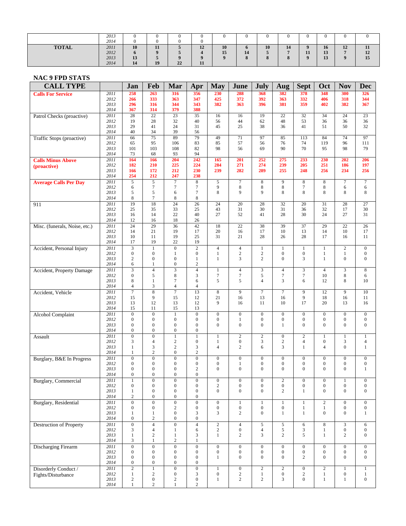|              | 2013<br>2014                 |                               |                                 |    |                   | 0                    |                        |                       |                   |    |                |                      |                |
|--------------|------------------------------|-------------------------------|---------------------------------|----|-------------------|----------------------|------------------------|-----------------------|-------------------|----|----------------|----------------------|----------------|
| <b>TOTAL</b> | 2011<br>2012<br>2013<br>2014 | 10<br>$\mathbf b$<br>13<br>14 | 11<br>$\bf{o}$<br>$\cdot$<br>19 | 22 | 12<br>$-1$<br>-11 | 10<br>15<br>$\Omega$ | $\mathbf o$<br>14<br>8 | 10<br>$\Omega$<br>. . | 14<br>$\mathbf o$ | 11 | 16<br>13<br>13 | 12<br>$\overline{ }$ | 11<br>12<br>15 |

## **NAC 9 FPD STATS**

| <b>CALL TYPE</b>               |              | Jan                                  | Feb                                  | Mar                                  | Apr                                  | <b>May</b>                           | June                                 | July                                 | Aug                                  | <b>Sept</b>                          | Oct                                  | <b>Nov</b>                           | <b>Dec</b>                           |
|--------------------------------|--------------|--------------------------------------|--------------------------------------|--------------------------------------|--------------------------------------|--------------------------------------|--------------------------------------|--------------------------------------|--------------------------------------|--------------------------------------|--------------------------------------|--------------------------------------|--------------------------------------|
| <b>Calls For Service</b>       | 2011         | 258                                  | 263                                  | 316                                  | 356                                  | 230                                  | 288                                  | 368                                  | 382                                  | 378                                  | 348                                  | 300                                  | 326                                  |
|                                | 2012<br>2013 | 266<br>296                           | 333<br>316                           | 363<br>344                           | 347<br>343                           | 425<br>382                           | 372<br>363                           | 392<br>396                           | 363<br>381                           | 332<br>359                           | 406<br>402                           | 318<br>382                           | 344<br>367                           |
|                                | 2014         | 367                                  | 314                                  | 379                                  | 388                                  |                                      |                                      |                                      |                                      |                                      |                                      |                                      |                                      |
| Patrol Checks (proactive)      | 2011         | 28                                   | $\overline{22}$                      | 23                                   | 35                                   | 16                                   | 16                                   | 19                                   | $\overline{22}$                      | $\overline{32}$                      | 34                                   | 24                                   | 23                                   |
|                                | 2012<br>2013 | 19                                   | 28<br>41                             | 32<br>24                             | 40                                   | 56                                   | 44<br>25                             | 62                                   | 48                                   | 53<br>41                             | 36<br>51                             | 36<br>50                             | 36<br>32                             |
|                                | 2014         | 29<br>40                             | 34                                   | 39                                   | 31<br>56                             | 45                                   |                                      | 38                                   | 36                                   |                                      |                                      |                                      |                                      |
| Traffic Stops (proactive)      | 2011         | 66                                   | 75                                   | 89                                   | 79                                   | 49                                   | 71                                   | 97                                   | 85                                   | 113                                  | 84                                   | 74                                   | 97                                   |
|                                | 2012         | 65                                   | 95                                   | 106                                  | 83                                   | 85                                   | 57                                   | 56                                   | 76                                   | 74                                   | 119                                  | 96                                   | 111                                  |
|                                | 2013<br>2014 | 101<br>73                            | 103<br>68                            | 108<br>93                            | 82<br>94                             | 98                                   | 56                                   | 69                                   | 90                                   | 70                                   | 95                                   | 98                                   | 79                                   |
| <b>Calls Minus Above</b>       | 2011         | 164                                  | 166                                  | 204                                  | 242                                  | 165                                  | 201                                  | 252                                  | 275                                  | 233                                  | 230                                  | 202                                  | 206                                  |
| (proactive)                    | 2012         | 182                                  | 210                                  | 225                                  | 224                                  | 284                                  | 271                                  | 274                                  | 239                                  | 205                                  | 251                                  | 186                                  | 197                                  |
|                                | 2013         | 166                                  | 172                                  | 212                                  | 230                                  | 239                                  | 282                                  | 289                                  | 255                                  | 248                                  | 256                                  | 234                                  | 256                                  |
|                                | 2014<br>2011 | 254<br>5                             | 212<br>5                             | 247<br>$\tau$                        | 238<br>8                             | 5                                    | $\boldsymbol{7}$                     | 8                                    | 9                                    | 8                                    | $\,8\,$                              | $\tau$                               | $\boldsymbol{7}$                     |
| <b>Average Calls Per Day</b>   | 2012         | 6                                    | $\tau$                               | $\tau$                               | $\tau$                               | 9                                    | 8                                    | 8                                    | 8                                    | $\tau$                               | 8                                    | 6                                    | 6                                    |
|                                | 2013         | 5                                    | 5                                    | 6                                    | $\tau$                               | 8                                    | 9                                    | 9                                    | 8                                    | 8                                    | 8                                    | 8                                    | 8                                    |
|                                | 2014         | 8                                    | $\tau$                               | 8                                    | 8                                    |                                      |                                      |                                      |                                      |                                      |                                      |                                      |                                      |
| 911                            | 2011<br>2012 | 19<br>25                             | 18<br>35                             | 24<br>33                             | 26<br>25                             | 24<br>43                             | 20<br>31                             | 28<br>30                             | 32<br>31                             | 20<br>36                             | 31<br>32                             | 28<br>17                             | 27<br>$30\,$                         |
|                                | 2013         | 16                                   | 14                                   | 22                                   | 40                                   | 27                                   | 52                                   | 41                                   | 28                                   | 30                                   | 24                                   | 27                                   | 31                                   |
|                                | 2014         | 12                                   | 16                                   | 18                                   | 26                                   |                                      |                                      |                                      |                                      |                                      |                                      |                                      |                                      |
| Misc. (funerals, Noise, etc.)  | 2011         | 24                                   | 29                                   | 36                                   | 42                                   | 18                                   | 22                                   | 38                                   | 39                                   | 37                                   | 29                                   | 22                                   | 26                                   |
|                                | 2012<br>2013 | 14<br>10                             | 21<br>11                             | 19<br>19                             | 17<br>25                             | 20<br>31                             | 16<br>21                             | 17<br>28                             | 10<br>26                             | 13<br>28                             | 14<br>17                             | 10<br>16                             | 17<br>11                             |
|                                | 2014         | 17                                   | 19                                   | 22                                   | 19                                   |                                      |                                      |                                      |                                      |                                      |                                      |                                      |                                      |
| Accident, Personal Injury      | 2011         | 3                                    | $\mathbf{1}$                         | $\theta$                             | $\overline{c}$                       | $\overline{4}$                       | $\overline{4}$                       | $\mathbf{1}$                         | $\mathbf{1}$                         | $\mathbf{1}$                         | $\mathbf{1}$                         | $\overline{c}$                       | $\mathbf{0}$                         |
|                                | 2012         | $\boldsymbol{0}$                     | $\boldsymbol{0}$                     | 1                                    | $\boldsymbol{0}$                     | $\mathbf{1}$                         | $\overline{c}$                       | $\boldsymbol{2}$                     | $\boldsymbol{0}$                     | $\boldsymbol{0}$                     | $\mathbf{1}$                         | $\mathbf{1}$                         | $\boldsymbol{0}$                     |
|                                | 2013<br>2014 | $\overline{c}$<br>6                  | $\boldsymbol{0}$<br>1                | $\boldsymbol{0}$<br>$\boldsymbol{0}$ | $\mathbf{1}$<br>$\overline{c}$       | $\mathbf{1}$                         | 3                                    | $\overline{c}$                       | $\boldsymbol{0}$                     | 3                                    | $\mathbf{1}$                         | $\boldsymbol{0}$                     | $\boldsymbol{0}$                     |
| Accident, Property Damage      | 2011         | $\overline{3}$                       | $\overline{4}$                       | $\overline{\mathbf{3}}$              | $\overline{4}$                       | $\,1$                                | $\overline{4}$                       | 3                                    | $\overline{4}$                       | 3                                    | $\overline{4}$                       | $\mathfrak{Z}$                       | $\overline{8}$                       |
|                                | 2012         | $\boldsymbol{0}$                     | 5                                    | 8                                    | 3                                    | $\boldsymbol{7}$                     | 7                                    | 5                                    | $\tau$                               | $\tau$                               | 10                                   | 8                                    | 6                                    |
|                                | 2013         | $\,$ 8 $\,$                          | $\mathbf{1}$                         | 7                                    | 6                                    | 5                                    | 5                                    | $\overline{4}$                       | 3                                    | 6                                    | 12                                   | 8                                    | 10                                   |
| Accident, Vehicle              | 2014<br>2011 | $\overline{4}$<br>$\tau$             | 3<br>$\overline{8}$                  | 4<br>$\overline{7}$                  | 4<br>13                              | $\boldsymbol{8}$                     | 9                                    | $\overline{7}$                       | $\overline{7}$                       | 9                                    | 12                                   | 9                                    | 10                                   |
|                                | 2012         | 15                                   | 9                                    | 15                                   | 12                                   | 21                                   | 16                                   | 13                                   | 16                                   | 9                                    | 18                                   | 16                                   | 11                                   |
|                                | 2013         | 13                                   | 12                                   | 13                                   | 12                                   | 9                                    | 16                                   | 11                                   | 10                                   | 17                                   | 20                                   | 13                                   | 16                                   |
|                                | 2014         | 15                                   | 11                                   | 15                                   | 13                                   |                                      |                                      |                                      |                                      |                                      |                                      |                                      |                                      |
| <b>Alcohol Complaint</b>       | 2011<br>2012 | $\overline{0}$<br>$\mathbf{0}$       | $\overline{0}$<br>$\boldsymbol{0}$   | $\mathbf{1}$<br>$\overline{0}$       | $\overline{0}$<br>$\boldsymbol{0}$   | $\boldsymbol{0}$<br>$\boldsymbol{0}$ | $\boldsymbol{0}$<br>$\mathbf{1}$     | $\boldsymbol{0}$<br>$\boldsymbol{0}$ | $\mathbf{0}$<br>$\boldsymbol{0}$     | $\boldsymbol{0}$<br>$\boldsymbol{0}$ | $\boldsymbol{0}$<br>$\boldsymbol{0}$ | $\overline{0}$<br>$\boldsymbol{0}$   | $\boldsymbol{0}$<br>$\boldsymbol{0}$ |
|                                | 2013         | $\boldsymbol{0}$                     | $\boldsymbol{0}$                     | $\mathbf{0}$                         | $\boldsymbol{0}$                     | $\boldsymbol{0}$                     | $\overline{0}$                       | $\overline{0}$                       | $\mathbf{1}$                         | $\overline{0}$                       | $\mathbf{0}$                         | $\mathbf{0}$                         | $\mathbf{0}$                         |
|                                | 2014         | $\boldsymbol{0}$                     | $\boldsymbol{0}$                     | $\boldsymbol{0}$                     | $\boldsymbol{0}$                     |                                      |                                      |                                      |                                      |                                      |                                      |                                      |                                      |
| Assault                        | 2011<br>2012 | $\boldsymbol{0}$<br>3                | $\boldsymbol{0}$<br>$\overline{4}$   | $\mathbf{1}$<br>$\overline{c}$       | $\mathbf{1}$<br>$\boldsymbol{0}$     | $\mathbf{1}$<br>$\mathbf{1}$         | $\overline{c}$<br>$\boldsymbol{0}$   | $\overline{2}$<br>3                  | $\mathbf{0}$<br>$\mathbf{2}$         | $\overline{2}$<br>$\overline{4}$     | $\mathbf{1}$<br>$\boldsymbol{0}$     | $\mathbf{1}$<br>3                    | $\mathbf{1}$<br>$\overline{4}$       |
|                                | 2013         | $\mathbf{1}$                         | $\mathfrak{Z}$                       | $\mathbf{2}$                         | 3                                    | $\overline{4}$                       | 2                                    | 6                                    | 3                                    | $\mathbf{1}$                         | $\overline{4}$                       | $\boldsymbol{0}$                     | $\mathbf{1}$                         |
|                                | 2014         | $\mathbf{1}$                         | $\overline{c}$                       | $\boldsymbol{0}$                     | $\sqrt{2}$                           |                                      |                                      |                                      |                                      |                                      |                                      |                                      |                                      |
| Burglary, B&E In Progress      | 2011         | $\boldsymbol{0}$                     | $\boldsymbol{0}$                     | $\boldsymbol{0}$                     | $\boldsymbol{0}$                     | $\mathbf{0}$                         | $\boldsymbol{0}$                     | $\boldsymbol{0}$                     | $\boldsymbol{0}$                     | $\boldsymbol{0}$                     | $\boldsymbol{0}$                     | $\overline{0}$                       | $\boldsymbol{0}$                     |
|                                | 2012<br>2013 | $\boldsymbol{0}$<br>$\boldsymbol{0}$ | $\boldsymbol{0}$<br>$\boldsymbol{0}$ | $\mathbf{0}$<br>$\boldsymbol{0}$     | $\boldsymbol{0}$<br>$\boldsymbol{2}$ | $\boldsymbol{0}$<br>$\boldsymbol{0}$ | $\mathbf{1}$<br>$\boldsymbol{0}$     | $\boldsymbol{0}$<br>$\boldsymbol{0}$ | $\boldsymbol{0}$<br>$\boldsymbol{0}$ | $\boldsymbol{0}$<br>$\mathbf{0}$     | $\boldsymbol{0}$<br>$\overline{0}$   | $\boldsymbol{0}$<br>$\boldsymbol{0}$ | $\boldsymbol{0}$<br>$\mathbf{1}$     |
|                                | 2014         | $\boldsymbol{0}$                     | $\boldsymbol{0}$                     | $\overline{0}$                       | $\boldsymbol{0}$                     |                                      |                                      |                                      |                                      |                                      |                                      |                                      |                                      |
| Burglary, Commercial           | 2011         | 1                                    | $\bf{0}$                             | 0                                    | $\bf{0}$                             | $\bf{0}$                             | $\theta$                             | $\boldsymbol{0}$                     | 2                                    | $\theta$                             | $\theta$                             |                                      | $\bf{0}$                             |
|                                | 2012         | $\boldsymbol{0}$                     | $\boldsymbol{0}$                     | $\boldsymbol{0}$                     | $\boldsymbol{0}$                     | $\,2$                                | $\boldsymbol{0}$                     | $\boldsymbol{0}$                     | $\boldsymbol{0}$                     | $\boldsymbol{0}$                     | $\boldsymbol{0}$                     | $\boldsymbol{0}$                     | $\boldsymbol{0}$                     |
|                                | 2013<br>2014 | $\mathbf{1}$<br>$\sqrt{2}$           | $\boldsymbol{0}$<br>$\boldsymbol{0}$ | $\boldsymbol{0}$<br>$\boldsymbol{0}$ | $\boldsymbol{0}$<br>$\boldsymbol{0}$ | $\overline{0}$                       | $\boldsymbol{0}$                     | $\boldsymbol{0}$                     | $\overline{c}$                       | $\mathbf{1}$                         | $\mathbf{0}$                         | $\mathbf{0}$                         | $\boldsymbol{0}$                     |
| Burglary, Residential          | 2011         | $\overline{0}$                       | $\overline{0}$                       | $\overline{0}$                       | $\overline{0}$                       | $\boldsymbol{0}$                     | $\mathbf{1}$                         | $\mathbf{1}$                         | $\mathbf{1}$                         | $\mathbf{1}$                         | $\overline{2}$                       | $\overline{0}$                       | $\mathbf{0}$                         |
|                                | 2012         | $\boldsymbol{0}$                     | $\boldsymbol{0}$                     | $\overline{c}$                       | $\boldsymbol{0}$                     | $\boldsymbol{0}$                     | $\boldsymbol{0}$                     | $\boldsymbol{0}$                     | $\boldsymbol{0}$                     | $\mathbf{1}$                         | $\mathbf{1}$                         | $\boldsymbol{0}$                     | $\boldsymbol{0}$                     |
|                                | 2013         | $\mathbf{1}$                         | $\mathbf{1}$                         | $\boldsymbol{0}$                     | 3                                    | 3                                    | $\overline{c}$                       | $\boldsymbol{0}$                     | $\mathbf{1}$                         | $\mathbf{1}$                         | $\boldsymbol{0}$                     | $\boldsymbol{0}$                     | $\mathbf{1}$                         |
| <b>Destruction of Property</b> | 2014<br>2011 | $\boldsymbol{0}$<br>$\overline{0}$   | $\sqrt{2}$<br>$\overline{4}$         | $\boldsymbol{0}$<br>$\overline{0}$   | $\boldsymbol{0}$<br>$\overline{4}$   | $\overline{2}$                       | $\overline{4}$                       | $\overline{5}$                       | $\sqrt{5}$                           | 6                                    | $\,8\,$                              | $\ensuremath{\mathfrak{Z}}$          | 6                                    |
|                                | 2012         | 3                                    | $\overline{4}$                       | 1                                    | 6                                    | $\boldsymbol{2}$                     | $\boldsymbol{0}$                     | $\overline{\mathcal{L}}$             | 5                                    | 3                                    | $\mathbf{1}$                         | $\boldsymbol{0}$                     | $\boldsymbol{0}$                     |
|                                | 2013         | $\,1$                                | $\sqrt{2}$                           | $\mathbf{1}$                         | 3                                    | $\mathbf{1}$                         | $\overline{c}$                       | 3                                    | $\overline{c}$                       | 5                                    | $\mathbf{1}$                         | $\overline{c}$                       | $\boldsymbol{0}$                     |
|                                | 2014         | $\ensuremath{\mathfrak{Z}}$          | $\mathbf{1}$                         | $\overline{c}$                       | $\mathbf{1}$                         |                                      |                                      |                                      |                                      |                                      |                                      |                                      |                                      |
| <b>Discharging Firearm</b>     | 2011<br>2012 | $\overline{0}$<br>$\boldsymbol{0}$   | $\overline{0}$<br>$\boldsymbol{0}$   | $\overline{0}$<br>$\boldsymbol{0}$   | $\overline{0}$<br>$\boldsymbol{0}$   | $\overline{0}$<br>$\boldsymbol{0}$   | $\boldsymbol{0}$<br>$\boldsymbol{0}$ | $\overline{0}$<br>$\boldsymbol{0}$   | $\boldsymbol{0}$<br>$\boldsymbol{0}$ | $\boldsymbol{0}$<br>$\boldsymbol{0}$ | $\mathbf{0}$<br>$\boldsymbol{0}$     | $\overline{0}$<br>$\boldsymbol{0}$   | $\mathbf{0}$<br>$\boldsymbol{0}$     |
|                                | 2013         | $\boldsymbol{0}$                     | $\boldsymbol{0}$                     | $\boldsymbol{0}$                     | $\boldsymbol{0}$                     | $\mathbf{1}$                         | $\boldsymbol{0}$                     | $\boldsymbol{0}$                     | $\boldsymbol{0}$                     | $\overline{c}$                       | $\mathbf{0}$                         | $\boldsymbol{0}$                     | $\overline{0}$                       |
|                                | 2014         | $\boldsymbol{0}$                     | $\boldsymbol{0}$                     | $\boldsymbol{0}$                     | $\boldsymbol{0}$                     |                                      |                                      |                                      |                                      |                                      |                                      |                                      |                                      |
| Disorderly Conduct /           | 2011         | $\overline{2}$                       | $\mathbf{1}$                         | $\boldsymbol{0}$                     | $\overline{0}$                       | $\mathbf{1}$                         | $\boldsymbol{0}$                     | $\overline{2}$                       | $\overline{c}$                       | $\boldsymbol{0}$                     | $\overline{2}$                       | 1                                    | $\mathbf{1}$                         |
| Fights/Disturbance             | 2012<br>2013 | $\mathbf{1}$<br>$\overline{c}$       | $\boldsymbol{2}$<br>$\boldsymbol{0}$ | $\boldsymbol{0}$<br>$\overline{c}$   | 3<br>$\boldsymbol{0}$                | $\boldsymbol{0}$<br>$\mathbf{1}$     | $\overline{c}$<br>$\overline{c}$     | $\mathbf{1}$<br>$\overline{c}$       | $\boldsymbol{0}$<br>3                | $\overline{c}$<br>$\overline{0}$     | $\mathbf{1}$<br>$\mathbf{1}$         | $\boldsymbol{0}$<br>$\mathbf{1}$     | $\mathbf{1}$<br>$\boldsymbol{0}$     |
|                                | 2014         | $\mathbf{1}$                         | $\sqrt{2}$                           | $\mathbf{1}$                         | $\mathbf{2}$                         |                                      |                                      |                                      |                                      |                                      |                                      |                                      |                                      |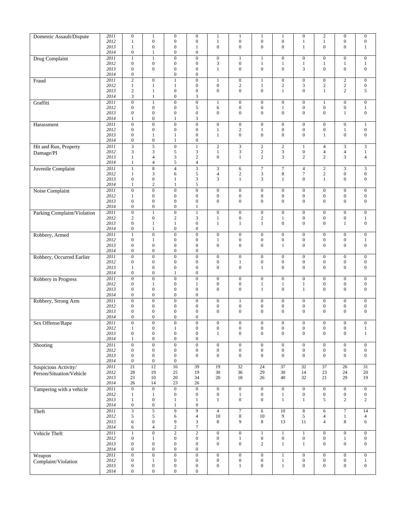| Domestic Assault/Dispute      | 2011<br>2012 | $\mathbf{0}$<br>$\mathbf{1}$         | $\mathbf{1}$<br>$\boldsymbol{0}$     | $\boldsymbol{0}$<br>$\boldsymbol{0}$ | $\boldsymbol{0}$<br>$\mathbf{0}$          | $\mathbf{1}$<br>$\mathbf{1}$         | $\mathbf{1}$<br>$\boldsymbol{0}$     | $\mathbf{1}$<br>$\mathbf{0}$         | $\mathbf{1}$<br>$\boldsymbol{0}$     | $\boldsymbol{0}$<br>1                | $\sqrt{2}$<br>$\mathbf{1}$           | $\boldsymbol{0}$<br>$\boldsymbol{0}$ | $\mathbf{0}$<br>$\boldsymbol{0}$     |
|-------------------------------|--------------|--------------------------------------|--------------------------------------|--------------------------------------|-------------------------------------------|--------------------------------------|--------------------------------------|--------------------------------------|--------------------------------------|--------------------------------------|--------------------------------------|--------------------------------------|--------------------------------------|
|                               | 2013<br>2014 | $\mathbf{1}$<br>$\boldsymbol{0}$     | $\boldsymbol{0}$<br>$\mathbf{1}$     | $\boldsymbol{0}$<br>$\boldsymbol{0}$ | 1<br>$\mathbf{0}$                         | $\boldsymbol{0}$                     | $\boldsymbol{0}$                     | $\boldsymbol{0}$                     | $\mathbf{0}$                         | $\mathbf{1}$                         | $\mathbf{0}$                         | $\boldsymbol{0}$                     | $\mathbf{1}$                         |
| Drug Complaint                | 2011         | $\mathbf{1}$                         | 1                                    | $\boldsymbol{0}$                     | $\mathbf{0}$                              | $\boldsymbol{0}$                     | $\mathbf{1}$                         | $\mathbf{1}$                         | $\mathbf{0}$                         | $\boldsymbol{0}$                     | $\boldsymbol{0}$                     | $\boldsymbol{0}$                     | $\mathbf{0}$                         |
|                               | 2012<br>2013 | $\boldsymbol{0}$<br>$\boldsymbol{0}$ | $\boldsymbol{0}$<br>$\mathbf{0}$     | $\boldsymbol{0}$<br>$\boldsymbol{0}$ | $\mathbf{0}$<br>$\mathbf{0}$              | $\mathfrak{Z}$<br>$\mathbf{1}$       | $\boldsymbol{0}$<br>$\boldsymbol{0}$ | $\mathbf{1}$<br>$\boldsymbol{0}$     | $\mathbf{1}$<br>$\boldsymbol{0}$     | $\mathbf{1}$<br>3                    | $\mathbf{1}$<br>$\mathbf{0}$         | $\mathbf{1}$<br>$\boldsymbol{0}$     | $\mathbf{1}$<br>$\mathbf{0}$         |
|                               | 2014         | $\boldsymbol{0}$                     |                                      | $\boldsymbol{0}$                     | $\boldsymbol{0}$                          |                                      |                                      |                                      |                                      |                                      |                                      |                                      |                                      |
| Fraud                         | 2011<br>2012 | $\overline{2}$<br>$\mathbf{1}$       | $\boldsymbol{0}$<br>$\mathbf{1}$     | $\mathbf{1}$<br>1                    | $\mathbf{0}$<br>$\mathbf{0}$              | 1<br>$\mathbf{0}$                    | $\boldsymbol{0}$<br>$\sqrt{2}$       | $\mathbf{1}$<br>$\mathbf{1}$         | $\boldsymbol{0}$<br>$\sqrt{2}$       | $\boldsymbol{0}$<br>$\mathfrak{Z}$   | $\boldsymbol{0}$<br>$\sqrt{2}$       | $\overline{c}$<br>$\overline{c}$     | $\mathbf{0}$<br>$\boldsymbol{0}$     |
|                               | 2013         | $\mathbf{2}$                         | $\mathbf{1}$                         | $\boldsymbol{0}$                     | $\mathbf{0}$                              | $\boldsymbol{0}$                     | $\boldsymbol{0}$                     | $\boldsymbol{0}$                     | $\mathbf{1}$                         | $\mathbf{0}$                         | $\mathbf{1}$                         | $\overline{c}$                       | 5                                    |
| Graffiti                      | 2014<br>2011 | 3<br>$\overline{0}$                  | $\mathbf{1}$<br>$\mathbf{1}$         | $\boldsymbol{0}$<br>$\overline{0}$   | 3<br>$\overline{0}$                       | $\mathbf{1}$                         | $\boldsymbol{0}$                     | $\boldsymbol{0}$                     | $\boldsymbol{0}$                     | $\boldsymbol{0}$                     | $\mathbf{1}$                         | $\overline{0}$                       | $\mathbf{0}$                         |
|                               | 2012         | $\boldsymbol{0}$                     | $\boldsymbol{0}$                     | $\boldsymbol{0}$                     | 5                                         | $\sqrt{6}$                           | $\boldsymbol{0}$                     | $\mathbf{0}$                         | $\mathbf{1}$                         | $\boldsymbol{0}$                     | $\boldsymbol{0}$                     | $\boldsymbol{0}$                     | $\mathbf{1}$                         |
|                               | 2013<br>2014 | $\boldsymbol{0}$<br>1                | $\boldsymbol{0}$<br>$\boldsymbol{0}$ | $\boldsymbol{0}$<br>1                | $\mathbf{0}$<br>3                         | $\mathbf{0}$                         | $\boldsymbol{0}$                     | $\boldsymbol{0}$                     | $\mathbf{0}$                         | $\mathbf{0}$                         | $\mathbf{0}$                         | $\mathbf{1}$                         | $\boldsymbol{0}$                     |
| Harassment                    | 2011         | $\overline{0}$                       | $\overline{0}$                       | $\boldsymbol{0}$                     | $\overline{0}$                            | $\overline{0}$                       | $\boldsymbol{0}$                     | $\overline{0}$                       | $\boldsymbol{0}$                     | $\boldsymbol{0}$                     | $\boldsymbol{0}$                     | $\overline{0}$                       | $\mathbf{1}$                         |
|                               | 2012<br>2013 | $\boldsymbol{0}$<br>$\boldsymbol{0}$ | $\boldsymbol{0}$<br>$\mathbf{1}$     | $\boldsymbol{0}$<br>$\mathbf{1}$     | $\mathbf{0}$<br>$\mathbf{0}$              | 1<br>$\mathbf{1}$                    | $\boldsymbol{2}$<br>$\mathbf{0}$     | 1<br>$\mathbf{0}$                    | $\boldsymbol{0}$<br>$\boldsymbol{0}$ | $\boldsymbol{0}$<br>$\mathbf{0}$     | $\boldsymbol{0}$<br>$\mathbf{1}$     | 1<br>$\boldsymbol{0}$                | $\mathbf{0}$<br>$\boldsymbol{0}$     |
|                               | 2014         | $\boldsymbol{0}$                     | $\boldsymbol{0}$                     | 1                                    | $\boldsymbol{0}$                          |                                      |                                      |                                      |                                      |                                      |                                      |                                      |                                      |
| Hit and Run, Property         | 2011<br>2012 | $\overline{3}$<br>3                  | $\overline{5}$<br>$\mathfrak{Z}$     | $\boldsymbol{0}$<br>5                | $\mathbf{1}$<br>$\mathfrak{Z}$            | $\sqrt{2}$<br>$\mathbf{1}$           | $\overline{3}$<br>$\mathfrak{Z}$     | $\overline{2}$<br>$\sqrt{2}$         | $\sqrt{2}$<br>$\mathfrak{Z}$         | 1<br>$\boldsymbol{0}$                | $\overline{4}$<br>$\overline{4}$     | 3<br>$\overline{\mathbf{4}}$         | 3<br>$1\,$                           |
| Damage/PI                     | 2013         | $\mathbf{1}$                         | $\overline{4}$                       | 3                                    | $\sqrt{2}$                                | $\mathbf{0}$                         | $\mathbf{1}$                         | $\overline{c}$                       | 3                                    | $\overline{c}$                       | $\sqrt{2}$                           | 3                                    | $\overline{4}$                       |
|                               | 2014<br>2011 | $\mathbf{1}$<br>$\mathbf{1}$         | $\overline{4}$<br>$\overline{\bf 8}$ | 5<br>$\overline{4}$                  | $\overline{4}$<br>$\overline{\mathbf{3}}$ | $\mathfrak{Z}$                       | 6                                    | $\boldsymbol{7}$                     | $\overline{7}$                       | $\overline{4}$                       | $\sqrt{2}$                           | 3                                    | 3                                    |
| Juvenile Complaint            | 2012         | $\mathbf{1}$                         | 3                                    | 6                                    | 5                                         | $\overline{4}$                       | $\overline{c}$                       | $\mathfrak{Z}$                       | $\,$ 8 $\,$                          | $\tau$                               | $\sqrt{2}$                           | $\boldsymbol{0}$                     | $\boldsymbol{0}$                     |
|                               | 2013<br>2014 | $\boldsymbol{0}$<br>1                | $\boldsymbol{0}$<br>2                | 1<br>1                               | 3<br>5                                    | 3                                    | $\mathbf{1}$                         | 3                                    | $\mathbf{1}$                         | $\mathbf{0}$                         | 1                                    | $\overline{0}$                       | $\mathbf{0}$                         |
| Noise Complaint               | 2011         | $\boldsymbol{0}$                     | $\boldsymbol{0}$                     | $\boldsymbol{0}$                     | $\overline{0}$                            | $\boldsymbol{0}$                     | $\boldsymbol{0}$                     | $\boldsymbol{0}$                     | $\boldsymbol{0}$                     | $\boldsymbol{0}$                     | $\boldsymbol{0}$                     | $\boldsymbol{0}$                     | $\boldsymbol{0}$                     |
|                               | 2012<br>2013 | $\mathbf{1}$<br>$\boldsymbol{0}$     | $\boldsymbol{0}$<br>$\boldsymbol{0}$ | $\boldsymbol{0}$<br>$\boldsymbol{0}$ | $\mathbf{0}$<br>$\mathbf{0}$              | $\boldsymbol{0}$<br>$\overline{0}$   | $\boldsymbol{0}$<br>$\mathbf{0}$     | $\boldsymbol{0}$<br>$\mathbf{0}$     | $\boldsymbol{0}$<br>$\mathbf{0}$     | $\boldsymbol{0}$<br>$\mathbf{0}$     | $\boldsymbol{0}$<br>$\overline{0}$   | $\boldsymbol{0}$<br>$\mathbf{0}$     | $\boldsymbol{0}$<br>$\boldsymbol{0}$ |
|                               | 2014         | $\boldsymbol{0}$                     | $\boldsymbol{0}$                     | $\boldsymbol{0}$                     | $\mathbf{1}$                              |                                      |                                      |                                      |                                      |                                      |                                      |                                      |                                      |
| Parking Complaint/Violation   | 2011         | $\boldsymbol{0}$                     | $\mathbf{1}$                         | $\boldsymbol{0}$                     | $\mathbf{1}$                              | $\boldsymbol{0}$                     | $\boldsymbol{0}$                     | $\boldsymbol{0}$                     | $\boldsymbol{0}$                     | $\boldsymbol{0}$                     | $\boldsymbol{0}$                     | $\boldsymbol{0}$                     | $\mathbf{0}$                         |
|                               | 2012<br>2013 | $\mathbf{2}$<br>$\boldsymbol{0}$     | $\boldsymbol{0}$<br>$\mathbf{1}$     | $\overline{c}$<br>1                  | 3<br>$\mathbf{0}$                         | 1<br>$\mathbf{1}$                    | $\boldsymbol{0}$<br>$\mathbf{1}$     | $\sqrt{2}$<br>$\mathbf{1}$           | $\mathbf{1}$<br>$\mathbf{0}$         | $\boldsymbol{0}$<br>$\mathbf{0}$     | $\boldsymbol{0}$<br>$\mathbf{0}$     | $\boldsymbol{0}$<br>$\mathbf{1}$     | $\mathbf{1}$<br>$\mathbf{0}$         |
|                               | 2014         | $\boldsymbol{0}$                     | $\mathbf{1}$                         | $\boldsymbol{0}$                     | $\mathbf{0}$                              |                                      |                                      |                                      |                                      |                                      |                                      |                                      |                                      |
| Robbery, Armed                | 2011<br>2012 | $\mathbf{1}$<br>$\boldsymbol{0}$     | $\boldsymbol{0}$<br>$\mathbf{1}$     | $\boldsymbol{0}$<br>$\boldsymbol{0}$ | $\overline{0}$<br>$\boldsymbol{0}$        | $\boldsymbol{0}$<br>1                | $\boldsymbol{0}$<br>$\boldsymbol{0}$ | $\boldsymbol{0}$<br>$\boldsymbol{0}$ | $\mathbf{0}$<br>$\boldsymbol{0}$     | $\boldsymbol{0}$<br>$\boldsymbol{0}$ | $\boldsymbol{0}$<br>$\boldsymbol{0}$ | $\boldsymbol{0}$<br>$\boldsymbol{0}$ | $\mathbf{0}$<br>$\mathbf{1}$         |
|                               | 2013         | $\boldsymbol{0}$                     | $\boldsymbol{0}$                     | $\boldsymbol{0}$                     | $\mathbf{0}$                              | $\boldsymbol{0}$                     | $\boldsymbol{0}$                     | $\mathbf{0}$                         | $\mathbf{1}$                         | $\mathbf{0}$                         | $\overline{0}$                       | $\boldsymbol{0}$                     | $\boldsymbol{0}$                     |
| Robbery, Occurred Earlier     | 2014<br>2011 | $\boldsymbol{0}$<br>$\boldsymbol{0}$ | $\boldsymbol{0}$<br>$\boldsymbol{0}$ | $\boldsymbol{0}$<br>$\boldsymbol{0}$ | $\mathbf{0}$<br>$\overline{0}$            | $\boldsymbol{0}$                     | $\boldsymbol{0}$                     | $\boldsymbol{0}$                     | $\mathbf{0}$                         | $\boldsymbol{0}$                     | $\boldsymbol{0}$                     | $\boldsymbol{0}$                     | $\mathbf{0}$                         |
|                               | 2012         | $\boldsymbol{0}$                     | $\boldsymbol{0}$                     | $\boldsymbol{0}$                     | $\mathbf{0}$                              | $\boldsymbol{0}$                     | 1                                    | $\boldsymbol{0}$                     | $\boldsymbol{0}$                     | $\boldsymbol{0}$                     | $\boldsymbol{0}$                     | $\boldsymbol{0}$                     | $\boldsymbol{0}$                     |
|                               | 2013<br>2014 | $\mathbf{1}$<br>$\boldsymbol{0}$     | $\boldsymbol{0}$<br>$\boldsymbol{0}$ | $\boldsymbol{0}$<br>1                | $\mathbf{0}$<br>$\mathbf{0}$              | $\boldsymbol{0}$                     | $\boldsymbol{0}$                     | $\mathbf{1}$                         | $\mathbf{0}$                         | $\mathbf{0}$                         | $\mathbf{0}$                         | $\boldsymbol{0}$                     | $\boldsymbol{0}$                     |
| Robbery in Progress           | 2011         | $\boldsymbol{0}$                     | $\boldsymbol{0}$                     | $\mathbf{0}$                         | $\overline{0}$                            | $\boldsymbol{0}$                     | $\mathbf{0}$                         | $\boldsymbol{0}$                     | $\boldsymbol{0}$                     | $\boldsymbol{0}$                     | $\mathbf{0}$                         | $\overline{0}$                       | $\mathbf{0}$                         |
|                               | 2012<br>2013 | $\boldsymbol{0}$<br>$\boldsymbol{0}$ | $\mathbf{1}$<br>$\boldsymbol{0}$     | $\boldsymbol{0}$<br>$\boldsymbol{0}$ | 1<br>$\mathbf{0}$                         | $\boldsymbol{0}$<br>$\boldsymbol{0}$ | $\boldsymbol{0}$<br>$\boldsymbol{0}$ | $\mathbf{1}$<br>$\mathbf{1}$         | $\mathbf{1}$<br>$\boldsymbol{0}$     | 1<br>$\mathbf{1}$                    | $\boldsymbol{0}$<br>$\mathbf{0}$     | $\boldsymbol{0}$<br>$\mathbf{0}$     | $\boldsymbol{0}$<br>$\mathbf{0}$     |
|                               | 2014         | $\boldsymbol{0}$                     | $\boldsymbol{0}$                     | $\boldsymbol{0}$                     | $\mathbf{0}$                              |                                      |                                      |                                      |                                      |                                      |                                      |                                      |                                      |
| Robbery, Strong Arm           | 2011<br>2012 | $\overline{0}$<br>$\boldsymbol{0}$   | $\boldsymbol{0}$<br>$\boldsymbol{0}$ | $\overline{0}$<br>$\boldsymbol{0}$   | $\mathbf{0}$<br>$\mathbf{0}$              | $\boldsymbol{0}$<br>$\boldsymbol{0}$ | $\mathbf{1}$<br>$\boldsymbol{0}$     | $\boldsymbol{0}$<br>$\mathbf{0}$     | $\mathbf{0}$<br>$\boldsymbol{0}$     | $\boldsymbol{0}$<br>$\boldsymbol{0}$ | $\boldsymbol{0}$<br>$\boldsymbol{0}$ | $\overline{0}$<br>$\boldsymbol{0}$   | $\mathbf{0}$<br>$\mathbf{0}$         |
|                               | 2013         | $\boldsymbol{0}$                     | $\boldsymbol{0}$                     | $\mathbf{0}$                         | $\mathbf{0}$                              | $\mathbf{0}$                         | $\mathbf{0}$                         | $\boldsymbol{0}$                     | $\mathbf{0}$                         | $\mathbf{0}$                         | $\mathbf{0}$                         | $\boldsymbol{0}$                     | $\mathbf{0}$                         |
| Sex Offense/Rape              | 2014<br>2011 | $\boldsymbol{0}$<br>$\boldsymbol{0}$ | $\boldsymbol{0}$<br>$\boldsymbol{0}$ | $\boldsymbol{0}$<br>$\boldsymbol{0}$ | $\mathbf{0}$<br>$\boldsymbol{0}$          | $\mathbf{0}$                         | $\boldsymbol{0}$                     | $\boldsymbol{0}$                     | $\mathbf{0}$                         | $\boldsymbol{0}$                     | $\boldsymbol{0}$                     | $\boldsymbol{0}$                     | $\boldsymbol{0}$                     |
|                               | 2012         | $\mathbf{1}$                         | $\mathbf{0}$                         | 1                                    | $\mathbf{0}$                              | $\mathbf{0}$                         | $\mathbf{0}$                         | $\mathbf{0}$                         | $\mathbf{0}$                         | $\mathbf{0}$                         | $\mathbf{0}$                         | $\mathbf{0}$                         | 1                                    |
|                               | 2013<br>2014 | $\boldsymbol{0}$<br>$\mathbf{1}$     | $\boldsymbol{0}$<br>$\boldsymbol{0}$ | $\boldsymbol{0}$<br>$\boldsymbol{0}$ | $\boldsymbol{0}$<br>$\boldsymbol{0}$      | $\mathbf{1}$                         | $\boldsymbol{0}$                     | $\boldsymbol{0}$                     | $\boldsymbol{0}$                     | $\boldsymbol{0}$                     | $\boldsymbol{0}$                     | $\boldsymbol{0}$                     | $\mathbf{1}$                         |
| Shooting                      | 2011         | $\overline{0}$                       | $\overline{0}$                       | $\overline{0}$                       | $\overline{0}$                            | $\boldsymbol{0}$                     | $\boldsymbol{0}$                     | $\overline{0}$                       | $\boldsymbol{0}$                     | $\overline{0}$                       | $\boldsymbol{0}$                     | $\overline{0}$                       | $\boldsymbol{0}$                     |
|                               | 2012<br>2013 | $\boldsymbol{0}$<br>$\boldsymbol{0}$ | $\boldsymbol{0}$<br>$\boldsymbol{0}$ | $\boldsymbol{0}$<br>$\boldsymbol{0}$ | $\boldsymbol{0}$<br>$\boldsymbol{0}$      | $\boldsymbol{0}$<br>$\mathbf{0}$     | $\boldsymbol{0}$<br>$\boldsymbol{0}$ | $\boldsymbol{0}$<br>$\mathbf{0}$     | $\boldsymbol{0}$<br>$\mathbf{0}$     | $\boldsymbol{0}$<br>$\overline{0}$   | $\boldsymbol{0}$<br>$\overline{0}$   | $\boldsymbol{0}$<br>$\boldsymbol{0}$ | $\overline{0}$<br>$\boldsymbol{0}$   |
|                               | 2014         | $\boldsymbol{0}$                     | $\boldsymbol{0}$                     | $\boldsymbol{0}$                     |                                           |                                      |                                      |                                      |                                      |                                      |                                      |                                      |                                      |
| Suspicious Activity/          | 2011<br>2012 | $\overline{21}$<br>28                | $\overline{12}$<br>19                | 16<br>25                             | 39<br>19                                  | 19<br>30                             | $\overline{32}$<br>36                | $\overline{24}$<br>29                | 37<br>30                             | $\overline{32}$<br>14                | 37<br>$23\,$                         | 26<br>24                             | 31<br>20                             |
| Person/Situation/Vehicle      | 2013         | 23                                   | 10                                   | 20                                   | 34                                        | 20                                   | 18                                   | 26                                   | 40                                   | 32                                   | 21                                   | 29                                   | 19                                   |
|                               | 2014<br>2011 | 26<br>$\boldsymbol{0}$               | 14<br>$\overline{0}$                 | 23<br>$\overline{0}$                 | 26<br>$\boldsymbol{0}$                    | $\boldsymbol{0}$                     | $\boldsymbol{0}$                     | $\boldsymbol{0}$                     | $\boldsymbol{0}$                     | $\boldsymbol{0}$                     | $\boldsymbol{0}$                     | $\overline{0}$                       | $\boldsymbol{0}$                     |
| Tampering with a vehicle      | 2012         | $\mathbf{1}$                         | $\mathbf{1}$                         | $\boldsymbol{0}$                     | $\boldsymbol{0}$                          | $\boldsymbol{0}$                     | $\mathbf{1}$                         | $\boldsymbol{0}$                     | $\,1\,$                              | $\boldsymbol{0}$                     | $\boldsymbol{0}$                     | $\boldsymbol{0}$                     | $\mathbf{0}$                         |
|                               | 2013<br>2014 | $\mathbf{1}$<br>$\boldsymbol{0}$     | $\boldsymbol{0}$<br>$\boldsymbol{0}$ | 1<br>$\mathbf{1}$                    | 1<br>$\boldsymbol{0}$                     | $\mathbf{1}$                         | $\boldsymbol{0}$                     | $\boldsymbol{0}$                     | $\mathbf{1}$                         | $\mathbf{1}$                         | 5                                    | $\overline{c}$                       | $\overline{c}$                       |
| Theft                         | 2011         | $\overline{3}$                       | $\overline{\mathbf{5}}$              | 9                                    | $\overline{9}$                            | $\overline{4}$                       | $\overline{7}$                       | 6                                    | 10                                   | $\bf 8$                              | 6                                    | $\overline{7}$                       | 14                                   |
|                               | 2012         | $\sqrt{5}$                           | $\sqrt{5}$                           | 6                                    | $\overline{4}$                            | $10\,$                               | $\,$ 8 $\,$                          | $10\,$                               | 9                                    | 5                                    | $\overline{4}$                       | $\mathbf{1}$                         | $\overline{4}$                       |
|                               | 2013<br>2014 | 6<br>6                               | $\boldsymbol{0}$<br>$\overline{4}$   | 9<br>$\sqrt{2}$                      | $\mathfrak{Z}$<br>$\overline{7}$          | 8                                    | 9                                    | 8                                    | 13                                   | 11                                   | $\overline{4}$                       | 8                                    | 6                                    |
| Vehicle Theft                 | 2011         | $\overline{1}$                       | $\overline{0}$                       | $\overline{2}$                       | $\overline{2}$                            | $\boldsymbol{0}$                     | $\overline{0}$                       | $\mathbf{1}$                         | $\mathbf{1}$                         | $\mathbf{1}$                         | $\overline{0}$                       | $\overline{0}$                       | $\overline{0}$                       |
|                               | 2012<br>2013 | $\boldsymbol{0}$<br>$\boldsymbol{0}$ | $\mathbf{1}$<br>$\boldsymbol{0}$     | $\boldsymbol{0}$<br>$\boldsymbol{0}$ | $\boldsymbol{0}$<br>$\mathbf{0}$          | $\boldsymbol{0}$<br>$\mathbf{0}$     | $\mathbf{1}$<br>$\boldsymbol{0}$     | $\boldsymbol{0}$<br>$\sqrt{2}$       | $\boldsymbol{0}$<br>$\mathbf{1}$     | $\boldsymbol{0}$<br>$\mathbf{1}$     | $\boldsymbol{0}$<br>$\boldsymbol{0}$ | $\mathbf{1}$<br>$\boldsymbol{0}$     | $\overline{0}$<br>$\mathbf{0}$       |
|                               | 2014         | $\boldsymbol{0}$                     | $\boldsymbol{0}$                     | $\boldsymbol{0}$                     | $\boldsymbol{0}$                          |                                      |                                      |                                      |                                      |                                      |                                      |                                      |                                      |
| Weapon<br>Complaint/Violation | 2011<br>2012 | $\overline{0}$<br>$\boldsymbol{0}$   | $\overline{0}$<br>1                  | $\overline{0}$<br>$\boldsymbol{0}$   | $\boldsymbol{0}$<br>$\boldsymbol{0}$      | $\overline{0}$<br>$\boldsymbol{0}$   | $\overline{0}$<br>$\boldsymbol{0}$   | $\overline{0}$<br>$\boldsymbol{0}$   | $\mathbf{1}$<br>$\mathbf{1}$         | $\boldsymbol{0}$<br>$\boldsymbol{0}$ | $\overline{0}$<br>$\boldsymbol{0}$   | $\overline{0}$<br>$\boldsymbol{0}$   | $\overline{0}$<br>$\mathbf{1}$       |
|                               | 2013         | $\boldsymbol{0}$                     | $\boldsymbol{0}$                     | $\boldsymbol{0}$                     | $\boldsymbol{0}$                          | $\boldsymbol{0}$                     | $\mathbf{1}$                         | $\boldsymbol{0}$                     | $\mathbf{1}$                         | $\boldsymbol{0}$                     | $\boldsymbol{0}$                     | $\boldsymbol{0}$                     | $\overline{0}$                       |
|                               | 2014         | $\boldsymbol{0}$                     | $\boldsymbol{0}$                     | $\boldsymbol{0}$                     | $\boldsymbol{0}$                          |                                      |                                      |                                      |                                      |                                      |                                      |                                      |                                      |